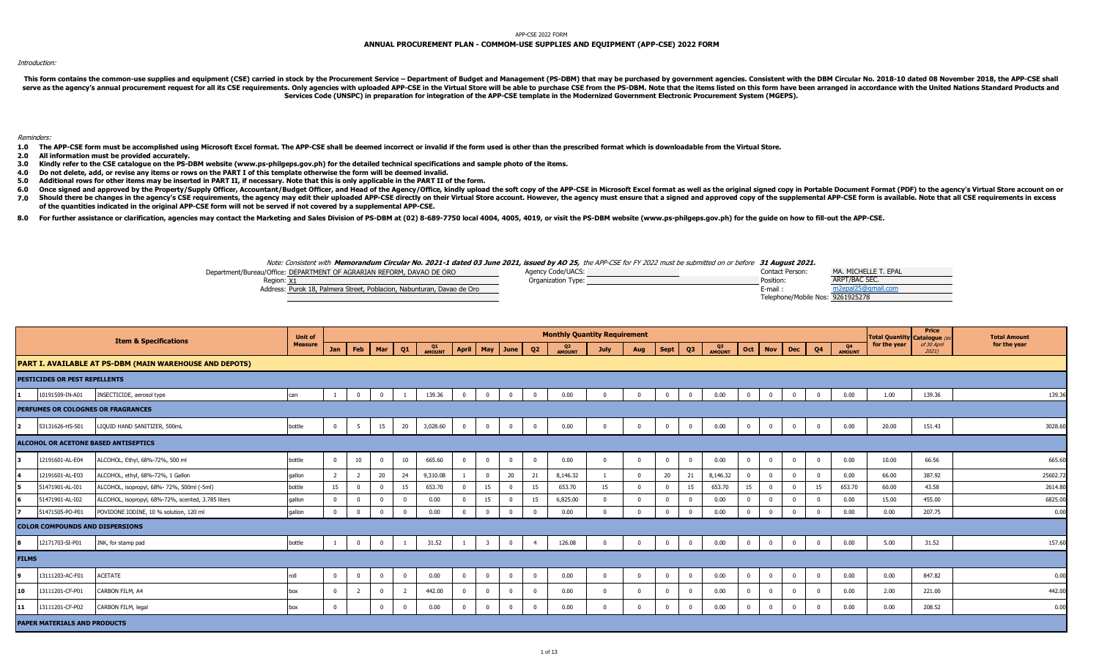## APP-CSE 2022 FORM

## **ANNUAL PROCUREMENT PLAN - COMMOM-USE SUPPLIES AND EQUIPMENT (APP-CSE) 2022 FORM**

## Introduction:

This form contains the common-use supplies and equipment (CSE) carried in stock by the Procurement Service - Department of Budget and Management (PS-DBM) that may be purchased by government agencies. Consistent with the DB serve as the agency's annual procurement request for all its CSE requirements. Only agencies with uploaded APP-CSE in the Virtual Store will be able to purchase CSE from the PS-DBM. Note that the items listed on this form **Services Code (UNSPC) in preparation for integration of the APP-CSE template in the Modernized Government Electronic Procurement System (MGEPS).** 

Reminders:

- 1.0 The APP-CSE form must be accomplished using Microsoft Excel format. The APP-CSE shall be deemed incorrect or invalid if the form used is other than the prescribed format which is downloadable from the Virtual Store.
- **2.0 All information must be provided accurately.**
- **3.0 Kindly refer to the CSE catalogue on the PS-DBM website (www.ps-philgeps.gov.ph) for the detailed technical specifications and sample photo of the items.**
- **4.0 Do not delete, add, or revise any items or rows on the PART I of this template otherwise the form will be deemed invalid.**
- **5.0 Additional rows for other items may be inserted in PART II, if necessary. Note that this is only applicable in the PART II of the form.**
- **6.0** Once signed and approved by the Property/Supply Officer, Accountant/Budget Officer, and Head of the Agency/Office, kindly upload the soft copy of the APP-CSE in Microsoft Excel format as well as the original signed copy in
- 7.0 Should there be changes in the agency's CSE requirements, the agency may edit their uploaded APP-CSE directly on their Virtual Store account. However, the agency must ensure that a signed and approved copy of the suppl **of the quantities indicated in the original APP-CSE form will not be served if not covered by a supplemental APP-CSE.**
- 8.0 For further assistance or clarification, agencies may contact the Marketing and Sales Division of PS-DBM at (02) 8-689-7750 local 4004, 4005, 4019, or visit the PS-DBM website (www.ps-philgeps.gov.ph) for the guide on

## Note: Consistent with **Memorandum Circular No. 2021-1 dated 03 June 2021, issued by AO 25,** the APP-CSE for FY 2022 must be submitted on or before **31 August 2021.**



|              |                                        | <b>Item &amp; Specifications</b>                               | <b>Unit of</b> |          |                 |                |          |              |                         |                |              |                | <b>Monthly Quantity Requirement</b> |             |                |                |                |              |              |                 |          |    |              | <b>Total Quantity Catalogue (a)</b> | Price                   | <b>Total Amount</b> |         |
|--------------|----------------------------------------|----------------------------------------------------------------|----------------|----------|-----------------|----------------|----------|--------------|-------------------------|----------------|--------------|----------------|-------------------------------------|-------------|----------------|----------------|----------------|--------------|--------------|-----------------|----------|----|--------------|-------------------------------------|-------------------------|---------------------|---------|
|              |                                        |                                                                | <b>Measure</b> |          | Jan   Feb   Mar |                | Q1       | Q1<br>AMOUNT | April May June          |                |              | Q2             | Q <sub>2</sub><br>AMOUNT            | <b>July</b> | Aug            | Sept           | Q3             | Q3<br>AMOUNT |              | Oct   Nov   Dec |          | Q4 | Q4<br>AMOUNT | for the year                        | of 30 April<br>$2021$ ) | for the year        |         |
|              |                                        | <b>PART I. AVAILABLE AT PS-DBM (MAIN WAREHOUSE AND DEPOTS)</b> |                |          |                 |                |          |              |                         |                |              |                |                                     |             |                |                |                |              |              |                 |          |    |              |                                     |                         |                     |         |
|              | PESTICIDES OR PEST REPELLENTS          |                                                                |                |          |                 |                |          |              |                         |                |              |                |                                     |             |                |                |                |              |              |                 |          |    |              |                                     |                         |                     |         |
|              | 10191509-IN-A01                        | INSECTICIDE, aerosol type                                      | can            |          | $\Omega$        | $\Omega$       |          | 139.36       | $\Omega$                | $\overline{0}$ | $\mathbf{0}$ | $\overline{0}$ | 0.00                                |             | $\Omega$       |                | $\Omega$       | 0.00         |              | $\Omega$        | $\Omega$ |    | 0.00         | 1.00                                | 139.36                  |                     | 139.36  |
|              |                                        | PERFUMES OR COLOGNES OR FRAGRANCES                             |                |          |                 |                |          |              |                         |                |              |                |                                     |             |                |                |                |              |              |                 |          |    |              |                                     |                         |                     |         |
|              | 53131626-HS-S01                        | LIQUID HAND SANITIZER, 500mL                                   | bottle         | $\Omega$ | 5               | 15             | 20       | 3,028.60     | $\mathbf{0}$            | $\mathbf 0$    | $\mathbf 0$  | $\overline{0}$ | 0.00                                |             | $\Omega$       | $\mathbf{0}$   | $\mathbf{0}$   | 0.00         | $\mathbf{0}$ | $\overline{0}$  | $\Omega$ |    | 0.00         | 20.00                               | 151.43                  |                     | 3028.60 |
|              |                                        | ALCOHOL OR ACETONE BASED ANTISEPTICS                           |                |          |                 |                |          |              |                         |                |              |                |                                     |             |                |                |                |              |              |                 |          |    |              |                                     |                         |                     |         |
|              | 12191601-AL-E04                        | ALCOHOL, Ethyl, 68%-72%, 500 ml                                | bottle         | $\Omega$ | 10              | $\Omega$       | 10       | 665.60       | $\overline{0}$          | $\mathbf{0}$   | $\mathbf 0$  | $\mathbf 0$    | 0.00                                |             | $\overline{0}$ | $\overline{0}$ | $\mathbf{0}$   | 0.00         | $\Omega$     | $\overline{0}$  | $\Omega$ |    | 0.00         | 10.00                               | 66.56                   |                     | 665.60  |
|              | 12191601-AL-E03                        | ALCOHOL, ethyl, 68%-72%, 1 Gallon                              | qallon         |          |                 | 20             | 24       | 9,310.08     |                         | $\Omega$       | 20           | 21             | 8,146.32                            |             | $\Omega$       | 20             | 21             | 8,146.32     |              | $\Omega$        |          |    | 0.00         | 66.00                               | 387.92                  |                     | 25602.7 |
|              | 51471901-AL-I01                        | ALCOHOL, isopropyl, 68%- 72%, 500ml (-5ml)                     | bottle         | 15       | $\Omega$        | $\Omega$       | 15       | 653.70       |                         | 15             | $\mathbf 0$  | 15             | 653.70                              | 15          | $\Omega$       |                | 15             | 653.70       | 15           |                 |          | 15 | 653.70       | 60.00                               | 43.58                   |                     | 2614.8  |
|              | 51471901-AL-I02                        | ALCOHOL, isopropyl, 68%-72%, scented, 3.785 liters             | qallon         |          | $\Omega$        | $\Omega$       |          | 0.00         |                         | 15             | $\Omega$     | 15             | 6,825.00                            |             | $\Omega$       |                | $\Omega$       | 0.00         |              |                 |          |    | 0.00         | 15.00                               | 455.00                  |                     | 6825.0  |
|              | 51471505-PO-P01                        | POVIDONE IODINE, 10 % solution, 120 ml                         | qallon         |          | $\mathbf 0$     | $\Omega$       | $\Omega$ | 0.00         | $\Omega$                | $\overline{0}$ | $\mathbf 0$  | $\mathbf 0$    | 0.00                                |             | $\Omega$       |                | $\Omega$       | 0.00         | $\Omega$     | $\Omega$        |          |    | 0.00         | 0.00                                | 207.75                  |                     | 0.00    |
|              | <b>COLOR COMPOUNDS AND DISPERSIONS</b> |                                                                |                |          |                 |                |          |              |                         |                |              |                |                                     |             |                |                |                |              |              |                 |          |    |              |                                     |                         |                     |         |
|              | 12171703-SI-P01                        | INK, for stamp pad                                             | bottle         |          | $\mathbf{0}$    | $\overline{0}$ | -1       | 31.52        |                         |                | $\mathbf 0$  | $\overline{4}$ | 126.08                              |             | $\Omega$       |                | $\mathbf 0$    | 0.00         |              |                 |          |    | 0.00         | 5.00                                | 31.52                   |                     | 157.60  |
| <b>FILMS</b> |                                        |                                                                |                |          |                 |                |          |              |                         |                |              |                |                                     |             |                |                |                |              |              |                 |          |    |              |                                     |                         |                     |         |
|              | 13111203-AC-F01                        | <b>ACETATE</b>                                                 | roll           | $\Omega$ | $\mathbf 0$     | $\Omega$       | $\Omega$ | 0.00         | $\overline{\mathbf{0}}$ | $\mathbf 0$    | $\mathbf 0$  | $\mathbf{0}$   | 0.00                                |             | $\mathbf{0}$   | $\Omega$       | $\mathbf 0$    | 0.00         | $\Omega$     | $\Omega$        | $\Omega$ |    | 0.00         | 0.00                                | 847.82                  |                     | 0.00    |
| l 10         | 13111201-CF-P01                        | CARBON FILM, A4                                                | box            |          |                 | $\Omega$       |          | 442.00       | $\Omega$                | $\Omega$       | $\mathbf 0$  | $^{\circ}$     | 0.00                                |             | $\Omega$       |                | $^{\circ}$     | 0.00         |              |                 |          |    | 0.00         | 2.00                                | 221.00                  |                     | 442.00  |
| 11           | 13111201-CF-P02                        | CARBON FILM, legal                                             | box            |          |                 | $\mathbf 0$    |          | 0.00         | $\overline{\mathbf{0}}$ | $\mathbf 0$    | $\mathbf 0$  | $\mathbf{0}$   | 0.00                                |             | $\overline{0}$ |                | $\overline{0}$ | 0.00         | $\Omega$     | $\overline{0}$  |          |    | 0.00         | 0.00                                | 208.52                  |                     | 0.00    |
|              | <b>PAPER MATERIALS AND PRODUCTS</b>    |                                                                |                |          |                 |                |          |              |                         |                |              |                |                                     |             |                |                |                |              |              |                 |          |    |              |                                     |                         |                     |         |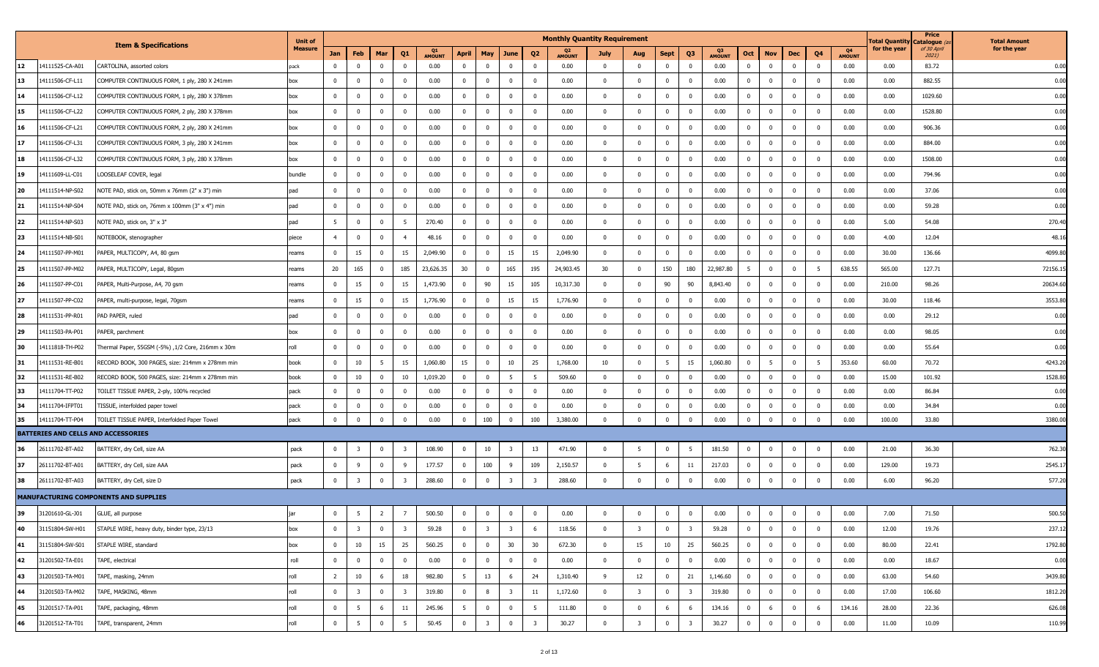|    |                                     |                                                   | <b>Unit of</b> |                |                         |                         |                         |                     |                |                         |                         |                         | <b>Monthly Quantity Requirement</b> |              |                         |                         |                         |               |                         |                         |                         |                |                            | Total Quantity | Price<br>Catalogue ( | <b>Total Amount</b> |
|----|-------------------------------------|---------------------------------------------------|----------------|----------------|-------------------------|-------------------------|-------------------------|---------------------|----------------|-------------------------|-------------------------|-------------------------|-------------------------------------|--------------|-------------------------|-------------------------|-------------------------|---------------|-------------------------|-------------------------|-------------------------|----------------|----------------------------|----------------|----------------------|---------------------|
|    |                                     | <b>Item &amp; Specifications</b>                  | <b>Measure</b> | Jan            | Feb                     | Mar                     | Q1                      | Q1<br><b>AMOUNT</b> |                | April   May             | June                    | Q <sub>2</sub>          | <b>AMOUNT</b>                       | <b>July</b>  | Aug                     | <b>Sept</b>             | Q3                      | <b>AMOUNT</b> | Oct                     | <b>Nov</b>              | Dec                     | Q4             | <b>Q4</b><br><b>AMOUNT</b> | for the year   | of 30 April<br>2021) | for the year        |
| 12 | 14111525-CA-A01                     | CARTOLINA, assorted colors                        | oack           | $\Omega$       | $\mathbf 0$             | $\overline{\mathbf{0}}$ | $\Omega$                | 0.00                | $\mathbf 0$    | $\overline{0}$          | $^{\circ}$              | $^{\circ}$              | 0.00                                | $^{\circ}$   | $\overline{\mathbf{0}}$ | $\overline{\mathbf{0}}$ | $\Omega$                | 0.00          | $\overline{0}$          | $\overline{0}$          | $\mathbf{0}$            | $\mathbf 0$    | 0.00                       | 0.00           | 83.72                | 0.00                |
| 13 | 14111506-CF-L11                     | COMPUTER CONTINUOUS FORM, 1 ply, 280 X 241mm      | box            | $^{\circ}$     | $\mathbf 0$             | $\Omega$                | $\Omega$                | 0.00                | $\mathbf 0$    | $\Omega$                | $^{\circ}$              | $\Omega$                | 0.00                                | $\mathbf 0$  | $\Omega$                | $\mathbf 0$             | $\Omega$                | 0.00          | $\overline{0}$          | $\overline{\mathbf{0}}$ | $\overline{\mathbf{0}}$ | $\mathbf{0}$   | 0.00                       | 0.00           | 882.55               | 0.00                |
| 14 | 14111506-CF-L12                     | COMPUTER CONTINUOUS FORM, 1 ply, 280 X 378mm      | box            | $^{\circ}$     | $\mathbf 0$             | $\overline{0}$          | $\Omega$                | 0.00                | $^{\circ}$     | $\mathbf{0}$            | $^{\circ}$              | $^{\circ}$              | 0.00                                | $\mathbf 0$  | $\overline{\mathbf{0}}$ | $\mathbf 0$             | $\mathbf 0$             | 0.00          | $\overline{\mathbf{0}}$ | $\overline{\mathbf{0}}$ | $^{\circ}$              | $\mathbf 0$    | 0.00                       | 0.00           | 1029.60              | 0.00                |
| 15 | 14111506-CF-L22                     | COMPUTER CONTINUOUS FORM, 2 ply, 280 X 378mm      | box            | $^{\circ}$     | $\mathbf 0$             | $\overline{\mathbf{0}}$ | $^{\circ}$              | 0.00                | $\mathbf{0}$   | $\overline{\mathbf{0}}$ | $\mathbf{0}$            | $\mathbf 0$             | 0.00                                | $\mathbf{0}$ | $\overline{\mathbf{0}}$ | $\mathbf{0}$            | $^{\circ}$              | 0.00          | $\mathbf{0}$            | $\overline{\mathbf{0}}$ | $\overline{0}$          | $\mathbf 0$    | 0.00                       | 0.00           | 1528.80              | 0.00                |
| 16 | 14111506-CF-L21                     | COMPUTER CONTINUOUS FORM, 2 ply, 280 X 241mm      | box            | $^{\circ}$     | $\mathbf 0$             | $\Omega$                |                         | 0.00                | $\mathbf 0$    |                         |                         |                         | 0.00                                | $\mathbf 0$  | $\overline{\mathbf{0}}$ | $\mathbf 0$             |                         | 0.00          | $\overline{\mathbf{0}}$ | $\overline{0}$          | $\mathbf 0$             | $\Omega$       | 0.00                       | 0.00           | 906.36               | 0.00                |
| 17 | 14111506-CF-L31                     | COMPUTER CONTINUOUS FORM, 3 ply, 280 X 241mm      | box            | $\mathbf{0}$   | $\mathbf 0$             | $\mathbf 0$             | $^{\circ}$              | 0.00                | $^{\circ}$     | $\overline{0}$          | $\mathbf 0$             | $\Omega$                | 0.00                                | $\mathbf 0$  | $\overline{\mathbf{0}}$ | $\mathbf{0}$            | $\Omega$                | 0.00          | $\overline{0}$          | $\overline{\mathbf{0}}$ | $\overline{\mathbf{0}}$ | $\mathbf{0}$   | 0.00                       | 0.00           | 884.00               | 0.00                |
| 18 | 14111506-CF-L32                     | COMPUTER CONTINUOUS FORM, 3 ply, 280 X 378mm      | box            | $^{\circ}$     | $\mathbf 0$             | $\Omega$                | $\Omega$                | 0.00                | $\mathbf 0$    | $\Omega$                | $^{\circ}$              | $\Omega$                | 0.00                                | $\mathbf 0$  | $\Omega$                | $\mathbf 0$             | $\Omega$                | 0.00          | $\overline{0}$          | $\overline{\mathbf{0}}$ | $\mathbf{0}$            | $\mathbf{0}$   | 0.00                       | 0.00           | 1508.00              | 0.00                |
| 19 | 14111609-LL-C01                     | LOOSELEAF COVER, legal                            | bundle         | $^{\circ}$     | $\mathbf 0$             | $\overline{0}$          | $\Omega$                | 0.00                | $^{\circ}$     | $\mathbf{0}$            | $^{\circ}$              | $^{\circ}$              | 0.00                                | $\mathbf{0}$ | $\overline{\mathbf{0}}$ | $\mathbf 0$             | $\mathbf 0$             | 0.00          | $\mathbf{0}$            | $\overline{\mathbf{0}}$ | $\mathbf 0$             | $\mathbf 0$    | 0.00                       | 0.00           | 794.96               | 0.00                |
| 20 | 14111514-NP-S02                     | NOTE PAD, stick on, 50mm x 76mm (2" x 3") min     | pad            | $^{\circ}$     | $\mathbf 0$             | $\overline{\mathbf{0}}$ | $^{\circ}$              | 0.00                | $\mathbf{0}$   | $\overline{\mathbf{0}}$ | $\mathbf{0}$            | $\mathbf 0$             | 0.00                                | $\mathbf{0}$ | $\overline{\mathbf{0}}$ | $\mathbf{0}$            | $^{\circ}$              | 0.00          | $\mathbf{0}$            | $\overline{\mathbf{0}}$ | $\overline{0}$          | $\mathbf 0$    | 0.00                       | 0.00           | 37.06                | 0.00                |
| 21 | 14111514-NP-S04                     | NOTE PAD, stick on, 76mm x 100mm (3" x 4") min    | pad            | $^{\circ}$     | $\mathbf 0$             | $\Omega$                |                         | 0.00                | $\mathbf 0$    |                         |                         |                         | 0.00                                | $\mathbf 0$  | $\overline{\mathbf{0}}$ | $\mathbf 0$             |                         | 0.00          | $\overline{\mathbf{0}}$ | $\overline{0}$          | $\mathbf 0$             | $\Omega$       | 0.00                       | 0.00           | 59.28                | 0.00                |
| 22 | 14111514-NP-S03                     | NOTE PAD, stick on, 3" x 3"                       | pad            | 5              | $\mathbf 0$             | $\mathbf 0$             | 5                       | 270.40              | $^{\circ}$     | $\overline{\mathbf{0}}$ | $\mathbf 0$             | $^{\circ}$              | 0.00                                | $\mathbf 0$  | $\overline{\mathbf{0}}$ | $\mathbf 0$             | $\Omega$                | 0.00          | $\overline{0}$          | $\overline{\mathbf{0}}$ | $\overline{\mathbf{0}}$ | $\mathbf{0}$   | 0.00                       | 5.00           | 54.08                | 270.40              |
| 23 | 14111514-NB-S01                     | NOTEBOOK, stenographer                            | piece          | $\overline{4}$ | $\mathbf 0$             | $\overline{0}$          |                         | 48.16               | $\mathbf 0$    | $\Omega$                | $^{\circ}$              | $\Omega$                | 0.00                                | $\mathbf{0}$ | $\Omega$                | $\mathbf 0$             | $\Omega$                | 0.00          | $\overline{0}$          | $\overline{\mathbf{0}}$ | $\mathbf{0}$            | $\mathbf{0}$   | 0.00                       | 4.00           | 12.04                | 48.16               |
| 24 | 14111507-PP-M01                     | PAPER, MULTICOPY, A4, 80 gsm                      | reams          | $\mathbf 0$    | 15                      | $\overline{0}$          | 15                      | 2,049.90            | $^{\circ}$     | $\overline{0}$          | 15                      | 15                      | 2,049.90                            | $\mathbf 0$  | $\overline{\mathbf{0}}$ | $\mathbf 0$             | $\Omega$                | 0.00          | $\overline{\mathbf{0}}$ | $\overline{\mathbf{0}}$ | $\mathbf 0$             | $\mathbf 0$    | 0.00                       | 30.00          | 136.66               | 4099.80             |
| 25 | 14111507-PP-M02                     | PAPER, MULTICOPY, Legal, 80gsm                    | reams          | 20             | 165                     | $\overline{\mathbf{0}}$ | 185                     | 23,626.35           | 30             | $\overline{\mathbf{0}}$ | 165                     | 195                     | 24,903.45                           | 30           | $\overline{\mathbf{0}}$ | 150                     | 180                     | 22,987.80     | 5                       | $\overline{\mathbf{0}}$ | $\overline{0}$          | 5              | 638.55                     | 565.00         | 127.71               | 72156.1             |
| 26 | 14111507-PP-C01                     | PAPER, Multi-Purpose, A4, 70 gsm                  | reams          | $^{\circ}$     | 15                      | $\mathbf 0$             | 15                      | 1,473.90            | $\mathbf 0$    | 90                      | 15                      | 105                     | 10,317.30                           | $\mathbf{0}$ | $\mathbf{0}$            | 90                      | 90                      | 8,843.40      | $\overline{\mathbf{0}}$ | $\overline{0}$          | $\overline{\mathbf{0}}$ | $\Omega$       | 0.00                       | 210.00         | 98.26                | 20634.60            |
| 27 | 14111507-PP-C02                     | PAPER, multi-purpose, legal, 70gsm                | reams          | $^{\circ}$     | 15                      | $\mathbf{0}$            | 15                      | 1,776.90            | $^{\circ}$     | $\Omega$                | 15                      | 15                      | 1,776.90                            | $\mathbf{0}$ | $\Omega$                | $\mathbf 0$             |                         | 0.00          | $\overline{0}$          | $\Omega$                | $\mathbf{0}$            | $\Omega$       | 0.00                       | 30.00          | 118.46               | 3553.80             |
| 28 | 14111531-PP-R01                     | PAD PAPER, ruled                                  | pad            | $\mathbf{0}$   | $\mathbf 0$             | $\Omega$                | $\Omega$                | 0.00                | $\mathbf 0$    | $\Omega$                | $^{\circ}$              | $\Omega$                | 0.00                                | $\mathbf 0$  | $\Omega$                | $\mathbf 0$             | $\Omega$                | 0.00          | $\mathbf 0$             | $\overline{\mathbf{0}}$ | $\overline{\mathbf{0}}$ | $\mathbf{0}$   | 0.00                       | 0.00           | 29.12                | 0.00                |
| 29 | 14111503-PA-P01                     | PAPER, parchment                                  | box            | $\mathbf 0$    | $\mathbf 0$             | $\mathbf{0}$            |                         | 0.00                | $\mathbf{0}$   | $\overline{0}$          |                         | $^{\circ}$              | 0.00                                | $\mathbf 0$  | $\overline{\mathbf{0}}$ | $\mathbf 0$             | $\Omega$                | 0.00          | $\overline{\mathbf{0}}$ | $\overline{\mathbf{0}}$ | $\mathbf 0$             | $\mathbf 0$    | 0.00                       | 0.00           | 98.05                | 0.00                |
| 30 | 14111818-TH-P02                     | Fhermal Paper, 55GSM (-5%) ,1/2 Core, 216mm x 30m | roll           | $\mathbf 0$    | $\mathbf 0$             | $\overline{\mathbf{0}}$ | $^{\circ}$              | 0.00                | $\mathbf{0}$   | $\overline{\mathbf{0}}$ | $\mathbf{0}$            | $\mathbf 0$             | 0.00                                | $\mathbf{0}$ | $\overline{\mathbf{0}}$ | $\mathbf 0$             | $^{\circ}$              | 0.00          | $\mathbf{0}$            | $\overline{\mathbf{0}}$ | $\overline{0}$          | $\mathbf 0$    | 0.00                       | 0.00           | 55.64                | 0.00                |
| 31 | 14111531-RE-B01                     | RECORD BOOK, 300 PAGES, size: 214mm x 278mm min   | book           | 0              | 10                      | - 5                     | 15                      | 1,060.80            | 15             | $\Omega$                | 10                      | 25                      | 1,768.00                            | 10           | $\overline{\mathbf{0}}$ | -5                      | 15                      | 1,060.80      | $\overline{\mathbf{0}}$ | -5                      | $\mathbf 0$             |                | 353.60                     | 60.00          | 70.72                | 4243.20             |
| 32 | 14111531-RE-B02                     | RECORD BOOK, 500 PAGES, size: 214mm x 278mm min   | book           | $\mathbf 0$    | 10                      | $\overline{0}$          | 10                      | 1,019.20            | $\mathbf 0$    | $\overline{0}$          | - 5                     |                         | 509.60                              | $\mathbf 0$  | $\overline{\mathbf{0}}$ | $\mathbf 0$             | $\Omega$                | 0.00          | $\overline{0}$          | $\overline{\mathbf{0}}$ | $\overline{\mathbf{0}}$ | $\mathbf 0$    | 0.00                       | 15.00          | 101.92               | 1528.8              |
| 33 | 14111704-TT-P02                     | TOILET TISSUE PAPER, 2-ply, 100% recycled         | pack           | $^{\circ}$     | $^{\circ}$              | $\overline{0}$          |                         | 0.00                | $^{\circ}$     | $\overline{\mathbf{0}}$ |                         | $^{\circ}$              | 0.00                                | $\mathbf{0}$ | $\overline{\mathbf{0}}$ | $^{\circ}$              | $\Omega$                | 0.00          | $\overline{0}$          | $\overline{\mathbf{0}}$ | $^{\circ}$              | $\mathbf 0$    | 0.00                       | 0.00           | 86.84                | 0.00                |
| 34 | 14111704-IFPT01                     | TISSUE, interfolded paper towel                   | pack           | 0              | $^{\circ}$              | $\mathbf 0$             |                         | 0.00                | $^{\circ}$     | $\overline{0}$          | $^{\circ}$              | $\Omega$                | 0.00                                | $\mathbf 0$  | $\mathbf{0}$            | $\mathbf 0$             |                         | 0.00          | $\overline{0}$          | $\Omega$                | $^{\circ}$              | $\Omega$       | 0.00                       | 0.00           | 34.84                | 0.00                |
| 35 | 14111704-TT-P04                     | TOILET TISSUE PAPER, Interfolded Paper Towel      | pack           | $\mathbf 0$    | $\mathbf{0}$            | $\overline{0}$          | $\Omega$                | 0.00                | $\overline{0}$ | 100                     | $\mathbf 0$             | 100                     | 3,380.00                            | $\mathbf{0}$ | $\overline{\mathbf{0}}$ | $\mathbf 0$             | $\Omega$                | 0.00          | $\mathbf{0}$            | $\overline{\mathbf{0}}$ | $\overline{0}$          | $\mathbf{0}$   | 0.00                       | 100.00         | 33.80                | 3380.00             |
|    | BATTERIES AND CELLS AND ACCESSORIES |                                                   |                |                |                         |                         |                         |                     |                |                         |                         |                         |                                     |              |                         |                         |                         |               |                         |                         |                         |                |                            |                |                      |                     |
| 36 | 26111702-BT-A02                     | BATTERY, dry Cell, size AA                        | pack           | $\mathbf 0$    | $\overline{\mathbf{3}}$ | $\overline{\mathbf{0}}$ | -3                      | 108.90              | $\mathbf{0}$   | 10                      | 3                       | 13                      | 471.90                              | $\mathbf{0}$ | $5^{\circ}$             | $\mathbf 0$             | 5                       | 181.50        | $\overline{0}$          | $\overline{\mathbf{0}}$ | $\overline{0}$          | $\mathbf 0$    | 0.00                       | 21.00          | 36.30                | 762.30              |
| 37 | 26111702-BT-A01                     | BATTERY, dry Cell, size AAA                       | pack           | $^{\circ}$     | 9                       | $\overline{\mathbf{0}}$ |                         | 177.57              | $\mathbf{0}$   | 100                     | 9                       | 109                     | 2,150.57                            | $\mathbf 0$  | $5\overline{5}$         | 6                       | 11                      | 217.03        | $\overline{\mathbf{0}}$ | $\overline{\mathbf{0}}$ | $\overline{0}$          | $\mathbf 0$    | 0.00                       | 129.00         | 19.73                | 2545.1              |
| 38 | 26111702-BT-A03                     | BATTERY, dry Cell, size D                         | pack           | $\mathbf 0$    | $\overline{\mathbf{3}}$ | $\overline{0}$          | -3                      | 288.60              | $\mathbf{0}$   | $\overline{\mathbf{0}}$ | $\overline{\mathbf{3}}$ | $\overline{\mathbf{3}}$ | 288.60                              | $\mathbf 0$  | $\mathbf 0$             | $\mathbf 0$             | $^{\circ}$              | 0.00          | $\overline{\mathbf{0}}$ | $\overline{\mathbf{0}}$ | $\overline{0}$          | $\overline{0}$ | 0.00                       | 6.00           | 96.20                | 577.20              |
|    |                                     | MANUFACTURING COMPONENTS AND SUPPLIES             |                |                |                         |                         |                         |                     |                |                         |                         |                         |                                     |              |                         |                         |                         |               |                         |                         |                         |                |                            |                |                      |                     |
| 39 | 31201610-GL-J01                     | GLUE, all purpose                                 | jar            | $\mathbf 0$    | 5 <sub>5</sub>          | $\overline{2}$          | $\overline{7}$          | 500.50              | $\mathbf 0$    | $\overline{\mathbf{0}}$ | $\mathbf 0$             | $\mathbf 0$             | 0.00                                | $\Omega$     | $\Omega$                | $\mathbf{0}$            | $\mathbf 0$             | 0.00          | $\overline{\mathbf{0}}$ | $\overline{0}$          | $\mathbf 0$             | $\mathbf 0$    | 0.00                       | 7.00           | 71.50                | 500.50              |
| 40 | 31151804-SW-H01                     | STAPLE WIRE, heavy duty, binder type, 23/13       | box            | $\mathbf 0$    | $\overline{\mathbf{3}}$ | $\overline{\mathbf{0}}$ | $\overline{\mathbf{3}}$ | 59.28               | $\mathbf 0$    | $\overline{\mathbf{3}}$ | $\overline{\mathbf{3}}$ | 6                       | 118.56                              | $\mathbf 0$  | $\overline{\mathbf{3}}$ | $\mathbf 0$             | $\overline{\mathbf{3}}$ | 59.28         | $\mathbf 0$             | $\overline{\mathbf{0}}$ | $\overline{0}$          | $\mathbf 0$    | 0.00                       | 12.00          | 19.76                | 237.12              |
| 41 | 31151804-SW-S01                     | STAPLE WIRE, standard                             | box            | $\mathbf{0}$   | 10                      | 15                      | 25                      | 560.25              | $\mathbf 0$    | $\overline{0}$          | 30                      | 30 <sub>o</sub>         | 672.30                              | $\mathbf 0$  | 15                      | 10                      | 25                      | 560.25        | $\mathbf{0}$            | $\overline{0}$          | $\overline{0}$          | $\mathbf{0}$   | 0.00                       | 80.00          | 22.41                | 1792.80             |
| 42 | 31201502-TA-E01                     | TAPE, electrical                                  | roll           | $\mathbf{0}$   | $\mathbf 0$             | $\overline{0}$          | $^{\circ}$              | 0.00                | $\mathbf{0}$   | $\overline{\mathbf{0}}$ | $\mathbf 0$             | $\mathbf 0$             | 0.00                                | $\mathbf 0$  | $\overline{\mathbf{0}}$ | $\mathbf 0$             | $\mathbf 0$             | 0.00          | $\overline{0}$          | $\overline{\mathbf{0}}$ | $\overline{0}$          | $\mathbf 0$    | 0.00                       | 0.00           | 18.67                | 0.00                |
| 43 | 31201503-TA-M01                     | TAPE, masking, 24mm                               | roll           | $\overline{2}$ | 10                      | 6                       | 18                      | 982.80              | 5 <sup>5</sup> | 13                      | 6                       | 24                      | 1,310.40                            | 9            | 12                      | $\mathbf{0}$            | 21                      | 1,146.60      | $\overline{0}$          | $\overline{\mathbf{0}}$ | $\overline{0}$          | $\mathbf 0$    | 0.00                       | 63.00          | 54.60                | 3439.80             |
| 44 | 31201503-TA-M02                     | TAPE, MASKING, 48mm                               | roll           | $\mathbf{0}$   | $\overline{\mathbf{3}}$ | $\overline{0}$          | $\overline{\mathbf{3}}$ | 319.80              | $\overline{0}$ | 8                       | $\overline{\mathbf{3}}$ | 11                      | 1,172.60                            | $\mathbf 0$  | $\overline{\mathbf{3}}$ | $\mathbf 0$             | $\overline{\mathbf{3}}$ | 319.80        | $\mathbf{0}$            | $\overline{0}$          | $\overline{0}$          | $\mathbf 0$    | 0.00                       | 17.00          | 106.60               | 1812.20             |
| 45 | 31201517-TA-P01                     | TAPE, packaging, 48mm                             | roll           | $\mathbf 0$    | 5 <sub>5</sub>          | 6                       | 11                      | 245.96              | 5              | $\overline{\mathbf{0}}$ | $\mathbf{0}$            | 5                       | 111.80                              | $\mathbf 0$  | $\overline{0}$          | 6                       | 6                       | 134.16        | $\overline{0}$          | 6                       | $\overline{0}$          | 6              | 134.16                     | 28.00          | 22.36                | 626.08              |
| 46 | 31201512-TA-T01                     | TAPE, transparent, 24mm                           | roll           | $\mathbf 0$    | 5                       | $\overline{0}$          | 5                       | 50.45               | $\mathbf 0$    | $\overline{\mathbf{3}}$ | $\mathbf 0$             | $\overline{3}$          | 30.27                               | $\mathbf 0$  | $\overline{\mathbf{3}}$ | $\mathbf 0$             |                         | 30.27         | $\overline{\mathbf{0}}$ | $\overline{\mathbf{0}}$ | $\mathbf 0$             | $\mathbf{0}$   | 0.00                       | 11.00          | 10.09                | 110.99              |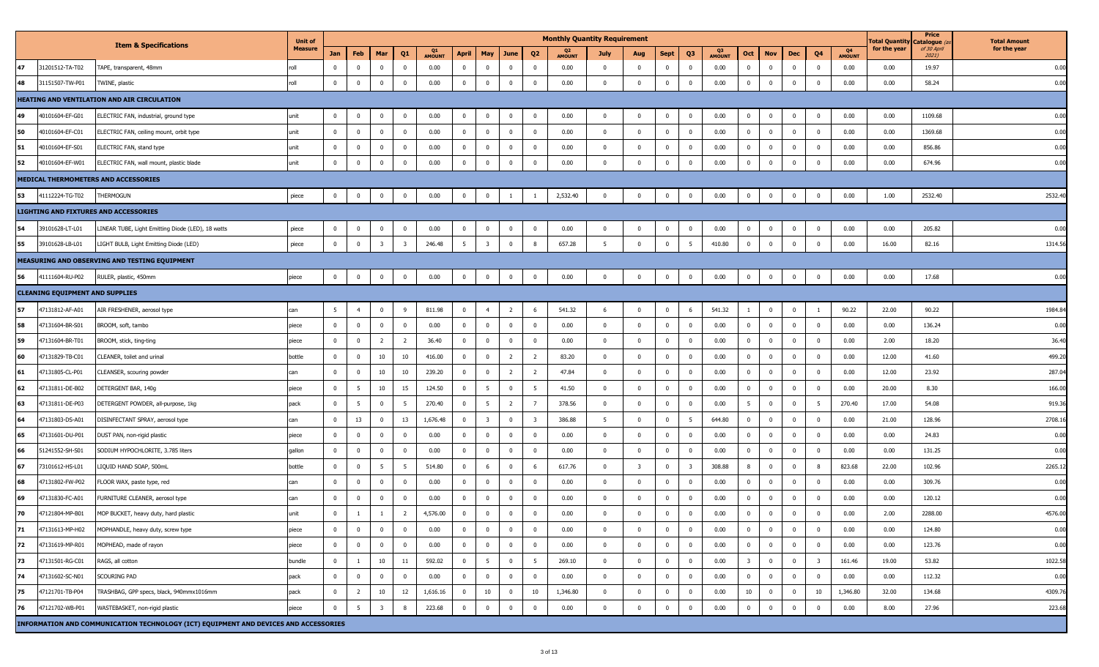|    |                                        |                                                                                      | <b>Unit of</b> |                |                 |                         |                         |               |                |                         |                |                         | <b>Monthly Quantity Requirement</b> |                |                         |                |                         |                     |                         |                         |                         |                |                     | <b>Total Quantity</b> | Price<br>Catalogue ( | <b>Total Amount</b> |
|----|----------------------------------------|--------------------------------------------------------------------------------------|----------------|----------------|-----------------|-------------------------|-------------------------|---------------|----------------|-------------------------|----------------|-------------------------|-------------------------------------|----------------|-------------------------|----------------|-------------------------|---------------------|-------------------------|-------------------------|-------------------------|----------------|---------------------|-----------------------|----------------------|---------------------|
|    |                                        | <b>Item &amp; Specifications</b>                                                     | <b>Measure</b> | Jan            | Feb             | Mar                     | Q1                      | <b>AMOUNT</b> | April          | May                     | June           | Q <sub>2</sub>          | <b>AMOUNT</b>                       | July           | Aug                     | <b>Sept</b>    | Q3                      | Q3<br><b>AMOUNT</b> | Oct                     | <b>Nov</b>              | Dec                     | Q4             | Q4<br><b>AMOUNT</b> | for the year          | of 30 April<br>2021) | for the year        |
| 47 | 31201512-TA-T02                        | TAPE, transparent, 48mm                                                              | roll           | $^{\circ}$     | $\mathbf 0$     | $\mathbf 0$             | $^{\circ}$              | 0.00          | $\mathbf 0$    | $\overline{0}$          | $\mathbf 0$    | $\overline{0}$          | 0.00                                | $\mathbf{0}$   | $\mathbf 0$             | $\mathbf 0$    | $\mathbf 0$             | 0.00                | $\overline{0}$          | $\mathbf 0$             | $\mathbf 0$             | $\overline{0}$ | 0.00                | 0.00                  | 19.97                | 0.00                |
| 48 | 31151507-TW-P01                        | TWINE, plastic                                                                       | roll           | $\mathbf 0$    | $\mathbf 0$     | $\mathbf 0$             | $\mathbf 0$             | 0.00          | $\overline{0}$ | $\mathbf 0$             | $\mathbf{0}$   | $\overline{\mathbf{0}}$ | 0.00                                | $\mathbf 0$    | $\mathbf{0}$            | $\overline{0}$ | $\overline{0}$          | 0.00                | $\mathbf 0$             | $\overline{\mathbf{0}}$ | $\mathbf 0$             | $\Omega$       | 0.00                | 0.00                  | 58.24                | 0.00                |
|    |                                        | HEATING AND VENTILATION AND AIR CIRCULATION                                          |                |                |                 |                         |                         |               |                |                         |                |                         |                                     |                |                         |                |                         |                     |                         |                         |                         |                |                     |                       |                      |                     |
| 49 | 40101604-EF-G01                        | ELECTRIC FAN, industrial, ground type                                                | unit           | $\mathbf{0}$   | $\mathbf 0$     | $\bf{0}$                | $\mathbf{0}$            | 0.00          | $\overline{0}$ | $\mathbf 0$             | $\mathbf{0}$   | $\mathbf{0}$            | 0.00                                | $\mathbf{0}$   | $\mathbf{0}$            | $\mathbf 0$    | $\overline{0}$          | 0.00                | $\overline{0}$          | $\overline{\mathbf{0}}$ | $\mathbf{0}$            | $\overline{0}$ | 0.00                | 0.00                  | 1109.68              | 0.00                |
| 50 | 40101604-EF-C01                        | ELECTRIC FAN, ceiling mount, orbit type                                              | unit           | $\mathbf 0$    | $\overline{0}$  | $\mathbf 0$             | $\mathbf 0$             | 0.00          | $\overline{0}$ | $\mathbf 0$             | $\mathbf 0$    | $\mathbf 0$             | 0.00                                | $\mathbf 0$    | $\mathbf{0}$            | $\overline{0}$ | $\overline{0}$          | 0.00                | $\bf{0}$                | $\overline{\mathbf{0}}$ | $\mathbf{0}$            | $\mathbf 0$    | 0.00                | 0.00                  | 1369.68              | 0.00                |
| 51 | 40101604-EF-S01                        | ELECTRIC FAN, stand type                                                             | unit           | $^{\circ}$     | $\mathbf 0$     | $\mathbf{0}$            | $^{\circ}$              | 0.00          | $\mathbf 0$    | $\mathbf{0}$            | $\mathbf 0$    | 0                       | 0.00                                | 0              | $\mathbf{0}$            | $\mathbf 0$    | $\mathbf{0}$            | 0.00                | $\mathbf{0}$            | $^{\circ}$              | $\mathbf{0}$            | $\mathbf{0}$   | 0.00                | 0.00                  | 856.86               | 0.00                |
| 52 | 40101604-EF-W01                        | ELECTRIC FAN, wall mount, plastic blade                                              | unit           | $\mathbf{0}$   | $\mathbf 0$     | $\mathbf 0$             | $\mathbf 0$             | 0.00          | $\mathbf{0}$   | $\mathbf 0$             | $\mathbf 0$    | $\overline{\mathbf{0}}$ | 0.00                                | $\Omega$       | $\mathbf{0}$            | $\mathbf 0$    | $\mathbf{0}$            | 0.00                | $\mathbf 0$             | $\overline{0}$          | $\mathbf{0}$            | $\mathbf 0$    | 0.00                | 0.00                  | 674.96               | 0.00                |
|    |                                        | MEDICAL THERMOMETERS AND ACCESSORIES                                                 |                |                |                 |                         |                         |               |                |                         |                |                         |                                     |                |                         |                |                         |                     |                         |                         |                         |                |                     |                       |                      |                     |
| 53 | 41112224-TG-T02                        | THERMOGUN                                                                            | piece          | $\overline{0}$ | $\mathbf 0$     | $\bf{0}$                | $\bf{0}$                | 0.00          | $\bf{0}$       | $\mathbf{0}$            | $\mathbf{1}$   | -1                      | 2,532.40                            | $\mathbf{0}$   | $\mathbf{0}$            | $\mathbf{0}$   | $\overline{0}$          | 0.00                | $\mathbf 0$             | $\overline{0}$          | $\overline{0}$          | $\overline{0}$ | 0.00                | 1.00                  | 2532.40              | 2532.4              |
|    |                                        | LIGHTING AND FIXTURES AND ACCESSORIES                                                |                |                |                 |                         |                         |               |                |                         |                |                         |                                     |                |                         |                |                         |                     |                         |                         |                         |                |                     |                       |                      |                     |
| 54 | 39101628-LT-L01                        | LINEAR TUBE, Light Emitting Diode (LED), 18 watts                                    | piece          | $\overline{0}$ | $\mathbf 0$     | $\mathbf 0$             | $\mathbf{0}$            | 0.00          | $\overline{0}$ | $\mathbf 0$             | $\mathbf{0}$   | $\overline{\mathbf{0}}$ | 0.00                                | $\mathbf{0}$   | $\overline{\mathbf{0}}$ | $\mathbf{0}$   | $\overline{0}$          | 0.00                | $\mathbf 0$             | $\overline{\mathbf{0}}$ | $\overline{0}$          | $\mathbf 0$    | 0.00                | 0.00                  | 205.82               | 0.00                |
| 55 | 39101628-LB-L01                        | LIGHT BULB, Light Emitting Diode (LED)                                               | piece          | $\Omega$       | $\overline{0}$  | $\overline{\mathbf{3}}$ | $\overline{\mathbf{3}}$ | 246.48        | 5              | $\overline{3}$          | $\mathbf{0}$   | 8                       | 657.28                              | $-5$           | $\mathbf 0$             | $\Omega$       | 5                       | 410.80              | $\mathbf 0$             | $\overline{0}$          | $\overline{0}$          | $\Omega$       | 0.00                | 16.00                 | 82.16                | 1314.56             |
|    |                                        | MEASURING AND OBSERVING AND TESTING EQUIPMENT                                        |                |                |                 |                         |                         |               |                |                         |                |                         |                                     |                |                         |                |                         |                     |                         |                         |                         |                |                     |                       |                      |                     |
| 56 | 41111604-RU-P02                        | RULER, plastic, 450mm                                                                | piece          | $\mathbf 0$    | $\mathbf 0$     | $\bf{0}$                | $\bf{0}$                | 0.00          | $\mathbf 0$    | $\mathbf{0}$            | $\mathbf 0$    | $\overline{\mathbf{0}}$ | 0.00                                | $\mathbf{0}$   | $\mathbf{0}$            | $\mathbf 0$    | $\overline{0}$          | 0.00                | $\mathbf 0$             | $\overline{0}$          | $\mathbf{0}$            | $\overline{0}$ | 0.00                | 0.00                  | 17.68                | 0.00                |
|    | <b>CLEANING EQUIPMENT AND SUPPLIES</b> |                                                                                      |                |                |                 |                         |                         |               |                |                         |                |                         |                                     |                |                         |                |                         |                     |                         |                         |                         |                |                     |                       |                      |                     |
| 57 | 47131812-AF-A01                        | AIR FRESHENER, aerosol type                                                          | can            | 5 <sub>5</sub> | $\overline{4}$  | $\mathbf 0$             | 9                       | 811.98        | $\mathbf 0$    | $\overline{4}$          | $\overline{2}$ | 6                       | 541.32                              | 6              | $\mathbf 0$             | $\mathbf 0$    | 6                       | 541.32              | 1                       | $\overline{\mathbf{0}}$ | $\mathbf{0}$            | -1             | 90.22               | 22.00                 | 90.22                | 1984.8              |
| 58 | 47131604-BR-S01                        | BROOM, soft, tambo                                                                   | piece          | $\mathbf 0$    | $\mathbf 0$     | $\bf{0}$                | $\overline{0}$          | 0.00          | $\overline{0}$ | $\mathbf 0$             | $\mathbf{0}$   | $\overline{\mathbf{0}}$ | 0.00                                | $\overline{0}$ | $\mathbf{0}$            | $\mathbf{0}$   | $\mathbf{0}$            | 0.00                | $\mathbf{0}$            | $\overline{\mathbf{0}}$ | $\mathbf{0}$            | $\mathbf 0$    | 0.00                | 0.00                  | 136.24               | 0.00                |
| 59 | 47131604-BR-T01                        | BROOM, stick, ting-ting                                                              | piece          | $\mathbf 0$    | $\mathbf 0$     | $\overline{2}$          | $\overline{2}$          | 36.40         | $\overline{0}$ | $\overline{0}$          | $\mathbf{0}$   | $\mathbf 0$             | 0.00                                | $\mathbf 0$    | $\mathbf 0$             | $\mathbf 0$    | $\mathbf{0}$            | 0.00                | $\mathbf{0}$            | $\overline{\mathbf{0}}$ | $\mathbf{0}$            | $\mathbf{0}$   | 0.00                | 2.00                  | 18.20                | 36.40               |
| 60 | 47131829-TB-C01                        | CLEANER, toilet and urinal                                                           | bottle         | $^{\circ}$     | $\mathbf 0$     | $10\,$                  | 10                      | 416.00        | $\mathbf 0$    | $\mathbf{0}$            | $\overline{2}$ | $\overline{2}$          | 83.20                               | 0              | $\mathbf 0$             | $\mathbf 0$    | $\mathbf{0}$            | 0.00                | $\mathbf{0}$            | $\overline{0}$          | $\overline{\mathbf{0}}$ | $\mathbf{0}$   | 0.00                | 12.00                 | 41.60                | 499.20              |
| 61 | 47131805-CL-P01                        | CLEANSER, scouring powder                                                            | can            | $\mathbf 0$    | $\mathbf 0$     | 10                      | 10                      | 239.20        | $\mathbf 0$    | $\mathbf{0}$            | $\overline{2}$ | $\overline{2}$          | 47.84                               | $\mathbf 0$    | $\mathbf{0}$            | $\mathbf 0$    | $\mathbf 0$             | 0.00                | $\mathbf{0}$            | $\mathbf 0$             | $\mathbf{0}$            | $\mathbf{0}$   | 0.00                | 12.00                 | 23.92                | 287.04              |
| 62 | 47131811-DE-B02                        | DETERGENT BAR, 140g                                                                  | piece          | $\mathbf 0$    | $5\overline{5}$ | $10\,$                  | 15                      | 124.50        | $\mathbf 0$    | $5\overline{5}$         | $\mathbf 0$    | 5                       | 41.50                               | $\Omega$       | $\mathbf 0$             | $\mathbf 0$    | $\mathbf 0$             | 0.00                | $\mathbf{0}$            | $\mathbf 0$             | $\mathbf 0$             | $\Omega$       | 0.00                | 20.00                 | 8.30                 | 166.00              |
| 63 | 47131811-DE-P03                        | DETERGENT POWDER, all-purpose, 1kg                                                   | pack           | $\mathbf 0$    | 5               | $\mathbf 0$             | 5                       | 270.40        | $\overline{0}$ | $5\overline{5}$         | $\overline{2}$ | $\overline{7}$          | 378.56                              | $\mathbf 0$    | $\mathbf{0}$            | $\overline{0}$ | $\overline{0}$          | 0.00                | $5^{\circ}$             | $\overline{\mathbf{0}}$ | $\mathbf{0}$            | 5              | 270.40              | 17.00                 | 54.08                | 919.36              |
| 64 | 47131803-DS-A01                        | DISINFECTANT SPRAY, aerosol type                                                     | can            | $\mathbf 0$    | 13              | $\mathbf 0$             | 13                      | 1,676.48      | $\mathbf{0}$   | $\overline{\mathbf{3}}$ | $\mathbf{0}$   | 3                       | 386.88                              | 5              | $\mathbf 0$             | $\mathbf{0}$   | 5                       | 644.80              | $\mathbf{0}$            | $\overline{\mathbf{0}}$ | $\mathbf{0}$            | $\mathbf{0}$   | 0.00                | 21.00                 | 128.96               | 2708.16             |
| 65 | 47131601-DU-P01                        | DUST PAN, non-rigid plastic                                                          | piece          | $\mathbf 0$    | $\mathbf 0$     | $\mathbf 0$             | $\mathbf 0$             | 0.00          | $\mathbf 0$    | $\overline{0}$          | $\mathbf 0$    | 0                       | 0.00                                | 0              | $\mathbf 0$             | $\mathbf 0$    | $\mathbf{0}$            | 0.00                | $\mathbf{0}$            | $\overline{0}$          | $\mathbf{0}$            | $\mathbf{0}$   | 0.00                | 0.00                  | 24.83                | 0.00                |
| 66 | 51241552-SH-S01                        | SODIUM HYPOCHLORITE, 3.785 liters                                                    | gallon         | $\mathbf 0$    | $\mathbf 0$     | $\mathbf 0$             | $\mathbf 0$             | 0.00          | $\mathbf 0$    | $\overline{0}$          | $\mathbf 0$    | $\mathbf{0}$            | 0.00                                | $\mathbf 0$    | $\mathbf{0}$            | $\mathbf 0$    | $\mathbf 0$             | 0.00                | $\mathbf{0}$            | $\mathbf 0$             | $\mathbf 0$             | $\Omega$       | 0.00                | 0.00                  | 131.25               | 0.00                |
| 67 | 73101612-HS-L01                        | LIQUID HAND SOAP, 500mL                                                              | bottle         | $\mathbf{0}$   | $\mathbf 0$     | 5                       | 5                       | 514.80        | $\mathbf{0}$   | 6                       | $\mathbf 0$    | 6                       | 617.76                              | $\Omega$       | $\overline{\mathbf{3}}$ | $\mathbf 0$    | $\overline{\mathbf{3}}$ | 308.88              | 8                       | $\overline{0}$          | $\mathbf 0$             | -8             | 823.68              | 22.00                 | 102.96               | 2265.1              |
| 68 | 47131802-FW-P02                        | FLOOR WAX, paste type, red                                                           | can            | $\mathbf 0$    | $\mathbf 0$     | $\mathbf 0$             | $\overline{0}$          | 0.00          | $\overline{0}$ | $\mathbf 0$             | $\mathbf 0$    | $\overline{0}$          | 0.00                                | $\mathbf 0$    | $\mathbf{0}$            | $\overline{0}$ | $\mathbf{0}$            | 0.00                | $\mathbf{0}$            | $\overline{\mathbf{0}}$ | $\overline{\mathbf{0}}$ | $\overline{0}$ | 0.00                | 0.00                  | 309.76               | 0.00                |
| 69 | 47131830-FC-A01                        | FURNITURE CLEANER, aerosol type                                                      | can            | $^{\circ}$     | $\mathbf 0$     | $\mathbf{0}$            | $\mathbf 0$             | 0.00          | $\mathbf{0}$   | $\Omega$                | $\mathbf{0}$   | 0                       | 0.00                                | 0              | $\mathbf 0$             | $\mathbf 0$    | $\overline{0}$          | 0.00                | $\mathbf{0}$            | $\overline{0}$          | $\mathbf 0$             | $\mathbf{0}$   | 0.00                | 0.00                  | 120.12               | 0.00                |
| 70 | 47121804-MP-B01                        | MOP BUCKET, heavy duty, hard plastic                                                 | unit           | $\mathbf{0}$   | $\mathbf{1}$    |                         | $\overline{2}$          | 4,576.00      | $\mathbf 0$    | $\mathbf 0$             | $\mathbf 0$    | $\Omega$                | 0.00                                | $\Omega$       | $\mathbf 0$             | $\Omega$       | $\mathbf 0$             | 0.00                | $\mathbf 0$             | $\mathbf 0$             | $\mathbf 0$             | $\Omega$       | 0.00                | 2.00                  | 2288.00              | 4576.00             |
| 71 | 47131613-MP-H02                        | MOPHANDLE, heavy duty, screw type                                                    | piece          | $\mathbf{0}$   | $\mathbf 0$     | $\mathbf 0$             | $\mathbf{0}$            | 0.00          | $\mathbf{0}$   | $\mathbf{0}$            | $\mathbf 0$    | $\mathbf{0}$            | 0.00                                | $\Omega$       | $\mathbf{0}$            | $\overline{0}$ | $\mathbf 0$             | 0.00                | $\mathbf{0}$            | $\mathbf{0}$            | $\mathbf{0}$            | $\mathbf{0}$   | 0.00                | 0.00                  | 124.80               | 0.00                |
| 72 | 47131619-MP-R01                        | MOPHEAD, made of rayon                                                               | piece          | $\overline{0}$ | $\mathbf 0$     | $\mathbf{0}$            | $\mathbf 0$             | 0.00          | $\overline{0}$ | $\mathbf{0}$            | $\mathbf 0$    | $\mathbf{0}$            | 0.00                                | $\Omega$       | $\mathbf 0$             | $\mathbf 0$    | $\mathbf 0$             | 0.00                | $\mathbf{0}$            | $\overline{0}$          | $\mathbf 0$             | $\mathbf 0$    | 0.00                | 0.00                  | 123.76               | 0.00                |
| 73 | 47131501-RG-C01                        | RAGS, all cotton                                                                     | bundle         | $\mathbf 0$    | $\mathbf{1}$    | $10\,$                  | 11                      | 592.02        | $\overline{0}$ | $5\overline{5}$         | $\mathbf 0$    | 5                       | 269.10                              | $\mathbf{0}$   | $\mathbf 0$             | $\mathbf 0$    | $\mathbf{0}$            | 0.00                | $\overline{\mathbf{3}}$ | $\overline{\mathbf{0}}$ | $\mathbf{0}$            | $\overline{3}$ | 161.46              | 19.00                 | 53.82                | 1022.58             |
| 74 | 47131602-SC-N01                        | SCOURING PAD                                                                         | pack           | $\overline{0}$ | $\mathbf 0$     | $\mathbf 0$             | $\mathbf{0}$            | 0.00          | $\overline{0}$ | $\mathbf 0$             | $\mathbf 0$    | $\mathbf 0$             | 0.00                                | $\mathbf 0$    | $\mathbf{0}$            | $\mathbf{0}$   | $\mathbf{0}$            | 0.00                | $\mathbf{0}$            | $\overline{\mathbf{0}}$ | $\mathbf{0}$            | $\bf{0}$       | 0.00                | 0.00                  | 112.32               | 0.00                |
| 75 | 47121701-TB-P04                        | TRASHBAG, GPP specs, black, 940mmx1016mm                                             | pack           | $\mathbf 0$    | $\overline{2}$  | 10                      | 12                      | 1,616.16      | $\mathbf 0$    | 10                      | $\mathbf 0$    | 10                      | 1,346.80                            | $\mathbf 0$    | $\mathbf{0}$            | $\mathbf 0$    | $\overline{0}$          | 0.00                | 10                      | $\overline{\mathbf{0}}$ | $\mathbf{0}$            | $10\,$         | 1,346.80            | 32.00                 | 134.68               | 4309.76             |
| 76 | 47121702-WB-P01                        | WASTEBASKET, non-rigid plastic                                                       | piece          | $\mathbf{0}$   | 5               | $\overline{3}$          | 8                       | 223.68        | $\mathbf 0$    | $\mathbf 0$             | $\mathbf 0$    | $\overline{\mathbf{0}}$ | 0.00                                | $\Omega$       | $\mathbf 0$             | $\mathbf 0$    | $\mathbf 0$             | 0.00                | $\mathbf 0$             | $\overline{0}$          | $\mathbf{0}$            | $\mathbf{0}$   | 0.00                | 8.00                  | 27.96                | 223.68              |
|    |                                        | INFORMATION AND COMMUNICATION TECHNOLOGY (ICT) EQUIPMENT AND DEVICES AND ACCESSORIES |                |                |                 |                         |                         |               |                |                         |                |                         |                                     |                |                         |                |                         |                     |                         |                         |                         |                |                     |                       |                      |                     |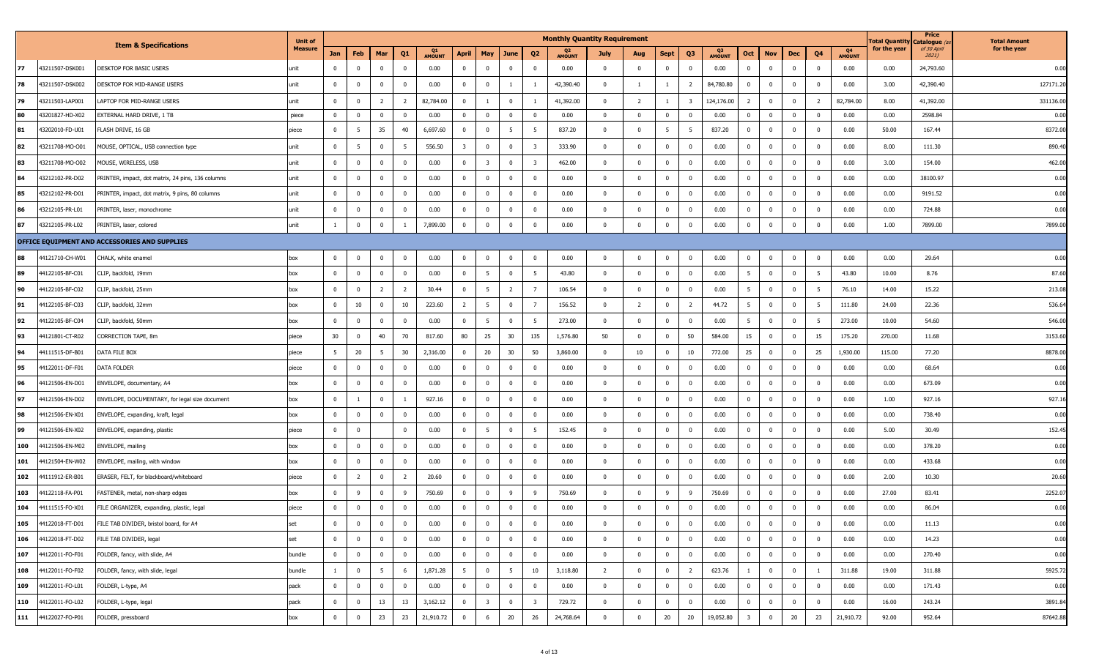|     |                 |                                                   | <b>Unit of</b> |                |                         |                |                |                     |                         |                         |                 |                         | <b>Monthly Quantity Requirement</b> |                |                         |                |                         |                     |                         |                         |                |                |                     | Total Quantit <sub>)</sub> | Price<br>Catalogue (a | <b>Total Amount</b> |
|-----|-----------------|---------------------------------------------------|----------------|----------------|-------------------------|----------------|----------------|---------------------|-------------------------|-------------------------|-----------------|-------------------------|-------------------------------------|----------------|-------------------------|----------------|-------------------------|---------------------|-------------------------|-------------------------|----------------|----------------|---------------------|----------------------------|-----------------------|---------------------|
|     |                 | <b>Item &amp; Specifications</b>                  | <b>Measure</b> | Jan            | Feb                     | Mar            | Q1             | Q1<br><b>AMOUNT</b> | April                   | <b>May</b>              | June            | Q <sub>2</sub>          | Q2<br><b>AMOUNT</b>                 | July           | Aug                     | <b>Sept</b>    | Q3                      | Q3<br><b>AMOUNT</b> | Oct                     | <b>Nov</b>              | Dec            | Q <sub>4</sub> | Q4<br><b>AMOUNT</b> | for the year               | of 30 April<br>2021)  | for the year        |
| 77  | 43211507-DSK001 | DESKTOP FOR BASIC USERS                           | unit           |                | $\overline{\mathbf{0}}$ | $\mathbf 0$    | $^{\circ}$     | 0.00                | $\mathbf 0$             | $\mathbf 0$             | $\mathbf{0}$    | $\mathbf 0$             | 0.00                                | $\mathbf 0$    | $\mathbf 0$             | $\mathbf{0}$   | $\mathbf{0}$            | 0.00                | $\mathbf 0$             | $\overline{0}$          | $\mathbf{0}$   | $\mathbf{0}$   | 0.00                | 0.00                       | 24,793.60             | 0.00                |
| 78  | 43211507-DSK002 | DESKTOP FOR MID-RANGE USERS                       | unit           |                | $\overline{0}$          | $\mathbf 0$    | $\mathbf{0}$   | 0.00                | $\mathbf 0$             | $\mathbf 0$             | 1               |                         | 42,390.40                           | $\mathbf{0}$   | $\overline{1}$          |                | $\overline{2}$          | 84,780.80           | $\mathbf 0$             | $\mathbf 0$             | $\mathbf{0}$   | $\mathbf{0}$   | 0.00                | 3.00                       | 42,390.40             | 127171.20           |
| 79  | 43211503-LAP001 | LAPTOP FOR MID-RANGE USERS                        | unit           | $^{\circ}$     | $\overline{\mathbf{0}}$ | $\overline{2}$ | $\overline{2}$ | 82,784.00           | $\mathbf 0$             |                         | $\mathbf 0$     |                         | 41,392.00                           | $\mathbf{0}$   | $\overline{2}$          |                | $\overline{\mathbf{3}}$ | 124,176.00          | $\overline{2}$          | $\overline{0}$          | $\mathbf{0}$   | $\overline{2}$ | 82,784.00           | 8.00                       | 41,392.00             | 331136.00           |
| 80  | 43201827-HD-X02 | EXTERNAL HARD DRIVE, 1 TB                         | piece          | $^{\circ}$     | $\overline{0}$          | $\mathbf 0$    | $\mathbf 0$    | 0.00                | $\overline{0}$          | $\mathbf 0$             | $\mathbf{0}$    | $\mathbf 0$             | 0.00                                | $\mathbf{0}$   | $\overline{0}$          | $\overline{0}$ | $\mathbf 0$             | 0.00                | $\mathbf 0$             | $\overline{\mathbf{0}}$ | $\mathbf 0$    | $\overline{0}$ | 0.00                | 0.00                       | 2598.84               | 0.00                |
| 81  | 43202010-FD-U01 | FLASH DRIVE, 16 GB                                | piece          | $^{\circ}$     | - 5                     | 35             | 40             | 6,697.60            | $\mathbf 0$             | $\mathbf 0$             | 5               | 5                       | 837.20                              | $\mathbf 0$    | $\overline{\mathbf{0}}$ | 5              | - 5                     | 837.20              | $\mathbf 0$             | $\mathbf 0$             | $\mathbf{0}$   | $\mathbf{0}$   | 0.00                | 50.00                      | 167.44                | 8372.00             |
| 82  | 43211708-MO-O01 | MOUSE, OPTICAL, USB connection type               | unit           | $^{\circ}$     | 5                       | $\mathbf 0$    | -5             | 556.50              | $\overline{\mathbf{3}}$ | $\overline{0}$          | $\mathbf 0$     | $\overline{\mathbf{3}}$ | 333.90                              | $\mathbf 0$    | $\mathbf 0$             | $\mathbf{0}$   | $\mathbf 0$             | 0.00                | $\mathbf{0}$            | $\overline{0}$          | $\mathbf{0}$   | $\overline{0}$ | 0.00                | 8.00                       | 111.30                | 890.40              |
| 83  | 43211708-MO-O02 | MOUSE, WIRELESS, USB                              | unit           | $\Omega$       | $\overline{\mathbf{0}}$ | $\mathbf 0$    | $\overline{0}$ | 0.00                | $\mathbf 0$             | $\overline{3}$          | $\mathbf{0}$    | $\overline{\mathbf{3}}$ | 462.00                              | $\mathbf{0}$   | $\mathbf 0$             | $\mathbf 0$    | $\mathbf 0$             | 0.00                | $\mathbf{0}$            | $\mathbf 0$             | $\mathbf{0}$   | $\Omega$       | 0.00                | 3.00                       | 154.00                | 462.00              |
| 84  | 43212102-PR-D02 | PRINTER, impact, dot matrix, 24 pins, 136 columns | unit           | $^{\circ}$     | $\overline{0}$          | $\mathbf 0$    | $\mathbf 0$    | 0.00                | $\mathbf 0$             | $\mathbf 0$             | $\mathbf{0}$    | $\mathbf 0$             | 0.00                                | $\mathbf 0$    | $\mathbf 0$             | $\mathbf 0$    | $\overline{0}$          | 0.00                | $\bf{0}$                | $\mathbf 0$             | $\mathbf{0}$   | $\mathbf{0}$   | 0.00                | 0.00                       | 38100.97              | 0.00                |
| 85  | 43212102-PR-D01 | PRINTER, impact, dot matrix, 9 pins, 80 columns   | unit           |                | $\overline{\mathbf{0}}$ | $\mathbf 0$    | $^{\circ}$     | 0.00                | $\overline{0}$          | $\mathbf 0$             | $\mathbf 0$     | $\mathbf{0}$            | 0.00                                | $\mathbf{0}$   | $\overline{\mathbf{0}}$ | $\mathbf 0$    | $\mathbf 0$             | 0.00                | $\mathbf{0}$            | $\overline{\mathbf{0}}$ | $\mathbf{0}$   | $\Omega$       | 0.00                | 0.00                       | 9191.52               | 0.00                |
| 86  | 43212105-PR-L01 | PRINTER, laser, monochrome                        | unit           |                | $\overline{0}$          | $\mathbf 0$    | $^{\circ}$     | 0.00                | $\mathbf 0$             | $\mathbf 0$             | $\mathbf{0}$    | $\mathbf 0$             | 0.00                                | $\mathbf 0$    | $\mathbf 0$             | $\mathbf{0}$   | $\mathbf{0}$            | 0.00                | $\mathbf{0}$            | $\overline{\mathbf{0}}$ | $\mathbf{0}$   | $\overline{0}$ | 0.00                | 0.00                       | 724.88                | 0.00                |
| 87  | 43212105-PR-L02 | PRINTER, laser, colored                           | unit           |                | $\mathbf 0$             | $\Omega$       |                | 7,899.00            | $\mathbf{0}$            | $\overline{0}$          | $\mathbf 0$     | $\mathbf 0$             | 0.00                                | $\mathbf 0$    | $\mathbf 0$             | $\mathbf{0}$   | $\mathbf 0$             | 0.00                | $\mathbf 0$             | $\overline{0}$          | $\mathbf 0$    | $\Omega$       | 0.00                | 1.00                       | 7899.00               | 7899.00             |
|     |                 | OFFICE EQUIPMENT AND ACCESSORIES AND SUPPLIES     |                |                |                         |                |                |                     |                         |                         |                 |                         |                                     |                |                         |                |                         |                     |                         |                         |                |                |                     |                            |                       |                     |
| 88  | 44121710-CH-W01 | CHALK, white enamel                               | box            | $\mathbf 0$    | $\overline{\mathbf{0}}$ | $\mathbf 0$    | $\overline{0}$ | 0.00                | $\overline{0}$          | $\mathbf{0}$            | $\mathbf{0}$    | $\mathbf 0$             | 0.00                                | $\mathbf 0$    | $\overline{\mathbf{0}}$ | $\mathbf 0$    | $\mathbf{0}$            | 0.00                | $\mathbf 0$             | $\overline{\mathbf{0}}$ | $\mathbf{0}$   | $\mathbf{0}$   | 0.00                | 0.00                       | 29.64                 | 0.00                |
| 89  | 44122105-BF-C01 | CLIP, backfold, 19mm                              | box            | $^{\circ}$     | $\overline{0}$          | $\mathbf 0$    | $\mathbf 0$    | 0.00                | $\mathbf 0$             | 5                       | $\mathbf{0}$    | 5                       | 43.80                               | $\mathbf 0$    | $\overline{0}$          | $\mathbf{0}$   | $\mathbf 0$             | 0.00                | $5\overline{5}$         | $\overline{0}$          | $\mathbf{0}$   | 5              | 43.80               | 10.00                      | 8.76                  | 87.60               |
| 90  | 44122105-BF-C02 | CLIP, backfold, 25mm                              | box            | $\mathbf{0}$   | $\overline{\mathbf{0}}$ | $\overline{2}$ | $\overline{2}$ | 30.44               | $\mathbf 0$             | 5                       | $\overline{2}$  | $\overline{7}$          | 106.54                              | $\mathbf{0}$   | $\mathbf 0$             | $\mathbf{0}$   | $\mathbf 0$             | 0.00                | 5 <sup>5</sup>          | $\mathbf 0$             | $\mathbf{0}$   | 5              | 76.10               | 14.00                      | 15.22                 | 213.08              |
| 91  | 44122105-BF-C03 | CLIP, backfold, 32mm                              | box            |                | 10                      | $\mathbf 0$    | 10             | 223.60              | $\overline{2}$          | - 5                     | $\mathbf{0}$    | $\overline{7}$          | 156.52                              | $\mathbf{0}$   | $\overline{2}$          | $\mathbf 0$    | 2                       | 44.72               | 5                       | $\overline{\mathbf{0}}$ | $\mathbf{0}$   | - 5            | 111.80              | 24.00                      | 22.36                 | 536.64              |
| 92  | 44122105-BF-C04 | CLIP, backfold, 50mm                              | box            | $^{\circ}$     | $\overline{0}$          | $\mathbf 0$    | $\mathbf 0$    | 0.00                | $\overline{0}$          | 5                       | $\overline{0}$  | 5                       | 273.00                              | $\mathbf{0}$   | $\overline{\mathbf{0}}$ | $\mathbf 0$    | $\mathbf{0}$            | 0.00                | $5\overline{5}$         | $\overline{\mathbf{0}}$ | $\mathbf{0}$   | 5              | 273.00              | 10.00                      | 54.60                 | 546.00              |
| 93  | 44121801-CT-R02 | CORRECTION TAPE, 8m                               | piece          | 30             | $\overline{0}$          | 40             | 70             | 817.60              | 80                      | 25                      | 30 <sup>°</sup> | 135                     | 1,576.80                            | 50             | $\mathbf 0$             | $\overline{0}$ | 50                      | 584.00              | 15                      | $\overline{0}$          | $\overline{0}$ | 15             | 175.20              | 270.00                     | 11.68                 | 3153.60             |
| 94  | 44111515-DF-B01 | DATA FILE BOX                                     | piece          | 5              | 20                      | 5              | 30             | 2,316.00            | $\overline{0}$          | 20                      | 30              | 50                      | 3,860.00                            | $\mathbf{0}$   | 10                      | $\mathbf{0}$   | 10                      | 772.00              | 25                      | $\overline{\mathbf{0}}$ | $\mathbf{0}$   | 25             | 1,930.00            | 115.00                     | 77.20                 | 8878.00             |
| 95  | 44122011-DF-F01 | DATA FOLDER                                       | piece          | $\mathbf{0}$   | $\overline{\mathbf{0}}$ | $\mathbf 0$    | $\mathbf 0$    | 0.00                | $\mathbf 0$             | $\mathbf 0$             | $\mathbf 0$     | $\mathbf 0$             | 0.00                                | $\mathbf 0$    | $\mathbf 0$             | $\mathbf 0$    | $\mathbf 0$             | 0.00                | $\bf{0}$                | $\mathbf 0$             | $\mathbf 0$    | $\mathbf{0}$   | 0.00                | 0.00                       | 68.64                 | 0.00                |
| 96  | 44121506-EN-D01 | ENVELOPE, documentary, A4                         | box            |                | $\overline{\mathbf{0}}$ | $\mathbf 0$    | $\overline{0}$ | 0.00                | $\overline{0}$          | $\mathbf 0$             | $\mathbf{0}$    | $\mathbf 0$             | 0.00                                | $\mathbf{0}$   | $\overline{\mathbf{0}}$ | $\mathbf{0}$   | $\mathbf{0}$            | 0.00                | $\mathbf{0}$            | $\overline{\mathbf{0}}$ | $\mathbf{0}$   | $\overline{0}$ | 0.00                | 0.00                       | 673.09                | 0.00                |
| 97  | 44121506-EN-D02 | ENVELOPE, DOCUMENTARY, for legal size document    | box            | $\mathbf{0}$   | $\overline{1}$          | $\mathbf 0$    | -1             | 927.16              | $\overline{0}$          | $\mathbf{0}$            | $\overline{0}$  | $\mathbf 0$             | 0.00                                | $\overline{0}$ | $\overline{\mathbf{0}}$ | $\mathbf 0$    | $\mathbf{0}$            | 0.00                | $\bf{0}$                | $\overline{\mathbf{0}}$ | $\mathbf{0}$   | $\overline{0}$ | 0.00                | 1.00                       | 927.16                | 927.16              |
| 98  | 44121506-EN-X01 | ENVELOPE, expanding, kraft, legal                 | box            |                | $\overline{\mathbf{0}}$ | $\mathbf 0$    | $\mathbf{0}$   | 0.00                | 0                       | $\overline{0}$          | $\mathbf 0$     | $\mathbf 0$             | 0.00                                | 0              | $\mathbf 0$             | $\mathbf 0$    | $\mathbf 0$             | 0.00                | $\mathbf{0}$            | $\mathbf{0}$            | $\mathbf{0}$   | $\overline{0}$ | 0.00                | 0.00                       | 738.40                | 0.00                |
| 99  | 44121506-EN-X02 | ENVELOPE, expanding, plastic                      | piece          | $^{\circ}$     | $\overline{0}$          |                | $\mathbf{0}$   | 0.00                | $\mathbf 0$             | 5                       | $\overline{0}$  | 5                       | 152.45                              | $\mathbf{0}$   | $\bf{0}$                | $\mathbf{0}$   | $\mathbf 0$             | 0.00                | $\mathbf 0$             | $\overline{0}$          | $\mathbf{0}$   | $\mathbf{0}$   | 0.00                | 5.00                       | 30.49                 | 152.45              |
| 100 | 44121506-EN-M02 | ENVELOPE, mailing                                 | box            | $^{\circ}$     | $\overline{0}$          | $\mathbf 0$    | $^{\circ}$     | 0.00                | $\overline{0}$          | $\mathbf{0}$            | $\mathbf 0$     | $\mathbf 0$             | 0.00                                | $\mathbf 0$    | $\mathbf 0$             | $\mathbf{0}$   | $\mathbf 0$             | 0.00                | $\mathbf{0}$            | $\mathbf 0$             | $\mathbf{0}$   | $\overline{0}$ | 0.00                | 0.00                       | 378.20                | 0.00                |
| 101 | 44121504-EN-W02 | ENVELOPE, mailing, with window                    | box            | $^{\circ}$     | $\overline{\mathbf{0}}$ | $\mathbf 0$    | $\mathbf 0$    | 0.00                | $\overline{0}$          | $\mathbf 0$             | $\mathbf{0}$    | $\mathbf 0$             | 0.00                                | $\mathbf{0}$   | $\overline{\mathbf{0}}$ | $\mathbf{0}$   | $\mathbf{0}$            | 0.00                | $\mathbf{0}$            | $\overline{\mathbf{0}}$ | $\mathbf{0}$   | $\overline{0}$ | 0.00                | 0.00                       | 433.68                | 0.00                |
| 102 | 44111912-ER-B01 | ERASER, FELT, for blackboard/whiteboard           | piece          |                | $\overline{2}$          | $\mathbf 0$    | $\overline{2}$ | 20.60               | $\mathbf{0}$            | $\mathbf 0$             | $\mathbf{0}$    | $\mathbf 0$             | 0.00                                | $\mathbf 0$    | $\mathbf 0$             | $\mathbf 0$    | $\mathbf{0}$            | 0.00                | $\mathbf{0}$            | $\overline{\mathbf{0}}$ | $\mathbf{0}$   | $\Omega$       | 0.00                | 2.00                       | 10.30                 | 20.60               |
| 103 | 44122118-FA-P01 | FASTENER, metal, non-sharp edges                  | box            | $^{\circ}$     | - 9                     | $\mathbf 0$    | 9              | 750.69              | $\mathbf{0}$            | $\overline{0}$          | 9               | 9                       | 750.69                              | $\mathbf 0$    | $\mathbf 0$             | 9              | 9                       | 750.69              | $\mathbf 0$             | $\overline{0}$          | $\mathbf 0$    | $\Omega$       | 0.00                | 27.00                      | 83.41                 | 2252.0              |
| 104 | 44111515-FO-X01 | FILE ORGANIZER, expanding, plastic, legal         | piece          |                | $\mathbf 0$             | $\mathbf 0$    | $\overline{0}$ | 0.00                | $\overline{0}$          | $\mathbf 0$             | $\mathbf 0$     | $\mathbf{0}$            | 0.00                                | $\mathbf{0}$   | $\mathbf 0$             | $\overline{0}$ | $\overline{0}$          | 0.00                | $\mathbf 0$             | $\mathbf 0$             | $\mathbf 0$    | $\Omega$       | 0.00                | 0.00                       | 86.04                 | 0.00                |
| 105 | 44122018-FT-D01 | FILE TAB DIVIDER, bristol board, for A4           | set            | $\overline{0}$ | $\overline{0}$          | $\mathbf 0$    | $\mathbf 0$    | 0.00                | $\mathbf{0}$            | $\mathbf{0}$            | $\bf{0}$        | $\bf{0}$                | 0.00                                | $\mathbf 0$    | $\mathbf 0$             | $\mathbf{0}$   | $\overline{0}$          | 0.00                | $\mathbf{0}$            | $\overline{0}$          | $\mathbf 0$    | $\overline{0}$ | 0.00                | 0.00                       | 11.13                 | 0.00                |
| 106 | 44122018-FT-D02 | FILE TAB DIVIDER, legal                           | set            | $\mathbf 0$    | $\overline{0}$          | $\mathbf 0$    | $\mathbf 0$    | 0.00                | $\overline{0}$          | $\mathbf 0$             | $\mathbf 0$     | $\overline{0}$          | 0.00                                | $\mathbf 0$    | $\mathbf 0$             | $\mathbf{0}$   | $\overline{0}$          | 0.00                | $\mathbf 0$             | $\mathbf 0$             | $\mathbf{0}$   | $\mathbf 0$    | 0.00                | 0.00                       | 14.23                 | 0.00                |
| 107 | 44122011-FO-F01 | FOLDER, fancy, with slide, A4                     | bundle         | $\mathbf 0$    | $\overline{0}$          | $\bf{0}$       | $\mathbf 0$    | 0.00                | $\overline{0}$          | $\mathbf 0$             | $\overline{0}$  | $\bf{0}$                | 0.00                                | $\mathbf{0}$   | $\bf{0}$                | $\mathbf 0$    | $\overline{0}$          | 0.00                | $\mathbf{0}$            | $\overline{0}$          | $\mathbf{0}$   | $\mathbf 0$    | 0.00                | 0.00                       | 270.40                | 0.00                |
| 108 | 44122011-FO-F02 | FOLDER, fancy, with slide, legal                  | bundle         | $\mathbf{1}$   | $\overline{0}$          | 5 <sup>5</sup> | 6              | 1,871.28            | 5 <sup>5</sup>          | $\mathbf 0$             | 5 <sup>5</sup>  | 10                      | 3,118.80                            | $\overline{2}$ | $\mathbf{0}$            | $\mathbf 0$    | $\overline{2}$          | 623.76              | $\mathbf{1}$            | $\overline{0}$          | $\mathbf 0$    | $\overline{1}$ | 311.88              | 19.00                      | 311.88                | 5925.72             |
| 109 | 44122011-FO-L01 | FOLDER, L-type, A4                                | pack           | $\overline{0}$ | $\overline{0}$          | $\mathbf{0}$   | $\mathbf 0$    | 0.00                | $\bf{0}$                | $\mathbf 0$             | $\overline{0}$  | $\bf{0}$                | 0.00                                | $\mathbf{0}$   | $\overline{0}$          | $\mathbf 0$    | $\overline{0}$          | 0.00                | $\bf{0}$                | $\overline{0}$          | $\mathbf{0}$   | $\overline{0}$ | 0.00                | 0.00                       | 171.43                | 0.00                |
| 110 | 44122011-FO-L02 | FOLDER, L-type, legal                             | pack           | $\mathbf 0$    | $\overline{0}$          | 13             | 13             | 3,162.12            | $\bf{0}$                | $\overline{\mathbf{3}}$ | $\overline{0}$  | $\overline{\mathbf{3}}$ | 729.72                              | $\overline{0}$ | $\overline{\mathbf{0}}$ | $\mathbf 0$    | $\overline{0}$          | 0.00                | $\mathbf{0}$            | $\overline{0}$          | $\mathbf{0}$   | $\overline{0}$ | 0.00                | 16.00                      | 243.24                | 3891.84             |
| 111 | 44122027-FO-P01 | FOLDER, pressboard                                | box            | $^{\circ}$     | $\overline{0}$          | 23             | 23             | 21,910.72           | $\mathbf 0$             | 6                       | 20              | 26                      | 24,768.64                           | $\mathbf{0}$   | $\mathbf 0$             | 20             | 20                      | 19,052.80           | $\overline{\mathbf{3}}$ | $\mathbf 0$             | 20             | 23             | 21,910.72           | 92.00                      | 952.64                | 87642.88            |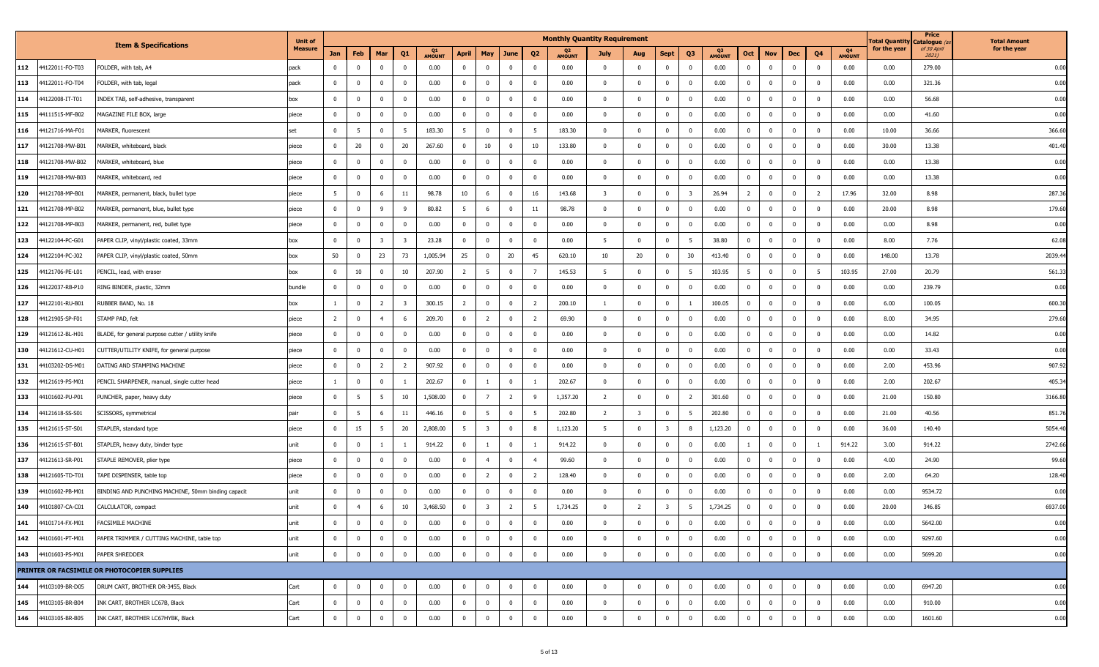|                        |                                                    | <b>Unit of</b> |                |                         |                         |                         |                     |                 |                         |                |                         | <b>Monthly Quantity Requirement</b> |                         |                         |                         |                         |                     |                 |                         |                |                |                     | Total Quantit <sub>)</sub> | Price<br>Catalogue ( | <b>Total Amount</b> |
|------------------------|----------------------------------------------------|----------------|----------------|-------------------------|-------------------------|-------------------------|---------------------|-----------------|-------------------------|----------------|-------------------------|-------------------------------------|-------------------------|-------------------------|-------------------------|-------------------------|---------------------|-----------------|-------------------------|----------------|----------------|---------------------|----------------------------|----------------------|---------------------|
|                        | <b>Item &amp; Specifications</b>                   | <b>Measure</b> | Jan            | Feb                     | Mar                     | Q <sub>1</sub>          | Q1<br><b>AMOUNT</b> | April           | May                     | June           | Q <sub>2</sub>          | <b>AMOUNT</b>                       | July                    | Aug                     | <b>Sept</b>             | Q <sub>3</sub>          | Q3<br><b>AMOUNT</b> | Oct             | <b>Nov</b>              | Dec            | Q <sub>4</sub> | Q4<br><b>AMOUNT</b> | for the year               | of 30 April<br>2021) | for the year        |
| 112<br>44122011-FO-T03 | FOLDER, with tab, A4                               | pack           | $\Omega$       | $\mathbf 0$             | $\Omega$                | $^{\circ}$              | 0.00                | $\mathbf 0$     | $\Omega$                | $\mathbf 0$    | $\mathbf{0}$            | 0.00                                | $\Omega$                | $\mathbf 0$             | $\mathbf 0$             | $^{\circ}$              | 0.00                | $\mathbf{0}$    | $\mathbf 0$             | $\mathbf 0$    | $\mathbf{0}$   | 0.00                | 0.00                       | 279.00               | 0.00                |
| 113<br>44122011-FO-T04 | FOLDER, with tab, legal                            | pack           | $^{\circ}$     | $\mathbf 0$             | $\mathbf 0$             | $^{\circ}$              | 0.00                | $\mathbf{0}$    | $\mathbf 0$             | $\mathbf 0$    | $\overline{0}$          | 0.00                                | $^{\circ}$              | $\mathbf 0$             | $\mathbf{0}$            | $\mathbf 0$             | 0.00                | $\mathbf 0$     | $\mathbf 0$             | $\mathbf{0}$   | $\mathbf{0}$   | 0.00                | 0.00                       | 321.36               | 0.00                |
| 114<br>44122008-IT-T01 | INDEX TAB, self-adhesive, transparent              | box            | $\mathbf{0}$   | $\mathbf{0}$            | $\mathbf 0$             | $\mathbf{0}$            | 0.00                | $\overline{0}$  | $\mathbf 0$             | $\mathbf{0}$   | $\overline{\mathbf{0}}$ | 0.00                                | $\mathbf 0$             | $\mathbf 0$             | $\mathbf{0}$            | $\overline{0}$          | 0.00                | $\bf{0}$        | $\overline{\mathbf{0}}$ | $\mathbf{0}$   | $\mathbf{0}$   | 0.00                | 0.00                       | 56.68                | 0.00                |
| 115<br>44111515-MF-B02 | MAGAZINE FILE BOX, large                           | piece          | $^{\circ}$     | $\mathbf 0$             | $\mathbf 0$             | $\mathbf 0$             | 0.00                | $\mathbf 0$     | $\overline{0}$          | $\mathbf 0$    | $\mathbf 0$             | 0.00                                | $\mathbf{0}$            | $\mathbf{0}$            | $\overline{0}$          | $\mathbf 0$             | 0.00                | $\mathbf 0$     | $\overline{\mathbf{0}}$ | $\overline{0}$ | $\mathbf{0}$   | 0.00                | 0.00                       | 41.60                | 0.00                |
| 116<br>44121716-MA-F01 | MARKER, fluorescent                                | set            | $\mathbf{0}$   | 5                       | $\mathbf 0$             | 5                       | 183.30              | $5\overline{5}$ | $\mathbf 0$             | $\mathbf 0$    | - 5                     | 183.30                              | $^{\circ}$              | $\mathbf{0}$            | $\mathbf 0$             | $\mathbf 0$             | 0.00                | $\mathbf 0$     | $\overline{\mathbf{0}}$ | $\mathbf 0$    | $\mathbf{0}$   | 0.00                | 10.00                      | 36.66                | 366.60              |
| 117<br>44121708-MW-B01 | MARKER, whiteboard, black                          | piece          | $\mathbf{0}$   | 20                      | $^{\circ}$              | 20                      | 267.60              | $\overline{0}$  | 10                      | $\mathbf 0$    | 10                      | 133.80                              | $\Omega$                | $\mathbf 0$             | $\mathbf 0$             | $^{\circ}$              | 0.00                | $\mathbf{0}$    | $\mathbf{0}$            | $\mathbf 0$    | $^{\circ}$     | 0.00                | 30.00                      | 13.38                | 401.40              |
| 118<br>44121708-MW-B02 | MARKER, whiteboard, blue                           | piece          | $\mathbf{0}$   | $\mathbf 0$             | $\mathbf 0$             | $\overline{0}$          | 0.00                | $\mathbf{0}$    | $\mathbf 0$             | $\mathbf 0$    | $\overline{0}$          | 0.00                                | $^{\circ}$              | $\mathbf{0}$            | $\overline{0}$          | $\mathbf 0$             | 0.00                | $\mathbf{0}$    | $\overline{\mathbf{0}}$ | $\mathbf{0}$   | $\mathbf{0}$   | 0.00                | 0.00                       | 13.38                | 0.00                |
| 119<br>44121708-MW-B03 | MARKER, whiteboard, red                            | piece          | $\mathbf{0}$   | $\mathbf 0$             | $\mathbf 0$             | $\mathbf 0$             | 0.00                | $\overline{0}$  | $\mathbf 0$             | $\mathbf{0}$   | $\overline{0}$          | 0.00                                | $\mathbf 0$             | $\mathbf 0$             | $\mathbf{0}$            | $\overline{0}$          | 0.00                | $\bf{0}$        | $\overline{\mathbf{0}}$ | $\mathbf{0}$   | $\mathbf{0}$   | 0.00                | 0.00                       | 13.38                | 0.00                |
| 120<br>44121708-MP-B01 | MARKER, permanent, black, bullet type              | piece          | 5              | $\mathbf 0$             | 6                       | 11                      | 98.78               | 10              | -6                      | $\mathbf 0$    | 16                      | 143.68                              | $\overline{\mathbf{3}}$ | $\mathbf 0$             | $\overline{0}$          | $\overline{\mathbf{3}}$ | 26.94               | $\overline{2}$  | $\overline{0}$          | $\overline{0}$ | $\overline{2}$ | 17.96               | 32.00                      | 8.98                 | 287.36              |
| 121<br>44121708-MP-B02 | MARKER, permanent, blue, bullet type               | piece          | $\mathbf{0}$   | $\overline{\mathbf{0}}$ | 9                       | 9                       | 80.82               | 5               | 6                       | $\mathbf 0$    | 11                      | 98.78                               | $\mathbf 0$             | $\mathbf 0$             | $\mathbf 0$             | $\mathbf 0$             | 0.00                | $\mathbf{0}$    | $\overline{\mathbf{0}}$ | $\mathbf{0}$   | $\mathbf{0}$   | 0.00                | 20.00                      | 8.98                 | 179.60              |
| 122<br>44121708-MP-B03 | MARKER, permanent, red, bullet type                | piece          | $\mathbf{0}$   | $\mathbf 0$             | $\mathbf{0}$            | $\mathbf 0$             | 0.00                | $\overline{0}$  | $\mathbf{0}$            | $\mathbf 0$    | $\overline{0}$          | 0.00                                | $\Omega$                | $\mathbf 0$             | $\overline{0}$          | $\mathbf 0$             | 0.00                | $\mathbf{0}$    | $\mathbf 0$             | $\mathbf 0$    | $\mathbf 0$    | 0.00                | 0.00                       | 8.98                 | 0.00                |
| 123<br>44122104-PC-G01 | PAPER CLIP, vinyl/plastic coated, 33mm             | box            | $\mathbf{0}$   | $\mathbf 0$             | $\overline{\mathbf{3}}$ | $\overline{\mathbf{3}}$ | 23.28               | $\mathbf{0}$    | $\mathbf 0$             | $\mathbf 0$    | $\overline{0}$          | 0.00                                | 5                       | $\mathbf 0$             | $\mathbf 0$             | 5                       | 38.80               | $\mathbf{0}$    | $\overline{\mathbf{0}}$ | $\mathbf{0}$   | $\mathbf{0}$   | 0.00                | 8.00                       | 7.76                 | 62.08               |
| 124<br>44122104-PC-J02 | PAPER CLIP, vinyl/plastic coated, 50mm             | box            | 50             | $\mathbf 0$             | 23                      | 73                      | 1,005.94            | 25              | $\mathbf 0$             | 20             | 45                      | 620.10                              | 10                      | 20                      | $\mathbf 0$             | 30                      | 413.40              | $\bf{0}$        | $\overline{\mathbf{0}}$ | $\mathbf{0}$   | $\mathbf{0}$   | 0.00                | 148.00                     | 13.78                | 2039.44             |
| 125<br>44121706-PE-L01 | PENCIL, lead, with eraser                          | box            | $\Omega$       | 10                      | $\Omega$                | 10                      | 207.90              | $\overline{2}$  | -5                      | $\mathbf 0$    |                         | 145.53                              | 5                       | $\mathbf 0$             | $\overline{0}$          | -5                      | 103.95              | $5\overline{5}$ | $\overline{0}$          | $\overline{0}$ | 5              | 103.95              | 27.00                      | 20.79                | 561.33              |
| 126<br>44122037-RB-P10 | RING BINDER, plastic, 32mm                         | bundle         | $\mathbf{0}$   | $\overline{\mathbf{0}}$ | $\mathbf 0$             | $^{\circ}$              | 0.00                | $\overline{0}$  | $\mathbf 0$             | $\mathbf 0$    | $\overline{0}$          | 0.00                                | $\mathbf{0}$            | $\mathbf{0}$            | $\mathbf 0$             | $\mathbf 0$             | 0.00                | $\mathbf{0}$    | $\overline{\mathbf{0}}$ | $\mathbf{0}$   | $\mathbf{0}$   | 0.00                | 0.00                       | 239.79               | 0.00                |
| 127<br>44122101-RU-B01 | RUBBER BAND, No. 18                                | box            | $\mathbf{1}$   | $\mathbf 0$             | $\overline{2}$          | $\overline{\mathbf{3}}$ | 300.15              | $\overline{2}$  | $\mathbf 0$             | $\mathbf 0$    | $\overline{2}$          | 200.10                              | $\overline{1}$          | $\mathbf 0$             | $\overline{0}$          | $\mathbf{1}$            | 100.05              | $\mathbf{0}$    | $\mathbf 0$             | $\mathbf 0$    | $\mathbf 0$    | 0.00                | 6.00                       | 100.05               | 600.30              |
| 128<br>44121905-SP-F01 | STAMP PAD, felt                                    | piece          | $\overline{2}$ | $\mathbf 0$             | $\overline{4}$          | 6                       | 209.70              | $\mathbf{0}$    | $\overline{2}$          | $\mathbf 0$    | $\overline{2}$          | 69.90                               | $\mathbf{0}$            | $\mathbf 0$             | $\mathbf 0$             | $\mathbf 0$             | 0.00                | $\mathbf 0$     | $\overline{\mathbf{0}}$ | $\mathbf 0$    | $\mathbf 0$    | 0.00                | 8.00                       | 34.95                | 279.60              |
| 129<br>44121612-BL-H01 | BLADE, for general purpose cutter / utility knife  | piece          | $\mathbf 0$    | $\mathbf 0$             | $\mathbf 0$             | $^{\circ}$              | 0.00                | $\overline{0}$  | $\mathbf 0$             | $\mathbf{0}$   | $\overline{\mathbf{0}}$ | 0.00                                | $\mathbf 0$             | $\mathbf 0$             | $\mathbf 0$             | $\mathbf{0}$            | 0.00                | $\bf{0}$        | $\overline{\mathbf{0}}$ | $\mathbf{0}$   | $\mathbf{0}$   | 0.00                | 0.00                       | 14.82                | 0.00                |
| 130<br>44121612-CU-H01 | CUTTER/UTILITY KNIFE, for general purpose          | piece          | $^{\circ}$     | $\mathbf 0$             | $\mathbf{0}$            | $\mathbf 0$             | 0.00                | $\mathbf 0$     | $\Omega$                | $\mathbf 0$    | $\mathbf 0$             | 0.00                                | 0                       | $\mathbf 0$             | $\overline{0}$          | $\mathbf{0}$            | 0.00                | $\mathbf{0}$    | $\overline{0}$          | $\overline{0}$ | $\mathbf{0}$   | 0.00                | 0.00                       | 33.43                | 0.00                |
| 131<br>44103202-DS-M01 | DATING AND STAMPING MACHINE                        | piece          | $\mathbf{0}$   | $\overline{\mathbf{0}}$ | $\overline{2}$          | $\overline{2}$          | 907.92              | $\overline{0}$  | $\mathbf 0$             | $\mathbf 0$    | $\mathbf{0}$            | 0.00                                | $\mathbf 0$             | $\mathbf{0}$            | $\overline{0}$          | $\mathbf 0$             | 0.00                | $\mathbf{0}$    | $\overline{\mathbf{0}}$ | $\mathbf 0$    | $\Omega$       | 0.00                | 2.00                       | 453.96               | 907.92              |
| 132<br>44121619-PS-M01 | PENCIL SHARPENER, manual, single cutter head       | piece          | $\mathbf{1}$   | $\mathbf 0$             | $\mathbf{0}$            |                         | 202.67              | $\mathbf 0$     |                         | $\mathbf 0$    |                         | 202.67                              | $\Omega$                | $\mathbf 0$             | $\overline{0}$          | $\mathbf 0$             | 0.00                | $\mathbf{0}$    | $\mathbf 0$             | $\mathbf 0$    | $^{\circ}$     | 0.00                | 2.00                       | 202.67               | 405.34              |
| 133<br>44101602-PU-P01 | PUNCHER, paper, heavy duty                         | piece          | $\mathbf{0}$   | $5\phantom{.0}$         | 5                       | 10                      | 1,508.00            | $\mathbf{0}$    | $7^{\circ}$             | $\overline{2}$ | 9                       | 1,357.20                            | $\overline{2}$          | $\mathbf 0$             | $\overline{0}$          | $\overline{2}$          | 301.60              | $\mathbf 0$     | $\overline{\mathbf{0}}$ | $\overline{0}$ | $\mathbf{0}$   | 0.00                | 21.00                      | 150.80               | 3166.80             |
| 134<br>44121618-SS-S01 | SCISSORS, symmetrical                              | pair           | $\mathbf 0$    | $5^{\circ}$             | 6                       | 11                      | 446.16              | $\overline{0}$  | 5                       | $\mathbf{0}$   | - 5                     | 202.80                              | $\overline{2}$          | $\overline{\mathbf{3}}$ | $\mathbf{0}$            | 5                       | 202.80              | $\bf{0}$        | $\overline{\mathbf{0}}$ | $\mathbf{0}$   | $\mathbf{0}$   | 0.00                | 21.00                      | 40.56                | 851.76              |
| 135<br>44121615-ST-S01 | STAPLER, standard type                             | piece          | $^{\circ}$     | 15                      | 5                       | 20                      | 2,808.00            | 5               | $\overline{\mathbf{3}}$ | $\mathbf 0$    | 8                       | 1,123.20                            | 5                       | $\mathbf 0$             | $\overline{\mathbf{3}}$ | 8                       | 1,123.20            | $\mathbf{0}$    | $\overline{\mathbf{0}}$ | $\mathbf{0}$   | $\mathbf{0}$   | 0.00                | 36.00                      | 140.40               | 5054.40             |
| 136<br>44121615-ST-B01 | STAPLER, heavy duty, binder type                   | unit           | $\mathbf 0$    | $\mathbf 0$             |                         |                         | 914.22              | $\overline{0}$  |                         | $\mathbf 0$    |                         | 914.22                              | $\mathbf 0$             | $\mathbf{0}$            | $\overline{0}$          | $^{\circ}$              | 0.00                |                 | $\overline{\mathbf{0}}$ | $\mathbf 0$    |                | 914.22              | 3.00                       | 914.22               | 2742.66             |
| 137<br>44121613-SR-P01 | STAPLE REMOVER, plier type                         | piece          | $\mathbf{0}$   | $\overline{\mathbf{0}}$ | $\mathbf{0}$            | $^{\circ}$              | 0.00                | $\mathbf{0}$    | $\overline{4}$          | $\mathbf 0$    | $\overline{4}$          | 99.60                               | $\Omega$                | $\mathbf 0$             | $\mathbf 0$             | $\mathbf{0}$            | 0.00                | $\mathbf{0}$    | $\mathbf 0$             | $\mathbf 0$    | $\Omega$       | 0.00                | 4.00                       | 24.90                | 99.60               |
| 138<br>14121605-TD-T01 | TAPE DISPENSER, table top                          | piece          | $\mathbf{0}$   | $\mathbf{0}$            | $\mathbf 0$             | $^{\circ}$              | 0.00                | $\mathbf{0}$    | $\overline{2}$          | $\mathbf 0$    | $\overline{2}$          | 128.40                              | $\mathbf{0}$            | $\mathbf 0$             | $\overline{0}$          | $\mathbf 0$             | 0.00                | $\mathbf 0$     | $\overline{\mathbf{0}}$ | $\overline{0}$ | $\Omega$       | 0.00                | 2.00                       | 64.20                | 128.40              |
| 139<br>44101602-PB-M01 | BINDING AND PUNCHING MACHINE, 50mm binding capacit | unit           | $\mathbf 0$    | $\mathbf 0$             | $\mathbf 0$             | $^{\circ}$              | 0.00                | $\mathbf{0}$    | $\mathbf 0$             | $\mathbf{0}$   | $\overline{\mathbf{0}}$ | 0.00                                | $\mathbf 0$             | $\mathbf 0$             | $\mathbf 0$             | $\mathbf{0}$            | 0.00                | $\overline{0}$  | $\overline{\mathbf{0}}$ | $\mathbf{0}$   | $\mathbf{0}$   | 0.00                | 0.00                       | 9534.72              | 0.00                |
| 140<br>44101807-CA-C01 | CALCULATOR, compact                                | unit           | $^{\circ}$     | $\overline{4}$          | 6                       | 10                      | 3,468.50            | $\mathbf 0$     | $\overline{\mathbf{3}}$ | $\overline{2}$ | -5                      | 1,734.25                            | $\mathbf{0}$            | $\overline{2}$          | $\overline{\mathbf{3}}$ | - 5                     | 1,734.25            | $\mathbf 0$     | $\overline{0}$          | $\overline{0}$ | $\mathbf{0}$   | 0.00                | 20.00                      | 346.85               | 6937.00             |
| 141<br>44101714-FX-M01 | <b>FACSIMILE MACHINE</b>                           | unit           | $\mathbf{0}$   | $\bf{0}$                | $\mathbf 0$             | $\mathbf{0}$            | 0.00                | $\overline{0}$  | $\mathbf{0}$            | $\mathbf{0}$   | $\overline{\mathbf{0}}$ | 0.00                                | $\mathbf{0}$            | $\mathbf 0$             | $\mathbf{0}$            | $\mathbf{0}$            | 0.00                | $\mathbf 0$     | $\bf{0}$                | $\mathbf{0}$   | $\mathbf{0}$   | 0.00                | 0.00                       | 5642.00              | 0.00                |
| 142<br>44101601-PT-M01 | PAPER TRIMMER / CUTTING MACHINE, table top         | unit           | $\mathbf{0}$   | $\overline{0}$          | $\mathbf 0$             | $\mathbf 0$             | 0.00                | $\mathbf 0$     | $\overline{0}$          | $\mathbf 0$    | $\overline{0}$          | 0.00                                | $\Omega$                | $\mathbf 0$             | $\overline{0}$          | $\mathbf 0$             | 0.00                | $\mathbf 0$     | $\overline{0}$          | $\overline{0}$ | $\mathbf{0}$   | 0.00                | 0.00                       | 9297.60              | 0.00                |
| 143<br>44101603-PS-M01 | PAPER SHREDDER                                     | unit           | $\mathbf{0}$   | $\mathbf 0$             | $\mathbf 0$             | $\mathbf{0}$            | 0.00                | $\mathbf{0}$    | $\mathbf 0$             | $\mathbf 0$    | $\overline{0}$          | 0.00                                | $\mathbf 0$             | $\mathbf 0$             | $\overline{0}$          | $\overline{0}$          | 0.00                | $\mathbf 0$     | $\overline{\mathbf{0}}$ | $\mathbf{0}$   | $\overline{0}$ | 0.00                | 0.00                       | 5699.20              | 0.00                |
|                        | PRINTER OR FACSIMILE OR PHOTOCOPIER SUPPLIES       |                |                |                         |                         |                         |                     |                 |                         |                |                         |                                     |                         |                         |                         |                         |                     |                 |                         |                |                |                     |                            |                      |                     |
| 144<br>44103109-BR-D05 | DRUM CART, BROTHER DR-3455, Black                  | Cart           | $\mathbf 0$    | $\mathbf 0$             | $\mathbf 0$             | $\overline{0}$          | 0.00                | $\overline{0}$  | $\mathbf 0$             | $\mathbf{0}$   | $\overline{\mathbf{0}}$ | 0.00                                | $\mathbf{0}$            | $\overline{\mathbf{0}}$ | $\mathbf 0$             | $\mathbf 0$             | 0.00                | $\bf{0}$        | $\overline{0}$          | $\mathbf{0}$   | $\mathbf 0$    | 0.00                | 0.00                       | 6947.20              | 0.00                |
| 145<br>44103105-BR-B04 | INK CART, BROTHER LC67B, Black                     | Cart           | $\mathbf{0}$   | $\overline{0}$          | $\mathbf 0$             | $\mathbf{0}$            | 0.00                | $\overline{0}$  | $\mathbf 0$             | $\mathbf 0$    | $\overline{0}$          | 0.00                                | $\mathbf 0$             | $\mathbf{0}$            | $\overline{0}$          | $\overline{0}$          | 0.00                | $\bf{0}$        | $\overline{\mathbf{0}}$ | $\mathbf{0}$   | $\overline{0}$ | 0.00                | 0.00                       | 910.00               | 0.00                |
| 146<br>44103105-BR-B05 | INK CART, BROTHER LC67HYBK, Black                  | Cart           | $\mathbf 0$    | $\bf{0}$                | $\overline{0}$          | $\mathbf 0$             | 0.00                | $\mathbf 0$     | $\overline{0}$          | $\mathbf 0$    | $\mathbf 0$             | 0.00                                | $\mathbf 0$             | $\mathbf{0}$            | $\overline{0}$          | $\overline{0}$          | 0.00                | $\mathbf 0$     | $\overline{\mathbf{0}}$ | $\mathbf 0$    | $\mathbf{0}$   | 0.00                | 0.00                       | 1601.60              | 0.00                |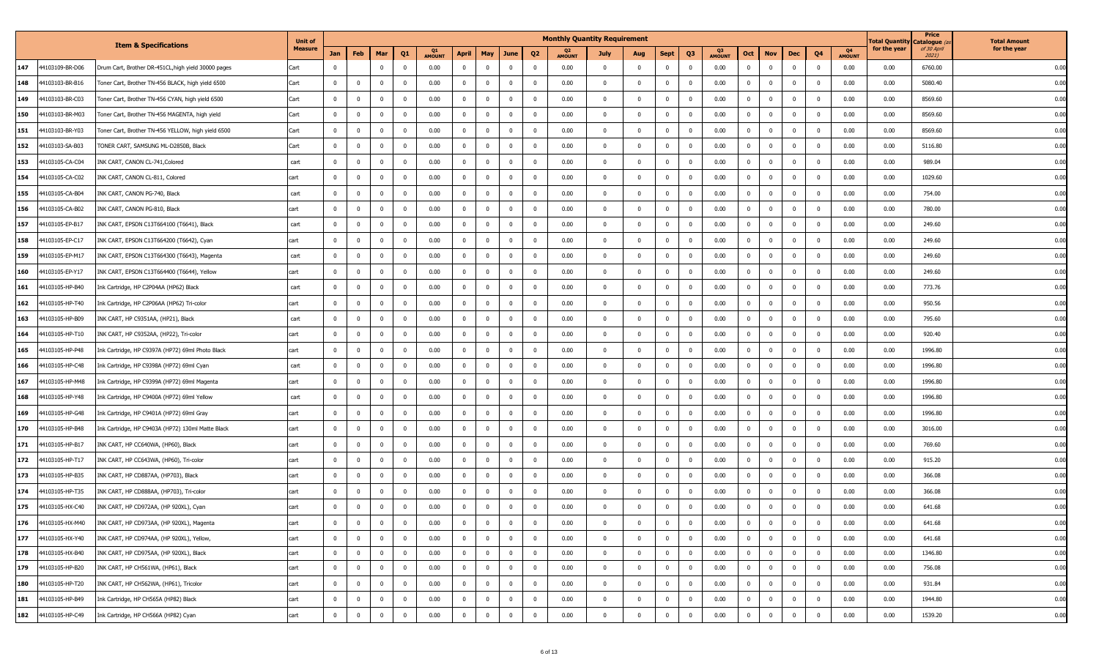|     |                 |                                                     | <b>Unit of</b> |                |                         |                |                |                     |                |                |              |                         | <b>Monthly Quantity Requirement</b> |                |              |                         |                |                       |                |                         |                         |                |                     | Total Quantit <sub>)</sub> | Price<br>Catalogue (a | <b>Total Amount</b> |
|-----|-----------------|-----------------------------------------------------|----------------|----------------|-------------------------|----------------|----------------|---------------------|----------------|----------------|--------------|-------------------------|-------------------------------------|----------------|--------------|-------------------------|----------------|-----------------------|----------------|-------------------------|-------------------------|----------------|---------------------|----------------------------|-----------------------|---------------------|
|     |                 | <b>Item &amp; Specifications</b>                    | <b>Measure</b> | Jan            | Feb                     | Mar            | Q <sub>1</sub> | Q1<br><b>AMOUNT</b> | April          | <b>May</b>     | June         | Q <sub>2</sub>          | Q2<br><b>AMOUNT</b>                 | July           | Aug          | <b>Sept</b>             | Q3             | - 03<br><b>AMOUNT</b> | Oct            | <b>Nov</b>              | Dec                     | Q4             | Q4<br><b>AMOUNT</b> | for the year               | of 30 April<br>2021)  | for the year        |
| 147 | 44103109-BR-D06 | Drum Cart, Brother DR-451CL, high yield 30000 pages | Cart           | $\Omega$       |                         | $\mathbf 0$    | $\mathbf 0$    | 0.00                | $\mathbf 0$    | $\overline{0}$ | $\mathbf 0$  | - 0                     | 0.00                                | $\mathbf{0}$   | $\mathbf 0$  | $\overline{\mathbf{0}}$ | $\mathbf 0$    | 0.00                  | $\mathbf 0$    | $\overline{\mathbf{0}}$ | $\mathbf{0}$            | $\mathbf{0}$   | 0.00                | 0.00                       | 6760.00               | 0.00                |
| 148 | 44103103-BR-B16 | Toner Cart, Brother TN-456 BLACK, high yield 6500   | Cart           | $\mathbf 0$    | $\mathbf 0$             | $\mathbf{0}$   | $\mathbf 0$    | 0.00                | $\mathbf 0$    | $\overline{0}$ | $\mathbf 0$  | $\overline{\mathbf{0}}$ | 0.00                                | $^{\circ}$     | $\mathbf 0$  | $\mathbf{0}$            | $\mathbf 0$    | 0.00                  | $\mathbf 0$    | $\mathbf 0$             | $\mathbf{0}$            | $\mathbf{0}$   | 0.00                | 0.00                       | 5080.40               | 0.00                |
| 149 | 44103103-BR-C03 | Toner Cart, Brother TN-456 CYAN, high yield 6500    | Cart           | $^{\circ}$     | $\mathbf 0$             | $\overline{0}$ | $^{\circ}$     | 0.00                | $\mathbf 0$    | $\overline{0}$ | $\mathbf{0}$ | $\overline{\mathbf{0}}$ | 0.00                                | $^{\circ}$     | $\mathbf 0$  | $\mathbf{0}$            | $\mathbf 0$    | 0.00                  | $\bf{0}$       | $\overline{\mathbf{0}}$ | $\overline{0}$          | $\Omega$       | 0.00                | 0.00                       | 8569.60               | 0.00                |
| 150 | 44103103-BR-M03 | Toner Cart, Brother TN-456 MAGENTA, high yield      | Cart           | $^{\circ}$     | $\mathbf 0$             | $\Omega$       | $\mathbf 0$    | 0.00                | $\mathbf{0}$   | $\Omega$       | $^{\circ}$   | $\mathbf{0}$            | 0.00                                | 0              | $\mathbf 0$  | $\mathbf{0}$            | $\mathbf{0}$   | 0.00                  | $\mathbf{0}$   | $\overline{0}$          | $\overline{0}$          | $\Omega$       | 0.00                | 0.00                       | 8569.60               | 0.00                |
| 151 | 44103103-BR-Y03 | Toner Cart, Brother TN-456 YELLOW, high yield 6500  | Cart           | $\Omega$       | $\mathbf 0$             | $\Omega$       | $\Omega$       | 0.00                | $\mathbf 0$    | $\Omega$       | $\mathbf 0$  | $\mathbf{0}$            | 0.00                                |                | $\mathbf 0$  | $\mathbf{0}$            | $^{\circ}$     | 0.00                  | $\mathbf 0$    | $\overline{0}$          | $\overline{0}$          |                | 0.00                | 0.00                       | 8569.60               | 0.00                |
| 152 | 44103103-SA-B03 | TONER CART, SAMSUNG ML-D2850B, Black                | Cart           | $\mathbf{0}$   | $\mathbf 0$             | $\Omega$       | $\mathbf 0$    | 0.00                | $\mathbf 0$    | $\Omega$       | $\mathbf 0$  | $\Omega$                | 0.00                                | $\Omega$       | $\mathbf 0$  | $\Omega$                | $\Omega$       | 0.00                  | $\mathbf 0$    | $\overline{0}$          | $\overline{0}$          | $\Omega$       | 0.00                | 0.00                       | 5116.80               | 0.00                |
| 153 | 44103105-CA-C04 | INK CART, CANON CL-741, Colored                     | cart           | $\mathbf{0}$   | $\mathbf{0}$            | $\Omega$       | $\mathbf 0$    | 0.00                | $\mathbf{0}$   | $\overline{0}$ | $\mathbf 0$  | $\Omega$                | 0.00                                | $\mathbf 0$    | $\mathbf 0$  | $\overline{0}$          | $\mathbf 0$    | 0.00                  | $\mathbf 0$    | $\mathbf 0$             | $\mathbf 0$             | $\Omega$       | 0.00                | 0.00                       | 989.04                | 0.00                |
| 154 | 44103105-CA-C02 | INK CART, CANON CL-811, Colored                     | cart           | $^{\circ}$     | $\mathbf 0$             | $\mathbf{0}$   | $^{\circ}$     | 0.00                | $\mathbf 0$    | $\overline{0}$ | $\mathbf{0}$ | $\overline{\mathbf{0}}$ | 0.00                                | $^{\circ}$     | $\mathbf 0$  | $\mathbf{0}$            | $\mathbf 0$    | 0.00                  | $\bf{0}$       | $\overline{\mathbf{0}}$ | $\overline{0}$          | $\Omega$       | 0.00                | 0.00                       | 1029.60               | 0.00                |
| 155 | 44103105-CA-B04 | INK CART, CANON PG-740, Black                       | cart           | $\mathbf 0$    | $\mathbf 0$             | $\mathbf 0$    | $^{\circ}$     | 0.00                | $\mathbf{0}$   | $\overline{0}$ | $\mathbf 0$  | $\overline{\mathbf{0}}$ | 0.00                                | 0              | $\mathbf 0$  | $\mathbf{0}$            | $\mathbf{0}$   | 0.00                  | $\mathbf 0$    | $\overline{0}$          | $\overline{0}$          | $\mathbf{0}$   | 0.00                | 0.00                       | 754.00                | 0.00                |
| 156 | 44103105-CA-B02 | INK CART, CANON PG-810, Black                       | cart           | $\Omega$       | 0                       | $\Omega$       | $\Omega$       | 0.00                | $\mathbf 0$    | $\Omega$       | $\mathbf 0$  | $\mathbf{0}$            | 0.00                                |                | $\mathbf 0$  | $\mathbf{0}$            | $^{\circ}$     | 0.00                  | $\mathbf 0$    | $\overline{0}$          | $\overline{0}$          |                | 0.00                | 0.00                       | 780.00                | 0.00                |
| 157 | 44103105-EP-B17 | INK CART, EPSON C13T664100 (T6641), Black           | cart           | $\mathbf{0}$   | $\overline{0}$          | $\Omega$       | $\Omega$       | 0.00                | $\mathbf 0$    | $\Omega$       | $^{\circ}$   | $\Omega$                | 0.00                                | $\Omega$       | $\mathbf 0$  | $\Omega$                | $\Omega$       | 0.00                  | $\mathbf 0$    | $\overline{0}$          | $\overline{0}$          | $\Omega$       | 0.00                | 0.00                       | 249.60                | 0.00                |
| 158 | 44103105-EP-C17 | INK CART, EPSON C13T664200 (T6642), Cyan            | cart           | $\mathbf{0}$   | $\pmb{0}$               | $\Omega$       | $\Omega$       | 0.00                | $\mathbf{0}$   | $\Omega$       | $\mathbf 0$  | $\Omega$                | 0.00                                | $\mathbf 0$    | $\mathbf 0$  | $\Omega$                | $\mathbf 0$    | 0.00                  | $\mathbf 0$    | $\mathbf 0$             | $\Omega$                | $\Omega$       | 0.00                | 0.00                       | 249.60                | 0.00                |
| 159 | 44103105-EP-M17 | INK CART, EPSON C13T664300 (T6643), Magenta         | cart           | $^{\circ}$     | $\mathbf 0$             | $\mathbf{0}$   | $\mathbf{0}$   | 0.00                | $\mathbf 0$    | $\overline{0}$ | $\mathbf 0$  | $\overline{\mathbf{0}}$ | 0.00                                | $^{\circ}$     | $\mathbf 0$  | $\mathbf{0}$            | $\mathbf 0$    | 0.00                  | $\bf{0}$       | $\overline{\mathbf{0}}$ | $\overline{0}$          | $\Omega$       | 0.00                | 0.00                       | 249.60                | 0.00                |
| 160 | 44103105-EP-Y17 | INK CART, EPSON C13T664400 (T6644), Yellow          | cart           | $\mathbf 0$    | $\mathbf 0$             | $\mathbf 0$    | $^{\circ}$     | 0.00                | $\mathbf{0}$   | $\overline{0}$ | $\mathbf 0$  | $\overline{\mathbf{0}}$ | 0.00                                | 0              | $\mathbf 0$  | $\mathbf{0}$            | $\mathbf{0}$   | 0.00                  | $\mathbf{0}$   | $\overline{0}$          | $\overline{0}$          | $\mathbf{0}$   | 0.00                | 0.00                       | 249.60                | 0.00                |
| 161 | 44103105-HP-B40 | Ink Cartridge, HP C2P04AA (HP62) Black              | cart           | $\Omega$       | 0                       | $\mathbf{0}$   | $\Omega$       | 0.00                | $\mathbf 0$    | $\Omega$       | $\mathbf 0$  | $\mathbf{0}$            | 0.00                                | 0              | $\mathbf 0$  | $\mathbf{0}$            | $\mathbf 0$    | 0.00                  | $\mathbf 0$    | $\overline{0}$          | $\overline{0}$          |                | 0.00                | 0.00                       | 773.76                | 0.00                |
| 162 | 44103105-HP-T40 | Ink Cartridge, HP C2P06AA (HP62) Tri-color          | cart           | $\mathbf{0}$   | $\overline{0}$          | $\Omega$       | $\Omega$       | 0.00                | $\mathbf{0}$   | $\Omega$       | $^{\circ}$   | $\Omega$                | 0.00                                | $\Omega$       | $\mathbf 0$  | $\Omega$                | $\Omega$       | 0.00                  | $\mathbf 0$    | $^{\circ}$              | $\Omega$                | $\Omega$       | 0.00                | 0.00                       | 950.56                | 0.00                |
| 163 | 44103105-HP-B09 | INK CART, HP C9351AA, (HP21), Black                 | cart           | $\Omega$       | $\mathbf 0$             | $\Omega$       | $\Omega$       | 0.00                | $\mathbf{0}$   | $\Omega$       | $\mathbf 0$  | $\Omega$                | 0.00                                | $\Omega$       | $\mathbf 0$  | $\Omega$                | $\mathbf 0$    | 0.00                  | $\mathbf 0$    | $\mathbf 0$             | $\Omega$                | $\Omega$       | 0.00                | 0.00                       | 795.60                | 0.00                |
| 164 | 44103105-HP-T10 | INK CART, HP C9352AA, (HP22), Tri-color             | cart           | $^{\circ}$     | $\mathbf 0$             | $\overline{0}$ | $\mathbf{0}$   | 0.00                | $\mathbf 0$    | $\overline{0}$ | $\mathbf 0$  | $\overline{\mathbf{0}}$ | 0.00                                | $^{\circ}$     | $\mathbf 0$  | $\overline{0}$          | $\mathbf 0$    | 0.00                  | $\overline{0}$ | $\overline{\mathbf{0}}$ | $\overline{0}$          | $\Omega$       | 0.00                | 0.00                       | 920.40                | 0.00                |
| 165 | 44103105-HP-P48 | Ink Cartridge, HP C9397A (HP72) 69ml Photo Black    | cart           | $^{\circ}$     | $\mathbf 0$             | $\overline{0}$ | $^{\circ}$     | 0.00                | $\mathbf{0}$   | $\overline{0}$ | $\mathbf 0$  | $\mathbf{0}$            | 0.00                                | 0              | $\mathbf 0$  | $\overline{0}$          | $\mathbf{0}$   | 0.00                  | $\mathbf{0}$   | $\overline{0}$          | $\overline{0}$          | $\mathbf{0}$   | 0.00                | 0.00                       | 1996.80               | 0.00                |
| 166 | 44103105-HP-C48 | Ink Cartridge, HP C9398A (HP72) 69ml Cyan           | cart           | $\Omega$       | $\mathbf 0$             | $\mathbf{0}$   | $\Omega$       | 0.00                | $\mathbf{0}$   | $\Omega$       | $\mathbf 0$  | $\mathbf{0}$            | 0.00                                | $\mathbf{0}$   | $\mathbf 0$  | $\mathbf{0}$            | $\mathbf 0$    | 0.00                  | $\mathbf 0$    | $\overline{0}$          | $\overline{0}$          |                | 0.00                | 0.00                       | 1996.80               | 0.00                |
| 167 | 44103105-HP-M48 | Ink Cartridge, HP C9399A (HP72) 69ml Magenta        | cart           | $\mathbf 0$    | $\overline{\mathbf{0}}$ | $\Omega$       | $^{\circ}$     | 0.00                | $\mathbf{0}$   | $\Omega$       | $\mathbf 0$  | $\overline{\mathbf{0}}$ | 0.00                                | 0              | $\mathbf 0$  | $\mathbf{0}$            | $\mathbf 0$    | 0.00                  | $\mathbf 0$    | $\overline{0}$          | $\overline{0}$          | $\Omega$       | 0.00                | 0.00                       | 1996.80               | 0.00                |
| 168 | 44103105-HP-Y48 | Ink Cartridge, HP C9400A (HP72) 69ml Yellow         | cart           | $\mathbf{0}$   | $\mathbf 0$             | $\Omega$       | $^{\circ}$     | 0.00                | $\mathbf{0}$   | $\overline{0}$ | $\mathbf 0$  | $\Omega$                | 0.00                                | $\mathbf 0$    | $\mathbf 0$  | $\Omega$                | $\mathbf 0$    | 0.00                  | $\mathbf 0$    | $\mathbf 0$             | $\overline{0}$          | $\Omega$       | 0.00                | 0.00                       | 1996.80               | 0.00                |
| 169 | 44103105-HP-G48 | Ink Cartridge, HP C9401A (HP72) 69ml Gray           | cart           | $\mathbf 0$    | $\mathbf{0}$            | $\mathbf 0$    | $\mathbf{0}$   | 0.00                | $\mathbf 0$    | $\overline{0}$ | $\mathbf{0}$ | $\overline{\mathbf{0}}$ | 0.00                                | $^{\circ}$     | $\mathbf 0$  | $\overline{0}$          | $\mathbf 0$    | 0.00                  | $\overline{0}$ | $\overline{\mathbf{0}}$ | $\mathbf{0}$            | $\Omega$       | 0.00                | 0.00                       | 1996.80               | 0.00                |
| 170 | 44103105-HP-B48 | Ink Cartridge, HP C9403A (HP72) 130ml Matte Black   | cart           | $\Omega$       | $\mathbf 0$             | $\overline{0}$ | $\mathbf 0$    | 0.00                | $\mathbf{0}$   | $\Omega$       | $^{\circ}$   | $\mathbf{0}$            | 0.00                                | $\mathbf{0}$   | $\mathbf 0$  | $\mathbf{0}$            | $\mathbf 0$    | 0.00                  | $\mathbf{0}$   | $\overline{0}$          | $\overline{0}$          | $\mathbf{0}$   | 0.00                | 0.00                       | 3016.00               | 0.00                |
| 171 | 44103105-HP-B17 | INK CART, HP CC640WA, (HP60), Black                 | cart           | $\Omega$       | $^{\circ}$              | $\mathbf{0}$   | $\Omega$       | 0.00                | $\mathbf{0}$   | $\Omega$       | $\mathbf 0$  | $\mathbf{0}$            | 0.00                                | $\mathbf{0}$   | $\mathbf 0$  | $\mathbf{0}$            | $\mathbf 0$    | 0.00                  | $\mathbf 0$    | $\overline{0}$          | $\overline{0}$          |                | 0.00                | 0.00                       | 769.60                | 0.00                |
| 172 | 44103105-HP-T17 | INK CART, HP CC643WA, (HP60), Tri-color             | cart           | $\mathbf 0$    | $\overline{\mathbf{0}}$ | $\Omega$       | $^{\circ}$     | 0.00                | $\mathbf{0}$   | $\Omega$       | $\mathbf 0$  | $\overline{\mathbf{0}}$ | 0.00                                | 0              | $\mathbf 0$  | $\mathbf{0}$            | $\mathbf 0$    | 0.00                  | $\mathbf 0$    | $\overline{0}$          | $\overline{0}$          | $\mathbf{0}$   | 0.00                | 0.00                       | 915.20                | 0.00                |
| 173 | 44103105-HP-B35 | INK CART, HP CD887AA, (HP703), Black                | cart           | $\mathbf{0}$   | $\mathbf 0$             | $\Omega$       | $^{\circ}$     | 0.00                | $\mathbf{0}$   | $\Omega$       | $\mathbf 0$  | $\Omega$                | 0.00                                | $^{\circ}$     | $\mathbf 0$  | $\Omega$                | $\mathbf 0$    | 0.00                  | $\mathbf 0$    | $\mathbf 0$             | $\mathbf{0}$            | $\Omega$       | 0.00                | 0.00                       | 366.08                | 0.00                |
| 174 | 44103105-HP-T35 | INK CART, HP CD888AA, (HP703), Tri-color            | cart           | $^{\circ}$     | $\mathbf 0$             | $\overline{0}$ | $^{\circ}$     | 0.00                | $\mathbf 0$    | $\overline{0}$ | $\mathbf 0$  | $\overline{\mathbf{0}}$ | 0.00                                | $^{\circ}$     | $\mathbf 0$  | $\mathbf{0}$            | $\mathbf 0$    | 0.00                  | $\overline{0}$ | $\mathbf 0$             | $\overline{0}$          | $\Omega$       | 0.00                | 0.00                       | 366.08                | 0.00                |
| 175 | 44103105-HX-C40 | INK CART, HP CD972AA, (HP 920XL), Cyan              | cart           |                | $\mathbf 0$             | $\mathbf{0}$   | $\mathbf 0$    | 0.00                | 0              | $\mathbf{0}$   | $\mathbf 0$  | $\mathbf{0}$            | 0.00                                | 0              | $\mathbf 0$  | $\Omega$                | $\mathbf{0}$   | 0.00                  | $\mathbf 0$    | $^{\circ}$              | $\overline{0}$          |                | 0.00                | 0.00                       | 641.68                | 0.00                |
| 176 | 44103105-HX-M40 | INK CART, HP CD973AA, (HP 920XL), Magenta           | cart           | $^{\circ}$     | $\mathbf{0}$            | $\mathbf 0$    | $\mathbf 0$    | 0.00                | $\overline{0}$ | $\mathbf 0$    | $\mathbf{0}$ | $\overline{\mathbf{0}}$ | 0.00                                | $\mathbf{0}$   | $\mathbf 0$  | $\mathbf 0$             | $\overline{0}$ | 0.00                  | $\mathbf{0}$   | $\mathbf 0$             | $\mathbf{0}$            | $\mathbf{0}$   | 0.00                | 0.00                       | 641.68                | 0.00                |
| 177 | 44103105-HX-Y40 | INK CART, HP CD974AA, (HP 920XL), Yellow,           | cart           | $\mathbf{0}$   | $\overline{0}$          | $\mathbf 0$    | $\mathbf 0$    | 0.00                | $\overline{0}$ | $\Omega$       | $\mathbf 0$  | $\overline{0}$          | 0.00                                | $\Omega$       | $\mathbf 0$  | $\mathbf 0$             | $\mathbf{0}$   | 0.00                  | $\mathbf{0}$   | $\mathbf 0$             | $\mathbf 0$             | $\mathbf 0$    | 0.00                | 0.00                       | 641.68                | 0.00                |
| 178 | 44103105-HX-B40 | INK CART, HP CD975AA, (HP 920XL), Black             | cart           | $\overline{0}$ | $\mathbf 0$             | $\bf{0}$       | $\overline{0}$ | 0.00                | $\overline{0}$ | $\mathbf 0$    | $\bf{0}$     | $\overline{\mathbf{0}}$ | 0.00                                | $\overline{0}$ | $\bf{0}$     | $\mathbf{0}$            | $\overline{0}$ | 0.00                  | $\bf{0}$       | $\overline{\mathbf{0}}$ | $\overline{0}$          | $\mathbf{0}$   | 0.00                | 0.00                       | 1346.80               | 0.00                |
| 179 | 44103105-HP-B20 | INK CART, HP CH561WA, (HP61), Black                 | cart           | $\mathbf{0}$   | $\mathbf 0$             | $\mathbf 0$    | $\mathbf{0}$   | 0.00                | $\mathbf 0$    | $\mathbf 0$    | $\mathbf 0$  | $\mathbf{0}$            | 0.00                                | $\mathbf 0$    | $\mathbf{0}$ | $\mathbf 0$             | $\mathbf 0$    | 0.00                  | $\bf{0}$       | $\mathbf 0$             | $\mathbf{0}$            | $\mathbf 0$    | 0.00                | 0.00                       | 756.08                | 0.00                |
| 180 | 44103105-HP-T20 | INK CART, HP CH562WA, (HP61), Tricolor              | cart           | $\overline{0}$ | $\mathbf{0}$            | $\mathbf 0$    | $\mathbf 0$    | 0.00                | $\overline{0}$ | $\mathbf 0$    | $\mathbf 0$  | $\overline{0}$          | 0.00                                | $\Omega$       | $\mathbf 0$  | $\mathbf 0$             | $\mathbf 0$    | 0.00                  | $\mathbf{0}$   | $\overline{0}$          | $\overline{\mathbf{0}}$ | $\mathbf 0$    | 0.00                | 0.00                       | 931.84                | 0.00                |
| 181 | 44103105-HP-B49 | Ink Cartridge, HP CH565A (HP82) Black               | cart           | $\mathbf{0}$   | $\mathbf 0$             | $\mathbf 0$    | $\mathbf{0}$   | 0.00                | $\mathbf 0$    | $\mathbf 0$    | $\mathbf{0}$ | $\mathbf{0}$            | 0.00                                | $\mathbf 0$    | $\mathbf{0}$ | $\overline{0}$          | $\mathbf 0$    | 0.00                  | $\mathbf{0}$   | $\mathbf 0$             | $\mathbf{0}$            | $\overline{0}$ | 0.00                | 0.00                       | 1944.80               | 0.00                |
| 182 | 44103105-HP-C49 | Ink Cartridge, HP CH566A (HP82) Cyan                | cart           | $\mathbf 0$    | $\mathbf{0}$            | $\mathbf 0$    | $\overline{0}$ | 0.00                | $\overline{0}$ | $\mathbf 0$    | $\mathbf 0$  | $\mathbf 0$             | 0.00                                | $\mathbf 0$    | $\mathbf{0}$ | $\mathbf 0$             | $\mathbf{0}$   | 0.00                  | $\mathbf{0}$   | $\overline{\mathbf{0}}$ | $\mathbf 0$             | $\mathbf 0$    | 0.00                | 0.00                       | 1539.20               | 0.00                |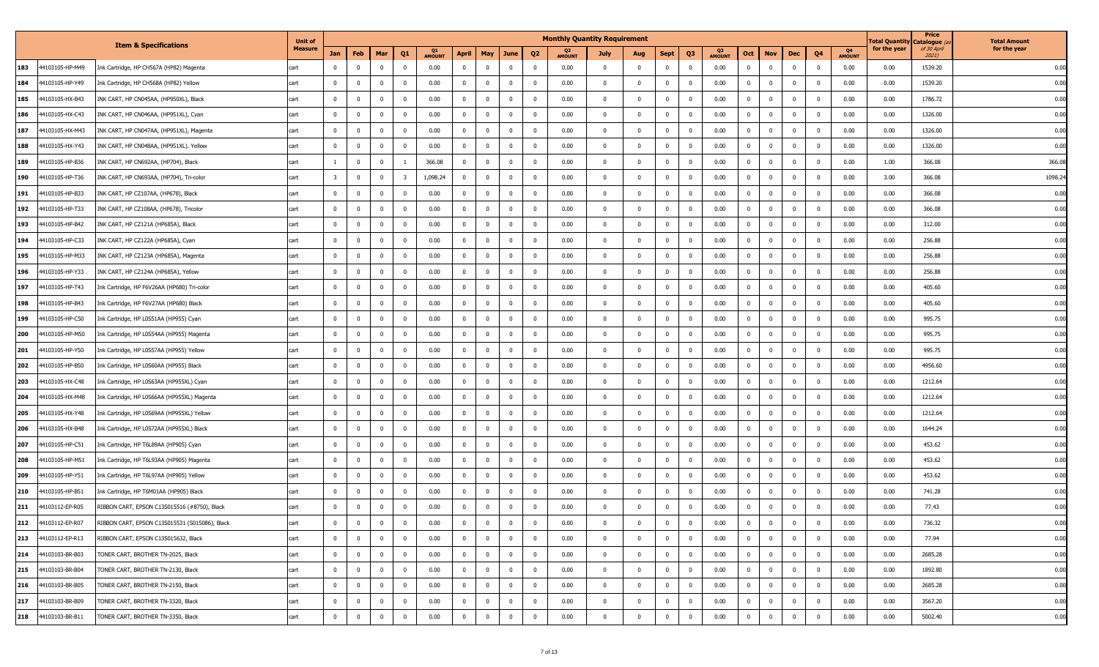|     |                 |                                                | <b>Unit of</b> |                         |                         |                |                          |               |                |                         |                |                         | <b>Monthly Quantity Requirement</b> |                         |                |                |                         |                     |                |                         |                         |                |                     | lotal Quantit | Price<br>Catalogue ( | <b>Total Amount</b> |
|-----|-----------------|------------------------------------------------|----------------|-------------------------|-------------------------|----------------|--------------------------|---------------|----------------|-------------------------|----------------|-------------------------|-------------------------------------|-------------------------|----------------|----------------|-------------------------|---------------------|----------------|-------------------------|-------------------------|----------------|---------------------|---------------|----------------------|---------------------|
|     |                 | <b>Item &amp; Specifications</b>               | <b>Measure</b> | Jan                     | Feb                     | Mar            | Q1                       | <b>AMOUNT</b> | April          | May                     | June           | Q <sub>2</sub>          | <b>AMOUNT</b>                       | July                    | Aug            | Sept           | Q <sub>3</sub>          | Q3<br><b>AMOUNT</b> | Oct            | <b>Nov</b>              | Dec                     | Q4             | Q4<br><b>AMOUNT</b> | for the year  | of 30 April<br>2021) | for the year        |
| 183 | 44103105-HP-M49 | Ink Cartridge, HP CH567A (HP82) Magenta        | cart           | $^{\circ}$              | $\overline{0}$          | $\Omega$       | $\mathbf{0}$             | 0.00          | $\mathbf{0}$   | $\Omega$                | $\mathbf{0}$   | $\mathbf 0$             | 0.00                                | $\Omega$                | $\overline{0}$ | $\overline{0}$ | $\Omega$                | 0.00                | $\mathbf 0$    | $\mathbf 0$             | $\Omega$                | $\Omega$       | 0.00                | 0.00          | 1539.20              | 0.00                |
| 184 | 44103105-HP-Y49 | Ink Cartridge, HP CH568A (HP82) Yellow         | cart           | $^{\circ}$              | $\mathbf{0}$            | $^{\circ}$     | $\overline{\mathbf{0}}$  | 0.00          | $\mathbf 0$    | $\overline{0}$          | $\mathbf 0$    | $\mathbf{0}$            | 0.00                                | $\mathbf{0}$            | $\mathbf 0$    | $\mathbf{0}$   | $^{\circ}$              | 0.00                | $\mathbf{0}$   | $\overline{0}$          | $\overline{0}$          | $\Omega$       | 0.00                | 0.00          | 1539.20              | 0.00                |
| 185 | 44103105-HX-B43 | INK CART, HP CN045AA, (HP950XL), Black         | cart           | $\mathbf 0$             | $\overline{0}$          | $\mathbf 0$    | $\overline{\mathbf{0}}$  | 0.00          | $\mathbf{0}$   | $\overline{\mathbf{0}}$ | $\overline{0}$ | $\mathbf{0}$            | 0.00                                | $\overline{0}$          | $\mathbf 0$    | $\mathbf 0$    | $^{\circ}$              | 0.00                | $\mathbf{0}$   | $\overline{\mathbf{0}}$ | $\overline{\mathbf{0}}$ | $\mathbf{0}$   | 0.00                | 0.00          | 1786.72              | 0.00                |
| 186 | 44103105-HX-C43 | INK CART, HP CN046AA, (HP951XL), Cyan          | cart           | $^{\circ}$              | $\overline{0}$          | $\Omega$       | $\mathbf{0}$             | 0.00          | $\mathbf 0$    | $\Omega$                | $\mathbf{0}$   | $\mathbf{0}$            | 0.00                                | $\mathbf{0}$            | $\mathbf 0$    | $\overline{0}$ | $^{\circ}$              | 0.00                | $\mathbf 0$    | $\mathbf{0}$            | $\overline{0}$          | $\Omega$       | 0.00                | 0.00          | 1326.00              | 0.00                |
| 187 | 44103105-HX-M43 | INK CART, HP CN047AA, (HP951XL), Magenta       | cart           | $^{\circ}$              | $\overline{0}$          | $\overline{0}$ | $\overline{0}$           | 0.00          | $\mathbf 0$    | $\Omega$                | $\mathbf{0}$   | $^{\circ}$              | 0.00                                | $\mathbf{0}$            | $\mathbf 0$    | $^{\circ}$     | $^{\circ}$              | 0.00                | $\mathbf 0$    | $\overline{0}$          | $\mathbf 0$             | $\mathbf{0}$   | 0.00                | 0.00          | 1326.00              | 0.00                |
| 188 | 44103105-HX-Y43 | INK CART, HP CN048AA, (HP951XL). Yellow        | cart           | $\mathbf{0}$            | $\overline{0}$          | $\Omega$       | $\overline{\mathbf{0}}$  | 0.00          | $\mathbf{0}$   | $\Omega$                | $\mathbf{0}$   | $\mathbf 0$             | 0.00                                | $\mathbf 0$             | $\overline{0}$ | $^{\circ}$     | $\Omega$                | 0.00                | $\mathbf 0$    | $\mathbf{0}$            | $\overline{0}$          | $\Omega$       | 0.00                | 0.00          | 1326.00              | 0.00                |
| 189 | 44103105-HP-B36 | INK CART, HP CN692AA, (HP704), Black           | cart           |                         | $\overline{0}$          | $\overline{0}$ |                          | 366.08        | $\mathbf 0$    | $\overline{0}$          | $^{\circ}$     | $\mathbf{0}$            | 0.00                                | $\mathbf{0}$            | $\mathbf 0$    | $^{\circ}$     | $^{\circ}$              | 0.00                | $\mathbf{0}$   | $\overline{0}$          | $^{\circ}$              | $\mathbf{0}$   | 0.00                | 1.00          | 366.08               | 366.08              |
| 190 | 44103105-HP-T36 | INK CART, HP CN693AA, (HP704), Tri-color       | cart           | $\overline{\mathbf{3}}$ | $\overline{\mathbf{0}}$ | $\mathbf 0$    | $\overline{\mathbf{3}}$  | 1,098.24      | $^{\circ}$     | $\overline{0}$          | $\mathbf 0$    | $\mathbf{0}$            | 0.00                                | $\overline{\mathbf{0}}$ | $\mathbf 0$    | $^{\circ}$     | $^{\circ}$              | 0.00                | $\mathbf{0}$   | $\overline{0}$          | $\overline{\mathbf{0}}$ | $\mathbf{0}$   | 0.00                | 3.00          | 366.08               | 1098.24             |
| 191 | 44103105-HP-B33 | INK CART, HP CZ107AA, (HP678), Black           | cart           | $\Omega$                | $\mathbf 0$             | $\Omega$       | $\Omega$                 | 0.00          | $\mathbf 0$    | $\Omega$                | $\Omega$       | 0                       | 0.00                                | $\mathbf 0$             | $\overline{0}$ | $\Omega$       | $\mathbf 0$             | 0.00                | $\mathbf 0$    | $\mathbf 0$             | $\Omega$                |                | 0.00                | 0.00          | 366.08               | 0.00                |
| 192 | 44103105-HP-T33 | INK CART, HP CZ108AA, (HP678), Tricolor        | cart           | $^{\circ}$              | $\overline{0}$          | $\overline{0}$ | $\overline{0}$           | 0.00          | $\mathbf 0$    | $\Omega$                | $\mathbf{0}$   | $\mathbf{0}$            | 0.00                                | $\mathbf{0}$            | $\mathbf 0$    | $\mathbf{0}$   | $^{\circ}$              | 0.00                | $\mathbf 0$    | $\overline{0}$          | $\overline{0}$          | $\mathbf{0}$   | 0.00                | 0.00          | 366.08               | 0.00                |
| 193 | 44103105-HP-B42 | INK CART, HP CZ121A (HP685A), Black            | cart           | $^{\circ}$              | $\overline{0}$          | $\Omega$       | $\overline{\mathbf{0}}$  | 0.00          | $\mathbf{0}$   | $\Omega$                | $\mathbf{0}$   | $^{\circ}$              | 0.00                                | $\Omega$                | $\overline{0}$ | $^{\circ}$     | $\Omega$                | 0.00                | $\mathbf 0$    | $\mathbf{0}$            | $\overline{0}$          | $\Omega$       | 0.00                | 0.00          | 312.00               | 0.00                |
| 194 | 44103105-HP-C33 | INK CART, HP CZ122A (HP685A), Cyan             | cart           | $^{\circ}$              | $\overline{0}$          | $\overline{0}$ | $\overline{\mathbf{0}}$  | 0.00          | $\mathbf 0$    | $\overline{0}$          | $\mathbf{0}$   | $^{\circ}$              | 0.00                                | $\mathbf 0$             | $\mathbf 0$    | $^{\circ}$     | $^{\circ}$              | 0.00                | $\mathbf 0$    | $\overline{\mathbf{0}}$ | $\mathbf{0}$            | $\mathbf{0}$   | 0.00                | 0.00          | 256.88               | 0.00                |
| 195 | 44103105-HP-M33 | INK CART, HP CZ123A (HP685A), Magenta          | cart           | $\mathbf 0$             | $\overline{\mathbf{0}}$ | $\overline{0}$ | $\overline{\mathbf{0}}$  | 0.00          | $^{\circ}$     | $\overline{0}$          | $\mathbf 0$    | $\mathbf{0}$            | 0.00                                | 0                       | $\mathbf 0$    | $^{\circ}$     | $^{\circ}$              | 0.00                | $\mathbf 0$    | $\overline{\mathbf{0}}$ | $\overline{\mathbf{0}}$ | $\mathbf{0}$   | 0.00                | 0.00          | 256.88               | 0.00                |
| 196 | 44103105-HP-Y33 | INK CART, HP CZ124A (HP685A), Yellow           | cart           | $\Omega$                | $\mathbf 0$             | $\Omega$       | $\Omega$                 | 0.00          | $\mathbf 0$    | $\Omega$                | $\mathbf 0$    | 0                       | 0.00                                | 0                       | $\mathbf 0$    | $^{\circ}$     | $\mathbf{0}$            | 0.00                | $\mathbf 0$    | $\mathbf 0$             | $\Omega$                | $\mathbf{0}$   | 0.00                | 0.00          | 256.88               | 0.00                |
| 197 | 44103105-HP-T43 | Ink Cartridge, HP F6V26AA (HP680) Tri-color    | cart           | $^{\circ}$              | $\mathbf{0}$            | $\Omega$       | $\overline{0}$           | 0.00          | $\mathbf 0$    | $\Omega$                | $\mathbf{0}$   | $\mathbf{0}$            | 0.00                                | $\mathbf{0}$            | $\mathbf 0$    | $^{\circ}$     | $\overline{\mathbf{0}}$ | 0.00                | $\mathbf 0$    | $\overline{0}$          | $\overline{0}$          | $\Omega$       | 0.00                | 0.00          | 405.60               | 0.00                |
| 198 | 44103105-HP-B43 | Ink Cartridge, HP F6V27AA (HP680) Black        | cart           | $\mathbf 0$             | $\overline{\mathbf{0}}$ | $\Omega$       | $\overline{\mathbf{0}}$  | 0.00          | $\mathbf{0}$   | $\Omega$                | $\mathbf{0}$   | $^{\circ}$              | 0.00                                | $\Omega$                | $\mathbf 0$    | $\mathbf 0$    | $\Omega$                | 0.00                | $\mathbf 0$    | $\overline{0}$          | $\overline{0}$          | $\Omega$       | 0.00                | 0.00          | 405.60               | 0.00                |
| 199 | 44103105-HP-C50 | Ink Cartridge, HP L0S51AA (HP955) Cyan         | cart           | $^{\circ}$              | $\overline{0}$          | $\overline{0}$ | $\overline{\mathbf{0}}$  | 0.00          | $\mathbf 0$    | $\overline{0}$          | $\mathbf{0}$   | $^{\circ}$              | 0.00                                | $\mathbf{0}$            | $\mathbf 0$    | $^{\circ}$     | $^{\circ}$              | 0.00                | $\mathbf 0$    | $\overline{0}$          | $\overline{0}$          | $\mathbf{0}$   | 0.00                | 0.00          | 995.75               | 0.00                |
| 200 | 44103105-HP-M50 | Ink Cartridge, HP L0S54AA (HP955) Magenta      | cart           | $\mathbf 0$             | $\overline{\mathbf{0}}$ | $\overline{0}$ | $\overline{\mathbf{0}}$  | 0.00          | $^{\circ}$     | $\overline{0}$          | $\mathbf 0$    | $\mathbf{0}$            | 0.00                                | 0                       | $\mathbf 0$    | $^{\circ}$     | $^{\circ}$              | 0.00                | $\mathbf 0$    | $\overline{\mathbf{0}}$ | $\overline{\mathbf{0}}$ | $\mathbf{0}$   | 0.00                | 0.00          | 995.75               | 0.00                |
| 201 | 44103105-HP-Y50 | Ink Cartridge, HP L0S57AA (HP955) Yellow       | cart           | $^{\circ}$              | $\mathbf{0}$            | $\Omega$       | $\Omega$                 | 0.00          | $\mathbf 0$    | $\Omega$                | $\overline{0}$ | 0                       | 0.00                                | 0                       | $\mathbf 0$    | $^{\circ}$     | $\mathbf{0}$            | 0.00                | $\mathbf 0$    | $\mathbf{0}$            | $\overline{0}$          | $\mathbf{0}$   | 0.00                | 0.00          | 995.75               | 0.00                |
| 202 | 44103105-HP-B50 | Ink Cartridge, HP L0S60AA (HP955) Black        | cart           | $\Omega$                | $\mathbf{0}$            | $\Omega$       | $\overline{\mathbf{0}}$  | 0.00          | $\mathbf 0$    | $\Omega$                | $\mathbf{0}$   | $\overline{\mathbf{0}}$ | 0.00                                | $\mathbf{0}$            | $\mathbf 0$    | $^{\circ}$     | $\mathbf{0}$            | 0.00                | $\mathbf 0$    | $\overline{0}$          | $\overline{0}$          | $\Omega$       | 0.00                | 0.00          | 4956.60              | 0.00                |
| 203 | 44103105-HX-C48 | Ink Cartridge, HP L0S63AA (HP955XL) Cyan       | cart           | $\Omega$                | $\overline{0}$          | $\Omega$       | $\Omega$                 | 0.00          | $\mathbf{0}$   | $\Omega$                | $\mathbf{0}$   | $\overline{0}$          | 0.00                                | $\Omega$                | $\overline{0}$ | $\mathbf 0$    | $\Omega$                | 0.00                | $\mathbf 0$    | $\mathbf{0}$            | $\overline{0}$          | $\Omega$       | 0.00                | 0.00          | 1212.64              | 0.00                |
| 204 | 44103105-HX-M48 | Ink Cartridge, HP L0S66AA (HP955XL) Magenta    | cart           | $\Omega$                | $\overline{0}$          | $\Omega$       | $\overline{\mathbf{0}}$  | 0.00          | $\mathbf 0$    | $\overline{0}$          | $^{\circ}$     | $^{\circ}$              | 0.00                                | $\mathbf{0}$            | $\mathbf 0$    | $^{\circ}$     | $^{\circ}$              | 0.00                | $\mathbf 0$    | $\overline{\mathbf{0}}$ | $\overline{0}$          | $\Omega$       | 0.00                | 0.00          | 1212.64              | 0.00                |
| 205 | 44103105-HX-Y48 | Ink Cartridge, HP L0S69AA (HP955XL) Yellow     | cart           | $\mathbf 0$             | $\overline{\mathbf{0}}$ | $\mathbf 0$    | $\overline{\phantom{0}}$ | 0.00          | $\mathbf 0$    | $\overline{\mathbf{0}}$ | $\mathbf{0}$   | $\mathbf 0$             | 0.00                                | $\overline{\mathbf{0}}$ | $\mathbf 0$    | $\mathbf 0$    | $^{\circ}$              | 0.00                | $\mathbf{0}$   | $\overline{\mathbf{0}}$ | $\overline{\mathbf{0}}$ | $\mathbf{0}$   | 0.00                | 0.00          | 1212.64              | 0.00                |
| 206 | 44103105-HX-B48 | Ink Cartridge, HP L0S72AA (HP955XL) Black      | cart           | $^{\circ}$              | $\mathbf{0}$            | $^{\circ}$     | $\mathbf{0}$             | 0.00          | 0              | $\overline{0}$          | $\overline{0}$ | 0                       | 0.00                                | 0                       | $\mathbf 0$    | $^{\circ}$     | $\mathbf 0$             | 0.00                | $\mathbf{0}$   | $\mathbf{0}$            | $\overline{0}$          | $\mathbf{0}$   | 0.00                | 0.00          | 1644.24              | 0.00                |
| 207 | 44103105-HP-C51 | Ink Cartridge, HP T6L89AA (HP905) Cyan         | cart           | $\Omega$                | $\mathbf 0$             | $\Omega$       | $\Omega$                 | 0.00          | $\mathbf 0$    | $\Omega$                | $\mathbf{0}$   | $\overline{\mathbf{0}}$ | 0.00                                | $\Omega$                | $\mathbf 0$    | $^{\circ}$     | $\Omega$                | 0.00                | $\mathbf 0$    | $\mathbf{0}$            | $\overline{0}$          | $\Omega$       | 0.00                | 0.00          | 453.62               | 0.00                |
| 208 | 44103105-HP-M51 | Ink Cartridge, HP T6L93AA (HP905) Magenta      | cart           | $^{\circ}$              | $\overline{0}$          | $\Omega$       | $\overline{\mathbf{0}}$  | 0.00          | 0              | $\Omega$                | $\mathbf{0}$   | $\mathbf{0}$            | 0.00                                | $\mathbf{0}$            | $\overline{0}$ | $^{\circ}$     | 0                       | 0.00                | $\mathbf{0}$   | $\mathbf{0}$            | $\overline{0}$          | $\Omega$       | 0.00                | 0.00          | 453.62               | 0.00                |
| 209 | 44103105-HP-Y51 | Ink Cartridge, HP T6L97AA (HP905) Yellow       | cart           | $\Omega$                | $\mathbf{0}$            | $\Omega$       | $\overline{\mathbf{0}}$  | 0.00          | $\mathbf 0$    | $\Omega$                | $\overline{0}$ | $^{\circ}$              | 0.00                                | $\mathbf{0}$            | $\mathbf 0$    | $\Omega$       | $^{\circ}$              | 0.00                | $\mathbf 0$    | $\overline{\mathbf{0}}$ | $^{\circ}$              | $\Omega$       | 0.00                | 0.00          | 453.62               | 0.00                |
| 210 | 44103105-HP-B51 | Ink Cartridge, HP T6M01AA (HP905) Black        | cart           | $\mathbf 0$             | $\overline{\mathbf{0}}$ | $\overline{0}$ | $\overline{\mathbf{0}}$  | 0.00          | $^{\circ}$     | $^{\circ}$              | $\mathbf 0$    | $\overline{\mathbf{0}}$ | 0.00                                | $\mathbf{0}$            | $\mathbf 0$    | $^{\circ}$     | $\mathbf 0$             | 0.00                | $\mathbf{0}$   | $\overline{\mathbf{0}}$ | $\overline{\mathbf{0}}$ | $\mathbf{0}$   | 0.00                | 0.00          | 741.28               | 0.00                |
| 211 | 44103112-EP-R05 | RIBBON CART, EPSON C13S015516 (#8750), Black   | cart           | $^{\circ}$              | $^{\circ}$              | $^{\circ}$     | $\mathbf{0}$             | 0.00          | 0              | $^{\circ}$              | $\Omega$       | $\mathbf{0}$            | 0.00                                | $\mathbf 0$             | $\mathbf{0}$   | $^{\circ}$     | $^{\circ}$              | 0.00                | $\mathbf 0$    | $\mathbf{0}$            | $^{\circ}$              | $\mathbf{0}$   | 0.00                | 0.00          | 77.43                | 0.00                |
| 212 | 44103112-EP-R07 | RIBBON CART, EPSON C13S015531 (S015086), Black | cart           | $\mathbf 0$             | $\overline{\mathbf{0}}$ | $\mathbf 0$    | $\mathbf 0$              | 0.00          | $\overline{0}$ | $\mathbf{0}$            | $\overline{0}$ | $\overline{\mathbf{0}}$ | 0.00                                | $\mathbf{0}$            | $\mathbf 0$    | $\mathbf{0}$   | $\overline{0}$          | 0.00                | $\mathbf{0}$   | $\overline{0}$          | $\mathbf 0$             | $\mathbf 0$    | 0.00                | 0.00          | 736.32               | 0.00                |
| 213 | 44103112-EP-R13 | RIBBON CART, EPSON C13S015632, Black           | cart           | $\mathbf{0}$            | $\overline{\mathbf{0}}$ | $\mathbf 0$    | $\overline{\mathbf{0}}$  | 0.00          | $\mathbf 0$    | $\Omega$                | $\mathbf 0$    | $\overline{0}$          | 0.00                                | $\Omega$                | $\mathbf 0$    | $\overline{0}$ | $\mathbf{0}$            | 0.00                | $\mathbf 0$    | $\mathbf 0$             | $\overline{0}$          | $\mathbf 0$    | 0.00                | 0.00          | 77.94                | 0.00                |
| 214 | 44103103-BR-B03 | TONER CART, BROTHER TN-2025, Black             | cart           | $\mathbf 0$             | $\overline{0}$          | $\mathbf 0$    | $\overline{\mathbf{0}}$  | 0.00          | $\mathbf 0$    | $\mathbf 0$             | $\mathbf 0$    | $\overline{0}$          | 0.00                                | $\mathbf 0$             | $\mathbf 0$    | $^{\circ}$     | $\mathbf 0$             | 0.00                | $\mathbf 0$    | $\mathbf 0$             | $\overline{0}$          | $\mathbf 0$    | 0.00                | 0.00          | 2685.28              | 0.00                |
| 215 | 44103103-BR-B04 | TONER CART, BROTHER TN-2130, Black             | cart           | $\overline{0}$          | $\overline{0}$          | $\overline{0}$ | $\overline{\mathbf{0}}$  | 0.00          | $\overline{0}$ | $\overline{0}$          | $\overline{0}$ | $\mathbf{0}$            | 0.00                                | $\overline{0}$          | $\mathbf 0$    | $\mathbf{0}$   | $\overline{0}$          | 0.00                | $\overline{0}$ | $\overline{0}$          | $\overline{0}$          | $\overline{0}$ | 0.00                | 0.00          | 1892.80              | 0.00                |
| 216 | 44103103-BR-B05 | TONER CART, BROTHER TN-2150, Black             | cart           | $\overline{0}$          | $\overline{\mathbf{0}}$ | $\mathbf 0$    | $\overline{0}$           | 0.00          | $\overline{0}$ | $\overline{0}$          | $\mathbf 0$    | $\overline{\mathbf{0}}$ | 0.00                                | $\overline{\mathbf{0}}$ | $\mathbf 0$    | $\mathbf 0$    | $\overline{0}$          | 0.00                | $\mathbf 0$    | $\overline{0}$          | $\overline{0}$          | $\overline{0}$ | 0.00                | 0.00          | 2685.28              | 0.00                |
| 217 | 44103103-BR-B09 | TONER CART, BROTHER TN-3320, Black             | cart           | $\mathbf 0$             | $\mathbf 0$             | $\mathbf 0$    | $\overline{0}$           | 0.00          | $\mathbf 0$    | $\overline{0}$          | $\mathbf 0$    | $\overline{\mathbf{0}}$ | 0.00                                | $\mathbf 0$             | $\mathbf{0}$   | $\mathbf 0$    | $\mathbf 0$             | 0.00                | $\mathbf{0}$   | $\overline{\mathbf{0}}$ | $\overline{0}$          | $\mathbf 0$    | 0.00                | 0.00          | 3567.20              | 0.00                |
| 218 | 44103103-BR-B11 | TONER CART, BROTHER TN-3350, Black             | cart           | $\mathbf 0$             | $\overline{0}$          | $\Omega$       | $\overline{0}$           | 0.00          | $\mathbf 0$    | $\overline{0}$          | $\mathbf 0$    | $\mathbf 0$             | 0.00                                | $\mathbf 0$             | $\mathbf 0$    | $\overline{0}$ | $\mathbf 0$             | 0.00                | $\mathbf 0$    | $\mathbf 0$             | $\mathbf{0}$            | $\Omega$       | 0.00                | 0.00          | 5002.40              | 0.00                |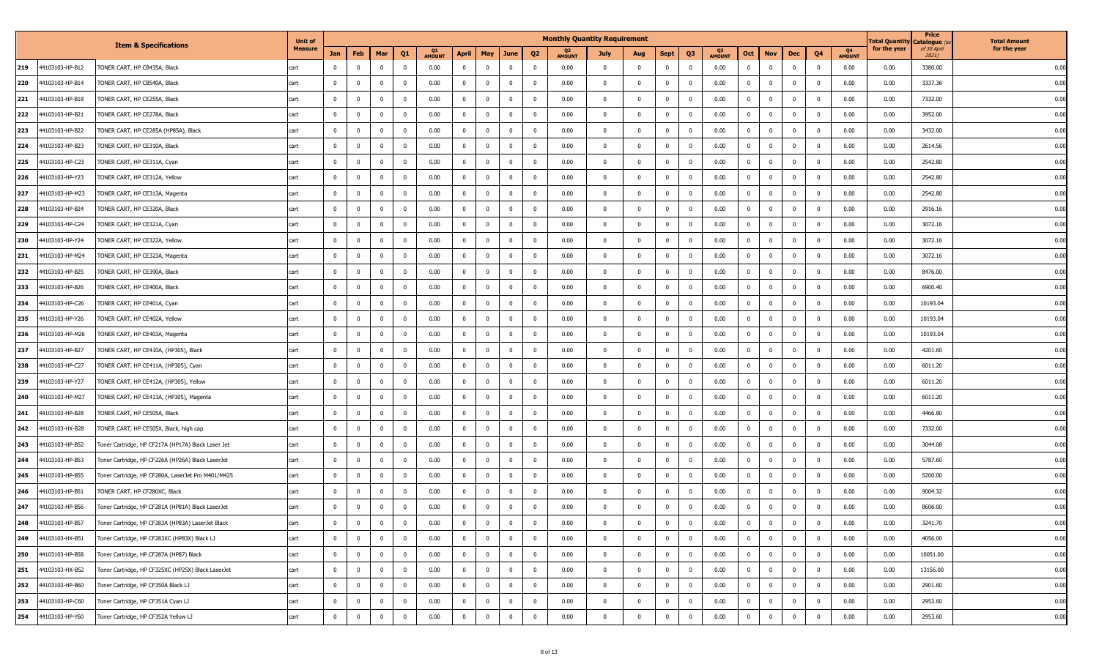|                        |                                                    | <b>Unit of</b> |                |                         |                |                |                     |                |                |                |                         | <b>Monthly Quantity Requirement</b> |                |                |                |                |                     |                |                         |                |              |                     | Total Quantit <sub>)</sub> | Price<br>Catalogue ( | <b>Total Amount</b> |
|------------------------|----------------------------------------------------|----------------|----------------|-------------------------|----------------|----------------|---------------------|----------------|----------------|----------------|-------------------------|-------------------------------------|----------------|----------------|----------------|----------------|---------------------|----------------|-------------------------|----------------|--------------|---------------------|----------------------------|----------------------|---------------------|
|                        | <b>Item &amp; Specifications</b>                   | <b>Measure</b> | Jan            | Feb                     | Mar            | Q <sub>1</sub> | Q1<br><b>AMOUNT</b> | April          | <b>May</b>     | June           | Q <sub>2</sub>          | <b>AMOUNT</b>                       | July           | Aug            | <b>Sept</b>    | Q <sub>3</sub> | Q3<br><b>AMOUNT</b> | Oct            | <b>Nov</b>              | Dec            | Q4           | Q4<br><b>AMOUNT</b> | for the year               | of 30 April<br>2021) | for the year        |
| 219<br>44103103-HP-B12 | TONER CART, HP CB435A, Black                       | cart           |                | $\mathbf 0$             | $\Omega$       | $^{\circ}$     | 0.00                | $\mathbf 0$    | $\Omega$       | $\mathbf 0$    | $\Omega$                | 0.00                                | $\Omega$       | $\mathbf 0$    | $\Omega$       | $\mathbf 0$    | 0.00                | $\mathbf 0$    | $\mathbf{0}$            | $\mathbf 0$    | $\Omega$     | 0.00                | 0.00                       | 3380.00              | 0.00                |
| 220<br>44103103-HP-B14 | TONER CART, HP CB540A, Black                       | cart           | $^{\circ}$     | $\mathbf 0$             | $\mathbf{0}$   | $^{\circ}$     | 0.00                | $\mathbf 0$    | $\mathbf{0}$   | $\mathbf 0$    | $\overline{\mathbf{0}}$ | 0.00                                | $^{\circ}$     | $\mathbf 0$    | $\mathbf{0}$   | $\mathbf 0$    | 0.00                | $\mathbf 0$    | $\mathbf 0$             | $\overline{0}$ | $\mathbf{0}$ | 0.00                | 0.00                       | 3337.36              | 0.00                |
| 221<br>44103103-HP-B18 | TONER CART, HP CE255A, Black                       | cart           | $\mathbf{0}$   | $\mathbf{0}$            | $\mathbf 0$    | $\mathbf{0}$   | 0.00                | $\overline{0}$ | $\mathbf 0$    | $\mathbf{0}$   | $\overline{0}$          | 0.00                                | $\mathbf 0$    | $\mathbf 0$    | $\mathbf{0}$   | $\mathbf{0}$   | 0.00                | $\overline{0}$ | $\overline{\mathbf{0}}$ | $\mathbf{0}$   | $\mathbf{0}$ | 0.00                | 0.00                       | 7332.00              | 0.00                |
| 222<br>44103103-HP-B21 | TONER CART, HP CE278A, Black                       | cart           | $^{\circ}$     | $\overline{0}$          | $\overline{0}$ | $\mathbf 0$    | 0.00                | $\overline{0}$ | $\overline{0}$ | $\mathbf 0$    | $\mathbf{0}$            | 0.00                                | $^{\circ}$     | $\mathbf{0}$   | $\overline{0}$ | $\mathbf 0$    | 0.00                | $\mathbf{0}$   | $\overline{0}$          | $\overline{0}$ | $\mathbf{0}$ | 0.00                | 0.00                       | 3952.00              | 0.00                |
| 223<br>44103103-HP-B22 | TONER CART, HP CE285A (HP85A), Black               | cart           | $\mathbf{0}$   | $\mathbf 0$             | $\mathbf 0$    | $^{\circ}$     | 0.00                | $\mathbf 0$    | $\mathbf 0$    | $\mathbf 0$    | $\overline{\mathbf{0}}$ | 0.00                                | $^{\circ}$     | $\mathbf 0$    | $\mathbf 0$    | $\mathbf 0$    | 0.00                | $\mathbf 0$    | $\overline{\mathbf{0}}$ | $\mathbf 0$    | $\mathbf{0}$ | 0.00                | 0.00                       | 3432.00              | 0.00                |
| 224<br>44103103-HP-B23 | TONER CART, HP CE310A, Black                       | cart           | $\mathbf{0}$   | $\mathbf 0$             | $\Omega$       | $^{\circ}$     | 0.00                | $\overline{0}$ | $\Omega$       | $\mathbf 0$    | $\overline{0}$          | 0.00                                | $\Omega$       | $\mathbf 0$    | $\overline{0}$ | $\mathbf{0}$   | 0.00                | $\mathbf{0}$   | $\mathbf{0}$            | $\mathbf 0$    | $\Omega$     | 0.00                | 0.00                       | 2614.56              | 0.00                |
| 225<br>44103103-HP-C23 | TONER CART, HP CE311A, Cyan                        | cart           | $^{\circ}$     | $\mathbf 0$             | $\mathbf 0$    | $^{\circ}$     | 0.00                | $\mathbf{0}$   | $\mathbf 0$    | $\mathbf 0$    | $\overline{0}$          | 0.00                                | $^{\circ}$     | $\mathbf{0}$   | $\mathbf{0}$   | $\mathbf 0$    | 0.00                | $\mathbf{0}$   | $\mathbf 0$             | $\mathbf{0}$   | $\mathbf{0}$ | 0.00                | 0.00                       | 2542.80              | 0.00                |
| 226<br>44103103-HP-Y23 | TONER CART, HP CE312A, Yellow                      | cart           | $\mathbf 0$    | $\mathbf 0$             | $\mathbf 0$    | $^{\circ}$     | 0.00                | $\overline{0}$ | $\mathbf 0$    | $\mathbf{0}$   | $\overline{0}$          | 0.00                                | $\mathbf 0$    | $\mathbf 0$    | $\overline{0}$ | $\mathbf{0}$   | 0.00                | $\overline{0}$ | $\overline{\mathbf{0}}$ | $\mathbf{0}$   | $\mathbf{0}$ | 0.00                | 0.00                       | 2542.80              | 0.00                |
| 227<br>44103103-HP-M23 | TONER CART, HP CE313A, Magenta                     | cart           |                | $\mathbf 0$             | $\Omega$       | $\mathbf 0$    | 0.00                | $\mathbf 0$    | $\Omega$       | $\mathbf 0$    | $\mathbf{0}$            | 0.00                                | 0              | $\mathbf 0$    | $\Omega$       | $\mathbf{0}$   | 0.00                | $\mathbf{0}$   | $\overline{0}$          | $\mathbf{0}$   | $\Omega$     | 0.00                | 0.00                       | 2542.80              | 0.00                |
| 228<br>44103103-HP-B24 | TONER CART, HP CE320A, Black                       | cart           | $\mathbf{0}$   | $\mathbf 0$             | $\mathbf 0$    | $^{\circ}$     | 0.00                | $\overline{0}$ | $\mathbf 0$    | $\mathbf 0$    | $\overline{\mathbf{0}}$ | 0.00                                | $\mathbf{0}$   | $\mathbf 0$    | $\overline{0}$ | $\mathbf 0$    | 0.00                | $\mathbf 0$    | $\overline{\mathbf{0}}$ | $\mathbf{0}$   | $\mathbf{0}$ | 0.00                | 0.00                       | 2916.16              | 0.00                |
| 229<br>44103103-HP-C24 | TONER CART, HP CE321A, Cyan                        | cart           | $\mathbf{0}$   | $\mathbf 0$             | $^{\circ}$     | $^{\circ}$     | 0.00                | $\mathbf 0$    | $\Omega$       | $\mathbf 0$    | $\overline{0}$          | 0.00                                | $\Omega$       | $\mathbf 0$    | $\overline{0}$ | $\mathbf{0}$   | 0.00                | $\mathbf{0}$   | $\mathbf 0$             | $\mathbf 0$    | $\Omega$     | 0.00                | 0.00                       | 3072.16              | 0.00                |
| 230<br>44103103-HP-Y24 | TONER CART, HP CE322A, Yellow                      | cart           | $\mathbf 0$    | $\mathbf 0$             | $\mathbf 0$    | $\mathbf 0$    | 0.00                | $\mathbf{0}$   | $\mathbf 0$    | $\mathbf 0$    | $\mathbf{0}$            | 0.00                                | $^{\circ}$     | $\mathbf 0$    | $\mathbf{0}$   | $\mathbf 0$    | 0.00                | $\mathbf{0}$   | $\mathbf 0$             | $\mathbf{0}$   | $\mathbf{0}$ | 0.00                | 0.00                       | 3072.16              | 0.00                |
| 231<br>44103103-HP-M24 | TONER CART, HP CE323A, Magenta                     | cart           | $^{\circ}$     | $\mathbf 0$             | $\mathbf 0$    | $^{\circ}$     | 0.00                | $\overline{0}$ | $\mathbf 0$    | $\mathbf{0}$   | $\overline{\mathbf{0}}$ | 0.00                                | 0              | $\mathbf 0$    | $\overline{0}$ | $\mathbf{0}$   | 0.00                | $\overline{0}$ | $\overline{\mathbf{0}}$ | $\mathbf{0}$   | $\mathbf{0}$ | 0.00                | 0.00                       | 3072.16              | 0.00                |
| 232<br>44103103-HP-B25 | TONER CART, HP CE390A, Black                       | cart           | $\Omega$       | $\mathbf 0$             | $\Omega$       | $\mathbf 0$    | 0.00                | $\mathbf{0}$   | $\Omega$       | $\mathbf 0$    | $\mathbf{0}$            | 0.00                                | 0              | $\mathbf 0$    | $\mathbf{0}$   | $\mathbf 0$    | 0.00                | $\mathbf{0}$   | $^{\circ}$              | $\mathbf{0}$   | $\Omega$     | 0.00                | 0.00                       | 8476.00              | 0.00                |
| 233<br>44103103-HP-B26 | TONER CART, HP CE400A, Black                       | cart           | $\mathbf{0}$   | $\overline{\mathbf{0}}$ | $\mathbf 0$    | $^{\circ}$     | 0.00                | $\overline{0}$ | $\overline{0}$ | $\mathbf 0$    | $\overline{\mathbf{0}}$ | 0.00                                | $\mathbf{0}$   | $\mathbf 0$    | $\overline{0}$ | $\mathbf 0$    | 0.00                | $\mathbf{0}$   | $\overline{\mathbf{0}}$ | $\mathbf{0}$   | $\mathbf{0}$ | 0.00                | 0.00                       | 6900.40              | 0.00                |
| 234<br>44103103-HP-C26 | TONER CART, HP CE401A, Cyan                        | cart           | $\mathbf{0}$   | $\mathbf 0$             | $^{\circ}$     | $\mathbf 0$    | 0.00                | $\mathbf 0$    | $\mathbf{0}$   | $\mathbf 0$    | $\overline{0}$          | 0.00                                | $\mathbf{0}$   | $\mathbf 0$    | $\overline{0}$ | $\mathbf 0$    | 0.00                | $\mathbf{0}$   | $\mathbf 0$             | $\mathbf 0$    | $\Omega$     | 0.00                | 0.00                       | 10193.04             | 0.00                |
| 235<br>44103103-HP-Y26 | TONER CART, HP CE402A, Yellow                      | cart           | $\mathbf 0$    | $\mathbf 0$             | $\mathbf 0$    | $\mathbf{0}$   | 0.00                | $\mathbf{0}$   | $\mathbf 0$    | $\mathbf 0$    | $\mathbf{0}$            | 0.00                                | $\mathbf{0}$   | $\mathbf 0$    | $\mathbf{0}$   | $\mathbf 0$    | 0.00                | $\mathbf{0}$   | $\overline{\mathbf{0}}$ | $\mathbf{0}$   | $\mathbf{0}$ | 0.00                | 0.00                       | 10193.04             | 0.00                |
| 236<br>44103103-HP-M26 | TONER CART, HP CE403A, Magenta                     | cart           | $^{\circ}$     | $\mathbf 0$             | $\mathbf 0$    | $^{\circ}$     | 0.00                | $\overline{0}$ | $\mathbf 0$    | $\mathbf{0}$   | $\overline{\mathbf{0}}$ | 0.00                                | 0              | $\mathbf 0$    | $\overline{0}$ | $\mathbf{0}$   | 0.00                | $\overline{0}$ | $\overline{\mathbf{0}}$ | $\mathbf{0}$   | $\mathbf{0}$ | 0.00                | 0.00                       | 10193.04             | 0.00                |
| 237<br>44103103-HP-B27 | TONER CART, HP CE410A, (HP305), Black              | cart           | $^{\circ}$     | $\mathbf 0$             | $\mathbf{0}$   | $\mathbf 0$    | 0.00                | $\mathbf{0}$   | $\Omega$       | $^{\circ}$     | $\mathbf{0}$            | 0.00                                | 0              | $\mathbf 0$    | $\mathbf{0}$   | $\mathbf{0}$   | 0.00                | $\mathbf{0}$   | $^{\circ}$              | $\overline{0}$ | $\mathbf{0}$ | 0.00                | 0.00                       | 4201.60              | 0.00                |
| 238<br>44103103-HP-C27 | TONER CART, HP CE411A, (HP305), Cyan               | cart           | $\mathbf 0$    | $\overline{\mathbf{0}}$ | $\mathbf 0$    | $^{\circ}$     | 0.00                | $\overline{0}$ | $\Omega$       | $\mathbf 0$    | $\mathbf{0}$            | 0.00                                | $\mathbf{0}$   | $\mathbf{0}$   | $\overline{0}$ | $^{\circ}$     | 0.00                | $\mathbf{0}$   | $\overline{\mathbf{0}}$ | $\mathbf 0$    | $\Omega$     | 0.00                | 0.00                       | 6011.20              | 0.00                |
| 239<br>44103103-HP-Y27 | TONER CART, HP CE412A, (HP305), Yellow             | cart           | $\Omega$       | $\mathbf 0$             | $\mathbf{0}$   | $^{\circ}$     | 0.00                | $\mathbf 0$    | $\Omega$       | $\mathbf 0$    | $\Omega$                | 0.00                                | $\Omega$       | $\mathbf 0$    | $\mathbf 0$    | $\mathbf 0$    | 0.00                | $\mathbf{0}$   | $\overline{\mathbf{0}}$ | $\mathbf 0$    | $\Omega$     | 0.00                | 0.00                       | 6011.20              | 0.00                |
| 240<br>44103103-HP-M27 | TONER CART, HP CE413A, (HP305), Magenta            | cart           | $\mathbf 0$    | $\mathbf{0}$            | $\mathbf 0$    | $\overline{0}$ | 0.00                | $\mathbf{0}$   | $\mathbf 0$    | $\mathbf 0$    | $\mathbf{0}$            | 0.00                                | $^{\circ}$     | $\mathbf 0$    | $\mathbf{0}$   | $\mathbf 0$    | 0.00                | $\mathbf 0$    | $\overline{\mathbf{0}}$ | $\mathbf{0}$   | $\mathbf{0}$ | 0.00                | 0.00                       | 6011.20              | 0.00                |
| 241<br>44103103-HP-B28 | TONER CART, HP CE505A, Black                       | cart           | $^{\circ}$     | $\mathbf 0$             | $\mathbf 0$    | $\overline{0}$ | 0.00                | $\overline{0}$ | $\mathbf 0$    | $\mathbf{0}$   | $\overline{\mathbf{0}}$ | 0.00                                | $\mathbf 0$    | $\mathbf 0$    | $\mathbf{0}$   | $\mathbf{0}$   | 0.00                | $\overline{0}$ | $\overline{\mathbf{0}}$ | $\mathbf{0}$   | $\mathbf{0}$ | 0.00                | 0.00                       | 4466.80              | 0.00                |
| 242<br>44103103-HX-B28 | TONER CART, HP CE505X, Black, high cap             | cart           | $^{\circ}$     | $\mathbf 0$             | $\mathbf{0}$   | $\mathbf 0$    | 0.00                | $\mathbf{0}$   | $\Omega$       | $^{\circ}$     | 0                       | 0.00                                | 0              | $\mathbf 0$    | $\mathbf{0}$   | $\mathbf{0}$   | 0.00                | $\mathbf{0}$   | $\overline{\mathbf{0}}$ | $\mathbf{0}$   | $\mathbf{0}$ | 0.00                | 0.00                       | 7332.00              | 0.00                |
| 243<br>44103103-HP-B52 | Toner Cartridge, HP CF217A (HP17A) Black Laser Jet | cart           | $\Omega$       | $\mathbf 0$             | $\overline{0}$ | $\mathbf 0$    | 0.00                | $\overline{0}$ | $\Omega$       | $\mathbf 0$    | $\mathbf{0}$            | 0.00                                | $\mathbf{0}$   | $\mathbf{0}$   | $\overline{0}$ | $^{\circ}$     | 0.00                | $\mathbf 0$    | $\overline{\mathbf{0}}$ | $\mathbf 0$    | $\Omega$     | 0.00                | 0.00                       | 3044.08              | 0.00                |
| 244<br>44103103-HP-B53 | Toner Cartridge, HP CF226A (HP26A) Black LaserJet  | cart           | $\mathbf 0$    | $\mathbf 0$             | $^{\circ}$     | $^{\circ}$     | 0.00                | $\mathbf{0}$   | $\Omega$       | $\mathbf 0$    | $\mathbf{0}$            | 0.00                                | $\mathbf{0}$   | $\mathbf 0$    | $\mathbf{0}$   | $\mathbf 0$    | 0.00                | $\mathbf 0$    | $^{\circ}$              | $\mathbf 0$    | $\Omega$     | 0.00                | 0.00                       | 5787.60              | 0.00                |
| 245<br>44103103-HP-B55 | Toner Cartridge, HP CF280A, LaserJet Pro M401/M425 | cart           | $\Omega$       | $\mathbf{0}$            | $\mathbf 0$    | $^{\circ}$     | 0.00                | $\mathbf{0}$   | $\overline{0}$ | $^{\circ}$     | $\mathbf{0}$            | 0.00                                | $^{\circ}$     | $\mathbf 0$    | $\mathbf{0}$   | $\mathbf 0$    | 0.00                | $\mathbf 0$    | $\overline{\mathbf{0}}$ | $\overline{0}$ | $\Omega$     | 0.00                | 0.00                       | 5200.00              | 0.00                |
| 246<br>44103103-HP-B51 | TONER CART, HP CF280XC, Black                      | cart           | $^{\circ}$     | $\mathbf 0$             | $\mathbf 0$    | $^{\circ}$     | 0.00                | $\mathbf 0$    | $\overline{0}$ | $\mathbf{0}$   | $\overline{\mathbf{0}}$ | 0.00                                | $^{\circ}$     | $\mathbf 0$    | $\overline{0}$ | $\mathbf{0}$   | 0.00                | $\mathbf{0}$   | $\overline{\mathbf{0}}$ | $\mathbf{0}$   | $\mathbf{0}$ | 0.00                | 0.00                       | 9004.32              | 0.00                |
| 247<br>44103103-HP-B56 | Toner Cartridge, HP CF281A (HP81A) Black LaserJet  | cart           | $^{\circ}$     | $\mathbf 0$             | $\mathbf 0$    | $\mathbf 0$    | 0.00                | $\mathbf{0}$   | $\mathbf 0$    | $\mathbf 0$    | $\overline{\mathbf{0}}$ | 0.00                                | $\mathbf{0}$   | $\mathbf 0$    | $\mathbf{0}$   | $\mathbf 0$    | 0.00                | $\mathbf 0$    | $\overline{0}$          | $\overline{0}$ | $\mathbf{0}$ | 0.00                | 0.00                       | 8606.00              | 0.00                |
| 248<br>44103103-HP-B57 | Toner Cartridge, HP CF283A (HP83A) LaserJet Black  | cart           | $^{\circ}$     | $\mathbf 0$             | $\mathbf 0$    | $\mathbf{0}$   | 0.00                | $\overline{0}$ | $\mathbf 0$    | $\mathbf{0}$   | $\overline{\mathbf{0}}$ | 0.00                                | $\mathbf{0}$   | $\mathbf 0$    | $\mathbf 0$    | $\overline{0}$ | 0.00                | $\mathbf{0}$   | $\overline{0}$          | $\mathbf{0}$   | $\mathbf{0}$ | 0.00                | 0.00                       | 3241.70              | 0.00                |
| 249<br>44103103-HX-B51 | Toner Cartridge, HP CF283XC (HP83X) Black LJ       | cart           | $\mathbf{0}$   | $\mathbf 0$             | $\mathbf 0$    | $\mathbf 0$    | 0.00                | $\overline{0}$ | $\mathbf{0}$   | $\mathbf 0$    | $\overline{0}$          | 0.00                                | $\Omega$       | $\mathbf 0$    | $\mathbf 0$    | $\overline{0}$ | 0.00                | $\mathbf{0}$   | $\mathbf{0}$            | $\mathbf 0$    | $\mathbf 0$  | 0.00                | 0.00                       | 4056.00              | 0.00                |
| 250<br>44103103-HP-B58 | Toner Cartridge, HP CF287A (HP87) Black            | cart           | $\mathbf 0$    | $\mathbf 0$             | $\mathbf 0$    | $\mathbf{0}$   | 0.00                | $\overline{0}$ | $\mathbf 0$    | $\mathbf 0$    | $\overline{0}$          | 0.00                                | $\mathbf 0$    | $\mathbf{0}$   | $\overline{0}$ | $\mathbf 0$    | 0.00                | $\mathbf{0}$   | $\overline{\mathbf{0}}$ | $\mathbf 0$    | $\mathbf 0$  | 0.00                | 0.00                       | 10051.00             | 0.00                |
| 251<br>44103103-HX-B52 | Toner Cartridge, HP CF325XC (HP25X) Black LaserJet | cart           | $\overline{0}$ | $\overline{0}$          | $\bf{0}$       | $\overline{0}$ | 0.00                | $\overline{0}$ | $\overline{0}$ | $\overline{0}$ | $\overline{0}$          | 0.00                                | $\overline{0}$ | $\overline{0}$ | $\overline{0}$ | $\overline{0}$ | 0.00                | $\mathbf{0}$   | $\overline{0}$          | $\overline{0}$ | $\mathbf{0}$ | 0.00                | 0.00                       | 13156.00             | 0.00                |
| 252<br>44103103-HP-B60 | Toner Cartridge, HP CF350A Black LJ                | cart           | $\overline{0}$ | $\mathbf 0$             | $\bf{0}$       | $\mathbf 0$    | 0.00                | $\overline{0}$ | $\overline{0}$ | $\mathbf 0$    | $\mathbf 0$             | 0.00                                | $\mathbf 0$    | $\mathbf{0}$   | $\mathbf{0}$   | $\overline{0}$ | 0.00                | $\mathbf 0$    | $\mathbf 0$             | $\mathbf{0}$   | $\bf{0}$     | 0.00                | 0.00                       | 2901.60              | 0.00                |
| 253<br>44103103-HP-C60 | Toner Cartridge, HP CF351A Cyan LJ                 | cart           | $\mathbf{0}$   | $\mathbf 0$             | $\mathbf 0$    | $\mathbf{0}$   | 0.00                | $\bf{0}$       | $\mathbf 0$    | $\mathbf 0$    | $\mathbf 0$             | 0.00                                | $\mathbf 0$    | $\mathbf{0}$   | $\bf{0}$       | $\overline{0}$ | 0.00                | $\mathbf{0}$   | $\overline{0}$          | $\mathbf{0}$   | $\mathbf 0$  | 0.00                | 0.00                       | 2953.60              | 0.00                |
| 254<br>44103103-HP-Y60 | Toner Cartridge, HP CF352A Yellow LJ               | cart           | $\mathbf{0}$   | $\overline{\mathbf{0}}$ | $\Omega$       | $\mathbf 0$    | 0.00                | $\mathbf 0$    | $\overline{0}$ | $\mathbf 0$    | $\mathbf{0}$            | 0.00                                | $\mathbf 0$    | $\mathbf{0}$   | $\overline{0}$ | $\mathbf 0$    | 0.00                | $\mathbf{0}$   | $\mathbf 0$             | $\mathbf{0}$   | $\Omega$     | 0.00                | 0.00                       | 2953.60              | 0.00                |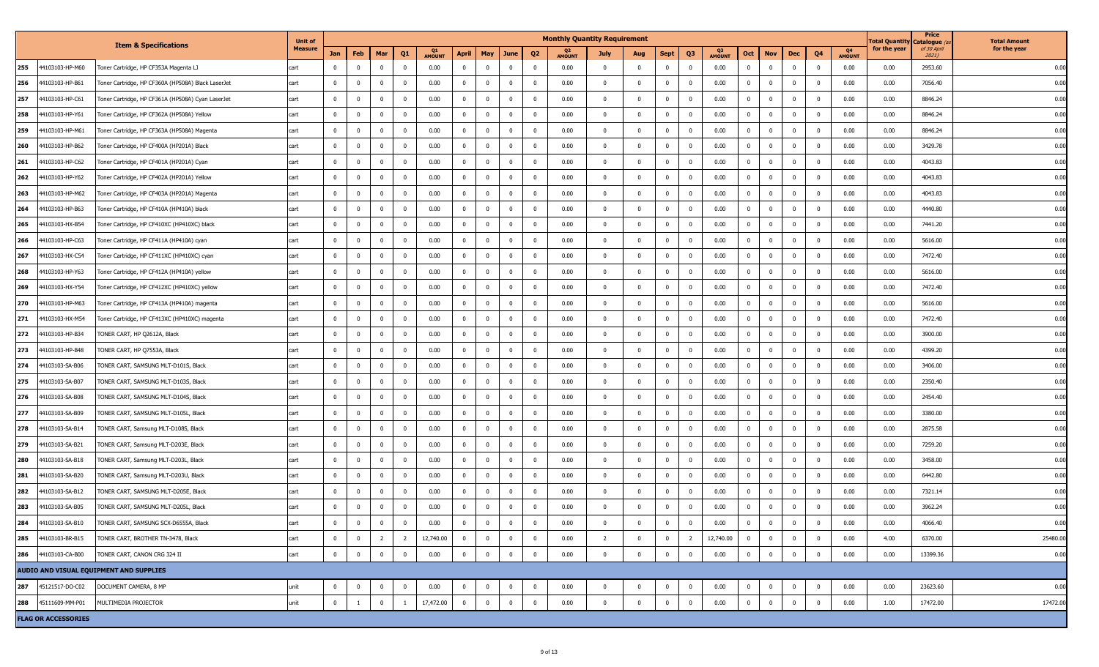|     |                            |                                                    | <b>Unit of</b> |                         |                |                |                         |                            |                         |             |                         |                | <b>Monthly Quantity Requirement</b> |                         |                         |                |                         |                            |                |                         |                         |              |                     | rotal Quantity | Price<br>Catalogue   | <b>Total Amount</b> |
|-----|----------------------------|----------------------------------------------------|----------------|-------------------------|----------------|----------------|-------------------------|----------------------------|-------------------------|-------------|-------------------------|----------------|-------------------------------------|-------------------------|-------------------------|----------------|-------------------------|----------------------------|----------------|-------------------------|-------------------------|--------------|---------------------|----------------|----------------------|---------------------|
|     |                            | <b>Item &amp; Specifications</b>                   | <b>Measure</b> | Jan                     | Feb            | Mar            | Q <sub>1</sub>          | <b>Q1</b><br><b>AMOUNT</b> | April                   | <b>May</b>  | June                    | Q <sub>2</sub> | <b>AMOUNT</b>                       | July                    | Aug                     | <b>Sept</b>    | Q <sub>3</sub>          | <b>Q3</b><br><b>AMOUNT</b> | Oct            | <b>Nov</b>              | Dec                     | Q4           | Q4<br><b>AMOUNT</b> | for the year   | of 30 April<br>2021) | for the year        |
| 255 | 44103103-HP-M60            | Toner Cartridge, HP CF353A Magenta LJ              | cart           | $\overline{0}$          | $\overline{0}$ |                | $\mathbf 0$             | 0.00                       | $\overline{0}$          |             | $\mathbf 0$             | 0              | 0.00                                | $\overline{\mathbf{0}}$ | $\overline{\mathbf{0}}$ | $\mathbf 0$    | $\overline{0}$          | 0.00                       | $\mathbf 0$    | $\overline{0}$          | $\overline{0}$          | $\Omega$     | 0.00                | 0.00           | 2953.60              | 0.00                |
| 256 | 44103103-HP-B61            | Toner Cartridge, HP CF360A (HP508A) Black LaserJet | cart           | $\overline{0}$          | $\mathbf 0$    | $\Omega$       | $\overline{\mathbf{0}}$ | 0.00                       | $\mathbf{0}$            | $\Omega$    | $\overline{0}$          | 0              | 0.00                                | $\mathbf 0$             | $\overline{\mathbf{0}}$ | $\mathbf{0}$   | $\overline{0}$          | 0.00                       | $\mathbf 0$    | $\overline{\mathbf{0}}$ | $^{\circ}$              |              | 0.00                | 0.00           | 7056.40              | 0.00                |
| 257 | 44103103-HP-C61            | Toner Cartridge, HP CF361A (HP508A) Cyan LaserJet  | cart           | $\overline{\mathbf{0}}$ | $\mathbf 0$    | $\mathbf 0$    | $\overline{\mathbf{0}}$ | 0.00                       | $\mathbf{0}$            | $\mathbf 0$ | $\overline{0}$          | 0              | 0.00                                | $\overline{\mathbf{0}}$ | $\overline{\mathbf{0}}$ | $\overline{0}$ | $\overline{\mathbf{0}}$ | 0.00                       | $\mathbf 0$    | $\overline{\mathbf{0}}$ | $\overline{0}$          | $^{\circ}$   | 0.00                | 0.00           | 8846.24              | 0.00                |
| 258 | 44103103-HP-Y61            | Toner Cartridge, HP CF362A (HP508A) Yellow         | cart           | $\overline{0}$          | $\mathbf 0$    | $\Omega$       | 0                       | 0.00                       | $\mathbf 0$             |             | $\mathbf{0}$            | 0              | 0.00                                | $\mathbf 0$             | $\overline{0}$          | $\mathbf 0$    | $^{\circ}$              | 0.00                       | $\mathbf 0$    | $\overline{\mathbf{0}}$ | $\overline{0}$          |              | 0.00                | 0.00           | 8846.24              | 0.00                |
| 259 | 44103103-HP-M61            | Toner Cartridge, HP CF363A (HP508A) Magenta        | cart           | $\overline{0}$          | $\mathbf 0$    | $^{\circ}$     | $\overline{\mathbf{0}}$ | 0.00                       | $\mathbf 0$             | $\Omega$    | $\mathbf 0$             | 0              | 0.00                                | $\mathbf{0}$            | $\overline{0}$          | $\mathbf 0$    | $\overline{\mathbf{0}}$ | 0.00                       | $\mathbf 0$    | $\overline{\mathbf{0}}$ | $\overline{0}$          | $^{\circ}$   | 0.00                | 0.00           | 8846.24              | 0.00                |
| 260 | 44103103-HP-B62            | Toner Cartridge, HP CF400A (HP201A) Black          | cart           | $\overline{\mathbf{0}}$ | $\mathbf 0$    | $\Omega$       | $\overline{\mathbf{0}}$ | 0.00                       | $\overline{0}$          | $\Omega$    | $\mathbf 0$             | 0              | 0.00                                | $\mathbf{0}$            | $\Omega$                | $\mathbf 0$    | $\overline{\mathbf{0}}$ | 0.00                       | $\mathbf 0$    | $\overline{0}$          | $\overline{\mathbf{0}}$ | $\Omega$     | 0.00                | 0.00           | 3429.78              | 0.00                |
| 261 | 44103103-HP-C62            | Toner Cartridge, HP CF401A (HP201A) Cyan           | cart           | $\overline{0}$          | $\mathbf 0$    | $\Omega$       | $\overline{\mathbf{0}}$ | 0.00                       | $\mathbf{0}$            | $\Omega$    | $\overline{0}$          | 0              | 0.00                                | $\mathbf 0$             | $\overline{0}$          | $^{\circ}$     | $\overline{0}$          | 0.00                       | $\mathbf 0$    | $\overline{\mathbf{0}}$ | $\mathbf{0}$            | $\mathbf{0}$ | 0.00                | 0.00           | 4043.83              | 0.00                |
| 262 | 44103103-HP-Y62            | Toner Cartridge, HP CF402A (HP201A) Yellow         | cart           | $\overline{\mathbf{0}}$ | $\mathbf 0$    | $\mathbf 0$    | $\overline{\mathbf{0}}$ | 0.00                       | $\mathbf{0}$            | $^{\circ}$  | $\overline{0}$          | 0              | 0.00                                | $\overline{0}$          | $\overline{0}$          | $\overline{0}$ | $\overline{\mathbf{0}}$ | 0.00                       | $\mathbf 0$    | $\overline{\mathbf{0}}$ | $\overline{0}$          | $\mathbf{0}$ | 0.00                | 0.00           | 4043.83              | 0.00                |
| 263 | 44103103-HP-M62            | Toner Cartridge, HP CF403A (HP201A) Magenta        | cart           | $\Omega$                | $\mathbf 0$    |                | $\Omega$                | 0.00                       | $\mathbf 0$             |             | $\mathbf 0$             | 0              | 0.00                                | $\mathbf 0$             | $\overline{0}$          | $^{\circ}$     | $\overline{0}$          | 0.00                       | $\mathbf 0$    | $\Omega$                | $\mathbf{0}$            |              | 0.00                | 0.00           | 4043.83              | 0.00                |
| 264 | 44103103-HP-B63            | Toner Cartridge, HP CF410A (HP410A) black          | cart           | $\overline{\mathbf{0}}$ | $\mathbf 0$    | $^{\circ}$     | $\overline{\mathbf{0}}$ | 0.00                       | $\mathbf 0$             | $\Omega$    | $\overline{0}$          | $^{\circ}$     | 0.00                                | $\overline{\mathbf{0}}$ | $\overline{0}$          | $\overline{0}$ | $\overline{\mathbf{0}}$ | 0.00                       | $\mathbf 0$    | $\overline{\mathbf{0}}$ | $\overline{0}$          | $\mathbf{0}$ | 0.00                | 0.00           | 4440.80              | 0.00                |
| 265 | 44103103-HX-B54            | Toner Cartridge, HP CF410XC (HP410XC) black        | cart           | $\overline{0}$          | $\mathbf 0$    | $\Omega$       | $\overline{\mathbf{0}}$ | 0.00                       | $\overline{0}$          | $\Omega$    | $\overline{0}$          | 0              | 0.00                                | $\overline{\mathbf{0}}$ | $\overline{0}$          | $\mathbf 0$    | $\overline{\mathbf{0}}$ | 0.00                       | $\mathbf 0$    | $\overline{0}$          | $\overline{0}$          | $\Omega$     | 0.00                | 0.00           | 7441.20              | 0.00                |
| 266 | 44103103-HP-C63            | Toner Cartridge, HP CF411A (HP410A) cyan           | cart           | $\overline{0}$          | $\mathbf 0$    | $\Omega$       | $\overline{\mathbf{0}}$ | 0.00                       | $\mathbf 0$             | $\Omega$    | $\overline{0}$          | 0              | 0.00                                | $\mathbf 0$             | $\overline{0}$          | $\mathbf 0$    | $\overline{0}$          | 0.00                       | $\mathbf 0$    | $\overline{\mathbf{0}}$ | $^{\circ}$              | $\mathbf{0}$ | 0.00                | 0.00           | 5616.00              | 0.00                |
| 267 | 44103103-HX-C54            | Toner Cartridge, HP CF411XC (HP410XC) cyan         | cart           | $\overline{\mathbf{0}}$ | $\mathbf 0$    | $\mathbf 0$    | $\overline{\mathbf{0}}$ | 0.00                       | $\mathbf{0}$            | $^{\circ}$  | $\overline{0}$          | 0              | 0.00                                | $\overline{0}$          | $\overline{\mathbf{0}}$ | $\overline{0}$ | $\overline{\mathbf{0}}$ | 0.00                       | $\mathbf 0$    | $\overline{\mathbf{0}}$ | $\overline{0}$          | $^{\circ}$   | 0.00                | 0.00           | 7472.40              | 0.00                |
| 268 | 44103103-HP-Y63            | Toner Cartridge, HP CF412A (HP410A) yellow         | cart           | $\mathbf{0}$            | $\mathbf 0$    |                | $\mathbf 0$             | 0.00                       | $\mathbf 0$             |             | $\overline{\mathbf{0}}$ | 0              | 0.00                                | $\mathbf 0$             | $^{\circ}$              | $^{\circ}$     | $\overline{0}$          | 0.00                       | $\mathbf 0$    | $\overline{0}$          | $\overline{0}$          |              | 0.00                | 0.00           | 5616.00              | 0.00                |
| 269 | 44103103-HX-Y54            | Toner Cartridge, HP CF412XC (HP410XC) yellow       | cart           | $\overline{0}$          | $\mathbf 0$    | $\Omega$       | $\overline{\mathbf{0}}$ | 0.00                       | $\mathbf 0$             | $\Omega$    | $\mathbf 0$             | 0              | 0.00                                | $\overline{\mathbf{0}}$ | $\overline{0}$          | $^{\circ}$     | $\overline{\mathbf{0}}$ | 0.00                       | $\mathbf 0$    | $\overline{\mathbf{0}}$ | $\overline{0}$          | $\Omega$     | 0.00                | 0.00           | 7472.40              | 0.00                |
| 270 | 44103103-HP-M63            | Toner Cartridge, HP CF413A (HP410A) magenta        | cart           | $\overline{0}$          | $\mathbf 0$    | $\Omega$       | $\overline{\mathbf{0}}$ | 0.00                       | $\overline{0}$          | $\Omega$    | $\overline{\mathbf{0}}$ | $^{\circ}$     | 0.00                                | $\overline{\mathbf{0}}$ | $\overline{0}$          | $\mathbf 0$    | $\overline{\mathbf{0}}$ | 0.00                       | $\mathbf 0$    | $\overline{0}$          | $\overline{0}$          | $\Omega$     | 0.00                | 0.00           | 5616.00              | 0.00                |
| 271 | 44103103-HX-M54            | Toner Cartridge, HP CF413XC (HP410XC) magenta      | cart           | $\overline{0}$          | $\mathbf 0$    | $\Omega$       | $\overline{\mathbf{0}}$ | 0.00                       | $\mathbf 0$             | $\Omega$    | $\overline{\mathbf{0}}$ | $^{\circ}$     | 0.00                                | $\mathbf 0$             | $\overline{0}$          | $\mathbf 0$    | $\overline{0}$          | 0.00                       | $\mathbf 0$    | $\overline{\mathbf{0}}$ | $\overline{0}$          | $^{\circ}$   | 0.00                | 0.00           | 7472.40              | 0.00                |
| 272 | 44103103-HP-B34            | TONER CART, HP Q2612A, Black                       | cart           | $\overline{\mathbf{0}}$ | $\mathbf 0$    | $\mathbf 0$    | $\overline{\mathbf{0}}$ | 0.00                       | $\overline{0}$          | $^{\circ}$  | $\overline{0}$          | 0              | 0.00                                | $\overline{0}$          | $\overline{\mathbf{0}}$ | $\overline{0}$ | $\overline{\mathbf{0}}$ | 0.00                       | $\mathbf 0$    | $\overline{\mathbf{0}}$ | $\overline{0}$          | $^{\circ}$   | 0.00                | 0.00           | 3900.00              | 0.00                |
| 273 | 44103103-HP-B48            | TONER CART, HP Q7553A, Black                       | cart           | $\mathbf{0}$            | $\mathbf 0$    | $\Omega$       | $\mathbf 0$             | 0.00                       | $\mathbf 0$             |             | $\overline{\mathbf{0}}$ | 0              | 0.00                                | $\mathbf 0$             | $\overline{\mathbf{0}}$ | $^{\circ}$     | $\overline{0}$          | 0.00                       | $\mathbf 0$    | $\overline{0}$          | $\overline{0}$          |              | 0.00                | 0.00           | 4399.20              | 0.00                |
| 274 | 44103103-SA-B06            | TONER CART, SAMSUNG MLT-D101S, Black               | cart           | $\overline{0}$          | $\mathbf 0$    | $\Omega$       | $\overline{\mathbf{0}}$ | 0.00                       | $\mathbf 0$             |             | $\mathbf{0}$            | $\mathbf 0$    | 0.00                                | $\mathbf{0}$            | $\overline{0}$          | $^{\circ}$     | $\overline{0}$          | 0.00                       | $\mathbf 0$    | $\overline{0}$          | $\overline{\mathbf{0}}$ |              | 0.00                | 0.00           | 3406.00              | 0.00                |
| 275 | 44103103-SA-B07            | TONER CART, SAMSUNG MLT-D103S, Black               | cart           | $\mathbf 0$             | $\mathbf 0$    | $\Omega$       | $\overline{\mathbf{0}}$ | 0.00                       | $\overline{0}$          |             | $\overline{0}$          | $\mathbf 0$    | 0.00                                | $\overline{\mathbf{0}}$ | $\overline{0}$          | $\mathbf 0$    | $\overline{0}$          | 0.00                       | $\mathbf 0$    | $\overline{0}$          | $\overline{0}$          | $\Omega$     | 0.00                | 0.00           | 2350.40              | 0.00                |
| 276 | 44103103-SA-B08            | TONER CART, SAMSUNG MLT-D104S, Black               | cart           | $\overline{0}$          | $\mathbf 0$    | $\Omega$       | $\overline{\mathbf{0}}$ | 0.00                       | $\mathbf 0$             | $\Omega$    | $\overline{\mathbf{0}}$ | 0              | 0.00                                | $\overline{0}$          | $\overline{0}$          | $^{\circ}$     | $\overline{0}$          | 0.00                       | $\mathbf 0$    | $\overline{\mathbf{0}}$ | $\mathbf{0}$            | $\Omega$     | 0.00                | 0.00           | 2454.40              | 0.00                |
| 277 | 44103103-SA-B09            | TONER CART, SAMSUNG MLT-D105L, Black               | cart           | $\overline{\mathbf{0}}$ | $\mathbf 0$    | $\mathbf 0$    | $\overline{\mathbf{0}}$ | 0.00                       | $\mathbf{0}$            | $^{\circ}$  | $\overline{\mathbf{0}}$ | 0              | 0.00                                | $\overline{\mathbf{0}}$ | $\overline{0}$          | $\overline{0}$ | $\overline{\mathbf{0}}$ | 0.00                       | $\mathbf 0$    | $\overline{\mathbf{0}}$ | $\overline{0}$          | $\mathbf{0}$ | 0.00                | 0.00           | 3380.00              | 0.00                |
| 278 | 44103103-SA-B14            | TONER CART, Samsung MLT-D108S, Black               | cart           | $\mathbf{0}$            | $\mathbf 0$    | $^{\circ}$     | $\overline{\mathbf{0}}$ | 0.00                       | $\mathbf 0$             | $\Omega$    | $\overline{\mathbf{0}}$ | 0              | 0.00                                | $\mathbf 0$             | $\overline{\mathbf{0}}$ | $^{\circ}$     | $\overline{0}$          | 0.00                       | $\mathbf 0$    | $\mathbf 0$             | $\mathbf 0$             | $\mathbf 0$  | 0.00                | 0.00           | 2875.58              | 0.00                |
| 279 | 44103103-SA-B21            | TONER CART, Samsung MLT-D203E, Black               | cart           | $\overline{0}$          | $\mathbf 0$    | $\Omega$       | $\mathbf 0$             | 0.00                       | $\mathbf 0$             |             | $\mathbf{0}$            | 0              | 0.00                                | $\mathbf{0}$            | $\overline{0}$          | $^{\circ}$     | $\overline{0}$          | 0.00                       | $\mathbf{0}$   | $\overline{0}$          | $\mathbf{0}$            |              | 0.00                | 0.00           | 7259.20              | 0.00                |
| 280 | 44103103-SA-B18            | TONER CART, Samsung MLT-D203L, Black               | cart           | $\overline{0}$          | $\mathbf 0$    | $\Omega$       | $\mathbf 0$             | 0.00                       | $\overline{\mathbf{0}}$ |             | $\mathbf 0$             | 0              | 0.00                                | $\overline{\mathbf{0}}$ | $\overline{0}$          | $^{\circ}$     | $\overline{0}$          | 0.00                       | $\mathbf 0$    | $\overline{0}$          | $\overline{\mathbf{0}}$ | $\Omega$     | 0.00                | 0.00           | 3458.00              | 0.00                |
| 281 | 44103103-SA-B20            | TONER CART, Samsung MLT-D203U, Black               | cart           | $\overline{\mathbf{0}}$ | $\mathbf 0$    | $\Omega$       | $\overline{\mathbf{0}}$ | 0.00                       | $\mathbf 0$             | $\Omega$    | $\overline{\mathbf{0}}$ | 0              | 0.00                                | $^{\circ}$              | $\overline{0}$          | $^{\circ}$     | $\overline{0}$          | 0.00                       | $\mathbf 0$    | $\overline{\mathbf{0}}$ | $\mathbf{0}$            |              | 0.00                | 0.00           | 6442.80              | 0.00                |
| 282 | 44103103-SA-B12            | TONER CART, SAMSUNG MLT-D205E, Black               | cart           | $\overline{\mathbf{0}}$ | $\mathbf 0$    | $\mathbf 0$    | $\overline{\mathbf{0}}$ | 0.00                       | $\overline{0}$          | $^{\circ}$  | $\overline{\mathbf{0}}$ | 0              | 0.00                                | $\overline{\mathbf{0}}$ | $\overline{\mathbf{0}}$ | $^{\circ}$     | $\overline{\mathbf{0}}$ | 0.00                       | $\mathbf 0$    | $\overline{\mathbf{0}}$ | $\overline{0}$          | $^{\circ}$   | 0.00                | 0.00           | 7321.14              | 0.00                |
| 283 | 44103103-SA-B05            | TONER CART, SAMSUNG MLT-D205L, Black               | cart           | $\overline{0}$          | $\mathbf 0$    | $^{\circ}$     | $\overline{\mathbf{0}}$ | 0.00                       | $\mathbf 0$             | $^{\circ}$  | $\overline{0}$          | 0              | 0.00                                | $\mathbf 0$             | $^{\circ}$              | $^{\circ}$     | $\overline{0}$          | 0.00                       | $\overline{0}$ | $\overline{\mathbf{0}}$ | $\overline{0}$          |              | 0.00                | 0.00           | 3962.24              | 0.00                |
| 284 | 44103103-SA-B10            | TONER CART, SAMSUNG SCX-D6555A, Black              | cart           | $\overline{0}$          | $\mathbf 0$    | $\mathbf{0}$   | $\overline{\mathbf{0}}$ | 0.00                       | $\bf{0}$                | $\mathbf 0$ | $\overline{0}$          | $\mathbf 0$    | 0.00                                | $\overline{0}$          | $\overline{\mathbf{0}}$ | $\overline{0}$ | $\overline{0}$          | 0.00                       | $\mathbf{0}$   | $\overline{\mathbf{0}}$ | $\overline{0}$          | $^{\circ}$   | 0.00                | 0.00           | 4066.40              | 0.00                |
| 285 | 44103103-BR-B15            | TONER CART, BROTHER TN-3478, Black                 | cart           | $\overline{0}$          | $\mathbf 0$    | $\overline{2}$ | $\overline{2}$          | 12,740.00                  | $\bf{0}$                | $\mathbf 0$ | $\overline{0}$          | $\mathbf 0$    | 0.00                                | $\overline{2}$          | $\overline{0}$          | $\bf{0}$       | $\overline{2}$          | 12,740.00                  | $\mathbf 0$    | $\overline{0}$          | $\overline{0}$          | $\Omega$     | 0.00                | 4.00           | 6370.00              | 25480.00            |
| 286 | 44103103-CA-B00            | TONER CART, CANON CRG 324 II                       | cart           | $\overline{0}$          | $\mathbf 0$    | $\mathbf 0$    | $\overline{\mathbf{0}}$ | 0.00                       | $\overline{0}$          | $\mathbf 0$ | $\overline{0}$          | $\mathbf 0$    | 0.00                                | $\mathbf 0$             | $\overline{0}$          | $\mathbf 0$    | $\mathbf 0$             | 0.00                       | $\mathbf{0}$   | $\overline{\mathbf{0}}$ | $\mathbf 0$             | $\Omega$     | 0.00                | 0.00           | 13399.36             | 0.00                |
|     |                            | AUDIO AND VISUAL EQUIPMENT AND SUPPLIES            |                |                         |                |                |                         |                            |                         |             |                         |                |                                     |                         |                         |                |                         |                            |                |                         |                         |              |                     |                |                      |                     |
| 287 | 45121517-DO-C02            | DOCUMENT CAMERA, 8 MP                              | unit           | $\overline{0}$          | $\mathbf 0$    | $\mathbf 0$    | $\overline{\mathbf{0}}$ | 0.00                       | $\overline{0}$          | $\mathbf 0$ | $\overline{0}$          | $\mathbf 0$    | 0.00                                | $\mathbf 0$             | $\overline{0}$          | $\bf{0}$       | $\overline{0}$          | 0.00                       | $\mathbf 0$    | $\overline{\mathbf{0}}$ | $\overline{0}$          | $\mathbf{0}$ | 0.00                | 0.00           | 23623.60             | 0.00                |
| 288 | 45111609-MM-P01            | MULTIMEDIA PROJECTOR                               | unit           | $\overline{\mathbf{0}}$ | $\mathbf{1}$   | $\Omega$       | $\mathbf{1}$            | 17,472.00                  | $\mathbf{0}$            | $\Omega$    | $\overline{0}$          | $\mathbf 0$    | 0.00                                | $\mathbf{0}$            | $\overline{0}$          | $\Omega$       | $\mathbf{0}$            | 0.00                       | $\mathbf{0}$   | $\overline{\mathbf{0}}$ | $\Omega$                | $\Omega$     | 0.00                | 1.00           | 17472.00             | 17472.00            |
|     | <b>FLAG OR ACCESSORIES</b> |                                                    |                |                         |                |                |                         |                            |                         |             |                         |                |                                     |                         |                         |                |                         |                            |                |                         |                         |              |                     |                |                      |                     |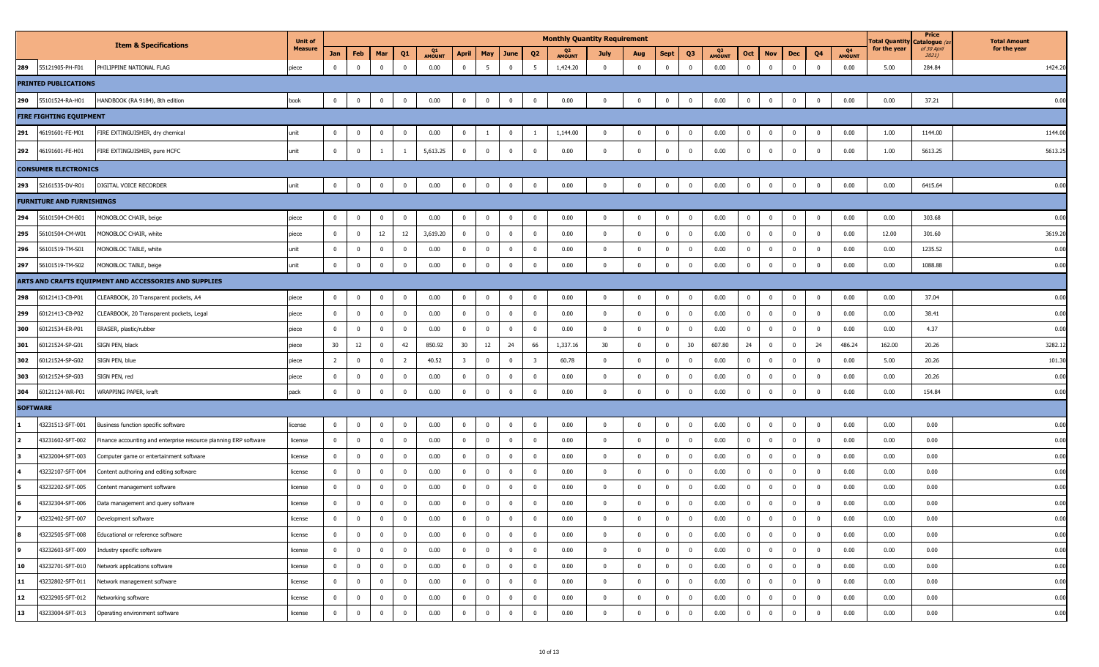|                 |                                  |                                                                  | <b>Unit of</b> |                |                         |                |                         |                          |                         |                         |                |                         | <b>Monthly Quantity Requirement</b> |                         |              |                |                |                     |                |                         |                |                |                     | <b>Fotal Quantity</b> | Price<br>Catalogue (a | <b>Total Amount</b> |
|-----------------|----------------------------------|------------------------------------------------------------------|----------------|----------------|-------------------------|----------------|-------------------------|--------------------------|-------------------------|-------------------------|----------------|-------------------------|-------------------------------------|-------------------------|--------------|----------------|----------------|---------------------|----------------|-------------------------|----------------|----------------|---------------------|-----------------------|-----------------------|---------------------|
|                 |                                  | <b>Item &amp; Specifications</b>                                 | <b>Measure</b> | Jan            | Feb                     | Mar            | Q1                      | $_{01}$<br><b>AMOUNT</b> | April                   | May                     | June           | Q <sub>2</sub>          | Q2<br><b>AMOUNT</b>                 | July                    | Aug          | <b>Sept</b>    | Q3             | Q3<br><b>AMOUNT</b> | Oct            | <b>Nov</b>              | Dec            | Q <sub>4</sub> | Q4<br><b>AMOUNT</b> | for the year          | of 30 April<br>2021)  | for the year        |
| 289             | 55121905-PH-F01                  | PHILIPPINE NATIONAL FLAG                                         | piece          | $\mathbf 0$    | $\overline{0}$          | $\mathbf 0$    | $\overline{0}$          | 0.00                     | $\overline{\mathbf{0}}$ | 5 <sub>5</sub>          | $\mathbf 0$    | 5                       | 1,424.20                            | $\overline{0}$          | $\mathbf 0$  | $\mathbf 0$    | $\mathbf 0$    | 0.00                | $\mathbf{0}$   | $\overline{0}$          | $\mathbf 0$    | $\overline{0}$ | 0.00                | 5.00                  | 284.84                | 1424.20             |
|                 | <b>PRINTED PUBLICATIONS</b>      |                                                                  |                |                |                         |                |                         |                          |                         |                         |                |                         |                                     |                         |              |                |                |                     |                |                         |                |                |                     |                       |                       |                     |
| 290             | 55101524-RA-H01                  | HANDBOOK (RA 9184), 8th edition                                  | book           | $\mathbf{0}$   | $\overline{\mathbf{0}}$ | $\mathbf 0$    | $\overline{\mathbf{0}}$ | 0.00                     | $\overline{\mathbf{0}}$ | $\mathbf 0$             | $\pmb{0}$      | $\mathbf 0$             | 0.00                                | $\overline{0}$          | $\mathbf{0}$ | $\mathbf 0$    | $\overline{0}$ | 0.00                | $\mathbf{0}$   | $\overline{0}$          | $\mathbf{0}$   | $\overline{0}$ | 0.00                | 0.00                  | 37.21                 | 0.00                |
|                 | <b>FIRE FIGHTING EQUIPMENT</b>   |                                                                  |                |                |                         |                |                         |                          |                         |                         |                |                         |                                     |                         |              |                |                |                     |                |                         |                |                |                     |                       |                       |                     |
| 291             | 46191601-FE-M01                  | FIRE EXTINGUISHER, dry chemical                                  | unit           | $\mathbf{0}$   | $\overline{0}$          | $^{\circ}$     | $\mathbf 0$             | 0.00                     | $\overline{0}$          | - 1                     | $\mathbf{0}$   | -1                      | 1,144.00                            | $\overline{0}$          | $\mathbf 0$  | $\overline{0}$ | $\mathbf{0}$   | 0.00                | $\mathbf 0$    | $\overline{0}$          | $\mathbf{0}$   | $\overline{0}$ | 0.00                | 1.00                  | 1144.00               | 1144.00             |
| 292             | 46191601-FE-H01                  | FIRE EXTINGUISHER, pure HCFC                                     | unit           | $\mathbf 0$    | $\mathbf 0$             | 1              |                         | 5,613.25                 | $\mathbf 0$             | $\mathbf{0}$            | $\mathbf{0}$   | $\mathbf 0$             | 0.00                                | $\mathbf 0$             | $\mathbf 0$  | $\Omega$       | $\overline{0}$ | 0.00                | $\mathbf 0$    | $\overline{0}$          | $\mathbf{0}$   | $\Omega$       | 0.00                | 1.00                  | 5613.25               | 5613.25             |
|                 | <b>CONSUMER ELECTRONICS</b>      |                                                                  |                |                |                         |                |                         |                          |                         |                         |                |                         |                                     |                         |              |                |                |                     |                |                         |                |                |                     |                       |                       |                     |
| 293             | 52161535-DV-R01                  | DIGITAL VOICE RECORDER                                           | unit           | $\mathbf{0}$   | $\overline{0}$          | $\mathbf 0$    | $\mathbf 0$             | 0.00                     | $\overline{\mathbf{0}}$ | $\mathbf{0}$            | $\mathbf{0}$   | $\overline{\mathbf{0}}$ | 0.00                                | $\mathbf 0$             | $\mathbf{0}$ | $\mathbf 0$    | $\overline{0}$ | 0.00                | $\mathbf 0$    | $\mathbf 0$             | $\mathbf{0}$   | $\overline{0}$ | 0.00                | 0.00                  | 6415.64               | 0.00                |
|                 | <b>FURNITURE AND FURNISHINGS</b> |                                                                  |                |                |                         |                |                         |                          |                         |                         |                |                         |                                     |                         |              |                |                |                     |                |                         |                |                |                     |                       |                       |                     |
| 294             | 56101504-CM-B01                  | MONOBLOC CHAIR, beige                                            | piece          | $\mathbf{0}$   | $\mathbf 0$             | $^{\circ}$     | $\overline{\mathbf{0}}$ | 0.00                     | $\bf{0}$                | $\mathbf{0}$            | $\mathbf 0$    | $\overline{\mathbf{0}}$ | 0.00                                | $\mathbf{0}$            | $\mathbf 0$  | $\mathbf{0}$   | $\mathbf{0}$   | 0.00                | $\mathbf 0$    | $\bf{0}$                | $\mathbf{0}$   | $\overline{0}$ | 0.00                | 0.00                  | 303.68                | 0.00                |
| 295             | 56101504-CM-W01                  | MONOBLOC CHAIR, white                                            | piece          | $\mathbf 0$    | $\overline{0}$          | $12\,$         | 12                      | 3,619.20                 | $\mathbf 0$             | $\overline{0}$          | $\overline{0}$ | $\mathbf{0}$            | 0.00                                | $\mathbf 0$             | $\mathbf 0$  | $\mathbf{0}$   | $\overline{0}$ | 0.00                | $\overline{0}$ | $\overline{0}$          | $\mathbf{0}$   | $\mathbf 0$    | 0.00                | 12.00                 | 301.60                | 3619.20             |
| 296             | 56101519-TM-S01                  | MONOBLOC TABLE, white                                            | unit           | $^{\circ}$     | $\overline{\mathbf{0}}$ | $\mathbf 0$    | $\overline{0}$          | 0.00                     | $\mathbf 0$             | $\overline{0}$          | $\mathbf 0$    | $\mathbf 0$             | 0.00                                | $\mathbf 0$             | $\mathbf 0$  | $\mathbf 0$    | $\mathbf{0}$   | 0.00                | $\mathbf{0}$   | $\overline{\mathbf{0}}$ | $\mathbf{0}$   | $\Omega$       | 0.00                | 0.00                  | 1235.52               | 0.00                |
| 297             | 56101519-TM-S02                  | MONOBLOC TABLE, beige                                            | unit           | $\mathbf 0$    | $\mathbf{0}$            | $\Omega$       | $\overline{0}$          | 0.00                     | $\mathbf 0$             | $\Omega$                | $\mathbf{0}$   | $\mathbf 0$             | 0.00                                | $\mathbf 0$             | $\mathbf 0$  | $\Omega$       | $\overline{0}$ | 0.00                | $\mathbf 0$    | $\overline{\mathbf{0}}$ | $\mathbf 0$    | $\Omega$       | 0.00                | 0.00                  | 1088.88               | 0.00                |
|                 |                                  | ARTS AND CRAFTS EQUIPMENT AND ACCESSORIES AND SUPPLIES           |                |                |                         |                |                         |                          |                         |                         |                |                         |                                     |                         |              |                |                |                     |                |                         |                |                |                     |                       |                       |                     |
| 298             | 60121413-CB-P01                  | CLEARBOOK, 20 Transparent pockets, A4                            | piece          | $\mathbf{0}$   | $\overline{0}$          | $\mathbf 0$    | $\overline{\mathbf{0}}$ | 0.00                     | $\mathbf 0$             | $\overline{0}$          | $\mathbf{0}$   | $\mathbf 0$             | 0.00                                | $\overline{\mathbf{0}}$ | $\mathbf 0$  | $\mathbf 0$    | $\overline{0}$ | 0.00                | $\mathbf{0}$   | $\overline{\mathbf{0}}$ | $\mathbf{0}$   | $\overline{0}$ | 0.00                | 0.00                  | 37.04                 | 0.00                |
| 299             | 60121413-CB-P02                  | CLEARBOOK, 20 Transparent pockets, Legal                         | piece          | $\mathbf 0$    | $\mathbf 0$             | $\mathbf 0$    | $\overline{\mathbf{0}}$ | 0.00                     | $\pmb{0}$               | $\overline{0}$          | $\mathbf 0$    | $\mathbf 0$             | 0.00                                | $\mathbf 0$             | $\mathbf 0$  | $\mathbf 0$    | $\overline{0}$ | 0.00                | $\mathbf{0}$   | $\mathbf 0$             | $\mathbf{0}$   | $\Omega$       | 0.00                | 0.00                  | 38.41                 | 0.00                |
| 300             | 60121534-ER-P01                  | ERASER, plastic/rubber                                           | piece          | $\mathbf 0$    | $\overline{\mathbf{0}}$ | $\mathbf 0$    | $\overline{\mathbf{0}}$ | 0.00                     | $\mathbf{0}$            | $\overline{0}$          | $\mathbf 0$    | $\mathbf{0}$            | 0.00                                | $\overline{0}$          | $\mathbf 0$  | $\mathbf{0}$   | $\mathbf 0$    | 0.00                | $\mathbf{0}$   | $\mathbf 0$             | $\mathbf{0}$   | $\mathbf 0$    | 0.00                | 0.00                  | 4.37                  | 0.00                |
| 301             | 60121524-SP-G01                  | SIGN PEN, black                                                  | piece          | 30             | 12                      | $\mathbf 0$    | 42                      | 850.92                   | 30                      | 12                      | 24             | 66                      | 1,337.16                            | 30                      | $\mathbf 0$  | $\mathbf 0$    | 30             | 607.80              | 24             | $\overline{\mathbf{0}}$ | $\mathbf 0$    | 24             | 486.24              | 162.00                | 20.26                 | 3282.1              |
| 302             | 60121524-SP-G02                  | SIGN PEN, blue                                                   | piece          | $\overline{2}$ | $\overline{\mathbf{0}}$ | $\mathbf 0$    | $\overline{2}$          | 40.52                    | $\overline{\mathbf{3}}$ | $\mathbf{0}$            | $\bf{0}$       | $\overline{\mathbf{3}}$ | 60.78                               | $\mathbf 0$             | $\mathbf{0}$ | $\mathbf{0}$   | $\mathbf{0}$   | 0.00                | $\overline{0}$ | $\overline{\mathbf{0}}$ | $\mathbf{0}$   | $\overline{0}$ | 0.00                | 5.00                  | 20.26                 | 101.30              |
| 303             | 60121524-SP-G03                  | SIGN PEN, red                                                    | piece          | $\mathbf 0$    | $\mathbf 0$             | $\Omega$       | $\overline{\mathbf{0}}$ | 0.00                     | $\mathbf 0$             | $\overline{0}$          | $\mathbf 0$    | $\mathbf 0$             | 0.00                                | $\mathbf 0$             | $\mathbf 0$  | $\overline{0}$ | $\overline{0}$ | 0.00                | $\mathbf{0}$   | $\overline{\mathbf{0}}$ | $\mathbf{0}$   | $\overline{0}$ | 0.00                | 0.00                  | 20.26                 | 0.00                |
| 304             | 60121124-WR-P01                  | WRAPPING PAPER, kraft                                            | pack           | $\mathbf 0$    | $\mathbf{0}$            | $\mathbf{0}$   | $\overline{\mathbf{0}}$ | 0.00                     | $\mathbf 0$             | $\mathbf{0}$            | $\mathbf{0}$   | $\mathbf 0$             | 0.00                                | $\mathbf 0$             | $\mathbf 0$  | $\overline{0}$ | $\mathbf 0$    | 0.00                | $\mathbf 0$    | $\overline{\mathbf{0}}$ | $\mathbf 0$    | $\Omega$       | 0.00                | 0.00                  | 154.84                | 0.00                |
| <b>SOFTWARE</b> |                                  |                                                                  |                |                |                         |                |                         |                          |                         |                         |                |                         |                                     |                         |              |                |                |                     |                |                         |                |                |                     |                       |                       |                     |
|                 | 43231513-SFT-001                 | Business function specific software                              | license        | $\mathbf 0$    | $\mathbf 0$             | $^{\circ}$     | $\overline{\mathbf{0}}$ | 0.00                     | $\pmb{0}$               | $\overline{0}$          | $\mathbf 0$    | $\overline{\mathbf{0}}$ | 0.00                                | $\mathbf 0$             | $\mathbf 0$  | $\mathbf 0$    | $\overline{0}$ | 0.00                | $\mathbf{0}$   | $\overline{\mathbf{0}}$ | $\mathbf{0}$   |                | 0.00                | 0.00                  | 0.00                  | 0.00                |
| 2               | 43231602-SFT-002                 | Finance accounting and enterprise resource planning ERP software | license        | $\mathbf{0}$   | $\overline{0}$          | $\mathbf 0$    | $\overline{\mathbf{0}}$ | 0.00                     | $\overline{\mathbf{0}}$ | $\overline{0}$          | $\mathbf 0$    | $\mathbf 0$             | 0.00                                | $\mathbf 0$             | $\mathbf 0$  | $\mathbf 0$    | $\mathbf{0}$   | 0.00                | $\mathbf{0}$   | $\mathbf 0$             | $\mathbf 0$    | $\overline{0}$ | 0.00                | 0.00                  | 0.00                  | 0.00                |
| Iз              | 43232004-SFT-003                 | Computer game or entertainment software                          | license        | $\mathbf 0$    | $\mathbf{0}$            | $\Omega$       | $\overline{0}$          | 0.00                     | $\mathbf 0$             | $\mathbf 0$             | $\mathbf 0$    | $\mathbf 0$             | 0.00                                | $\mathbf 0$             | $\mathbf 0$  | $\mathbf 0$    | $\mathbf 0$    | 0.00                | $\mathbf 0$    | $\overline{\mathbf{0}}$ | $\mathbf{0}$   | $\Omega$       | 0.00                | 0.00                  | 0.00                  | 0.00                |
|                 | 43232107-SFT-004                 | Content authoring and editing software                           | license        | $\mathbf 0$    | $\overline{\mathbf{0}}$ | $\mathbf 0$    | $\overline{\mathbf{0}}$ | 0.00                     | $\mathbf{0}$            | $\overline{\mathbf{0}}$ | $\overline{0}$ | $\mathbf 0$             | 0.00                                | $\overline{0}$          | $\mathbf 0$  | $\mathbf{0}$   | $\mathbf{0}$   | 0.00                | $\bf{0}$       | $\overline{\mathbf{0}}$ | $\mathbf{0}$   | $\overline{0}$ | 0.00                | 0.00                  | 0.00                  | 0.00                |
|                 | 43232202-SFT-005                 | Content management software                                      | license        | $\mathbf 0$    | $\pmb{0}$               | $\mathbf 0$    | $\overline{\mathbf{0}}$ | 0.00                     | $\mathbf 0$             | $\mathbf 0$             | $\mathbf 0$    | $\mathbf 0$             | 0.00                                | $\mathbf{0}$            | $\mathbf 0$  | $\mathbf 0$    | $\overline{0}$ | 0.00                | $\mathbf{0}$   | $\overline{\mathbf{0}}$ | $\mathbf{0}$   | $\overline{0}$ | 0.00                | 0.00                  | 0.00                  | 0.00                |
| 6               | 43232304-SFT-006                 | Data management and query software                               | license        | $\mathbf 0$    | $\mathbf 0$             | $\mathbf 0$    | $\overline{\mathbf{0}}$ | 0.00                     | 0                       | $\mathbf 0$             | $\mathbf{0}$   | 0                       | 0.00                                | $\mathbf 0$             | $\mathbf 0$  | $\mathbf 0$    | $\mathbf 0$    | 0.00                | $\mathbf 0$    | $\overline{\mathbf{0}}$ | $\mathbf{0}$   | $\mathbf{0}$   | 0.00                | 0.00                  | 0.00                  | 0.00                |
|                 | 43232402-SFT-007                 | Development software                                             | license        | $\mathbf{0}$   | $\bf{0}$                | $\mathbf{0}$   | 0                       | 0.00                     | 0                       | $\bf{0}$                | $\bf{0}$       | 0                       | 0.00                                | 0                       | $\bf{0}$     | $\mathbf{0}$   | $\bf{0}$       | 0.00                | $\bf{0}$       | 0                       | $\mathbf{0}$   | 0              | 0.00                | 0.00                  | 0.00                  | 0.00                |
| 8               | 43232505-SFT-008                 | Educational or reference software                                | license        | $\overline{0}$ | $\mathbf 0$             | $\mathbf 0$    | $\overline{0}$          | 0.00                     | $\mathbf 0$             | $\overline{0}$          | $\overline{0}$ | $\overline{0}$          | 0.00                                | $\Omega$                | $\bf{0}$     | $\mathbf{0}$   | $\bf{0}$       | 0.00                | $\overline{0}$ | $\overline{\mathbf{0}}$ | $\overline{0}$ | $\overline{0}$ | 0.00                | 0.00                  | 0.00                  | 0.00                |
| <u>وا</u>       | 43232603-SFT-009                 | Industry specific software                                       | license        | $\overline{0}$ | $\overline{\mathbf{0}}$ | $\overline{0}$ | $\overline{\mathbf{0}}$ | 0.00                     | $\overline{0}$          | $\overline{0}$          | $\overline{0}$ | $\overline{0}$          | 0.00                                | $\mathbf 0$             | $\mathbf{0}$ | $\overline{0}$ | $\mathbf{0}$   | 0.00                | $\mathbf{0}$   | $\overline{0}$          | $\overline{0}$ | $\overline{0}$ | 0.00                | 0.00                  | 0.00                  | 0.00                |
| 10              | 43232701-SFT-010                 | Network applications software                                    | license        | $\overline{0}$ | $\overline{\mathbf{0}}$ | $\mathbf 0$    | $\overline{\mathbf{0}}$ | 0.00                     | $\mathbf{0}$            | $\overline{0}$          | $\bf{0}$       | $\overline{0}$          | 0.00                                | $\mathbf 0$             | $\mathbf{0}$ | $\mathbf{0}$   | $\overline{0}$ | 0.00                | $\mathbf 0$    | $\overline{\mathbf{0}}$ | $\mathbf{0}$   | $\overline{0}$ | 0.00                | 0.00                  | 0.00                  | 0.00                |
| 11              | 43232802-SFT-011                 | Network management software                                      | license        | $\mathbf 0$    | $\overline{\mathbf{0}}$ | $\mathbf 0$    | $\overline{\mathbf{0}}$ | 0.00                     | $\mathbf 0$             | $\mathbf 0$             | $\mathbf 0$    | $\overline{0}$          | 0.00                                | $\mathbf 0$             | $\mathbf{0}$ | $\bf{0}$       | $\mathbf 0$    | 0.00                | $\mathbf{0}$   | $\overline{\mathbf{0}}$ | $\mathbf{0}$   | $\mathbf{0}$   | 0.00                | 0.00                  | 0.00                  | 0.00                |
| 12              | 43232905-SFT-012                 | Networking software                                              | license        | $\mathbf{0}$   | $\overline{0}$          | $\mathbf 0$    | $\overline{0}$          | 0.00                     | $\mathbf 0$             | $\overline{0}$          | $\mathbf 0$    | $\mathbf 0$             | 0.00                                | $\mathbf 0$             | $\mathbf 0$  | $\mathbf{0}$   | $\mathbf{0}$   | 0.00                | $\mathbf{0}$   | $\bf{0}$                | $\mathbf{0}$   | $\mathbf{0}$   | 0.00                | 0.00                  | 0.00                  | 0.00                |
| 13              | 43233004-SFT-013                 | Operating environment software                                   | license        | $\overline{0}$ | $\overline{\mathbf{0}}$ | $\mathbf 0$    | $\overline{0}$          | 0.00                     | $\mathbf 0$             | $\mathbf 0$             | $\overline{0}$ | $\bf{0}$                | 0.00                                | $\Omega$                | $\mathbf 0$  | $\mathbf 0$    | $\mathbf{0}$   | 0.00                | $\mathbf 0$    | $\overline{0}$          | $\mathbf 0$    | $\mathbf{0}$   | 0.00                | 0.00                  | 0.00                  | 0.00                |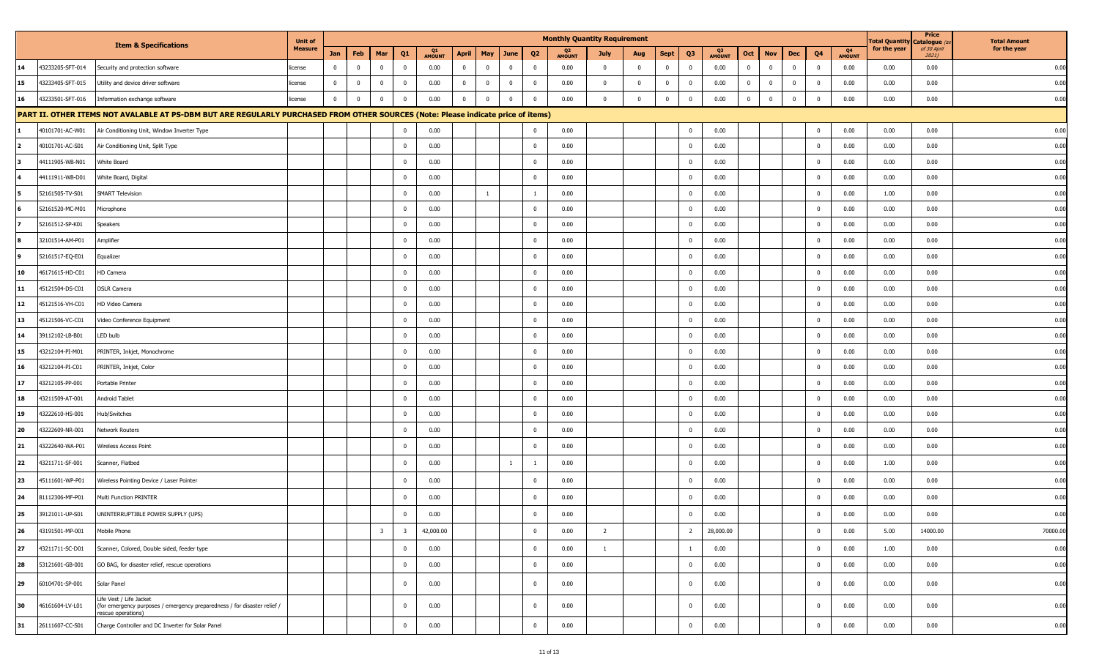|    |                                                                                                                                              | <b>Unit of</b> |              |             |                         |                         |                     |                |             |              |                | <b>Monthly Quantity Requirement</b> |                |                         |              |                |                     |                         |                         |                |                |                     | Total Quantity Catalogue ( | Price                | <b>Total Amount</b> |
|----|----------------------------------------------------------------------------------------------------------------------------------------------|----------------|--------------|-------------|-------------------------|-------------------------|---------------------|----------------|-------------|--------------|----------------|-------------------------------------|----------------|-------------------------|--------------|----------------|---------------------|-------------------------|-------------------------|----------------|----------------|---------------------|----------------------------|----------------------|---------------------|
|    | <b>Item &amp; Specifications</b>                                                                                                             | <b>Measure</b> | Jan          | Feb         | Mar                     | Q1                      | Q1<br><b>AMOUNT</b> | April          | May         | June         | Q <sub>2</sub> | Q <sub>2</sub><br><b>AMOUNT</b>     | July           | Aug                     | <b>Sept</b>  | Q <sub>3</sub> | Q3<br><b>AMOUNT</b> | Oct                     | <b>Nov</b>              | Dec            | Q4             | Q4<br><b>AMOUNT</b> | for the year               | of 30 April<br>2021) | for the year        |
| 14 | 43233205-SFT-014<br>Security and protection software                                                                                         | icense         | $\mathbf 0$  | $\mathbf 0$ | $\mathbf 0$             | $\mathbf{0}$            | 0.00                | $\overline{0}$ | $\mathbf 0$ | $\mathbf 0$  | $\mathbf 0$    | 0.00                                | $\mathbf 0$    | $\overline{0}$          | $\mathbf{0}$ | $\mathbf{0}$   | 0.00                | $\overline{0}$          | $\overline{\mathbf{0}}$ | $\overline{0}$ | $\mathbf 0$    | 0.00                | 0.00                       | 0.00                 | 0.00                |
| 15 | 43233405-SFT-015<br>Utility and device driver software                                                                                       | license        | $\mathbf 0$  | $\mathbf 0$ | $\mathbf 0$             | $\overline{0}$          | 0.00                | $\overline{0}$ | $\mathbf 0$ | $\mathbf{0}$ | $\mathbf 0$    | 0.00                                | $\mathbf{0}$   | $\overline{\mathbf{0}}$ | $\mathbf 0$  | $\overline{0}$ | 0.00                | $\overline{0}$          | $\overline{\mathbf{0}}$ | $\overline{0}$ | $\mathbf 0$    | 0.00                | 0.00                       | 0.00                 | 0.00                |
| 16 | 43233501-SFT-016<br>Information exchange software                                                                                            | license        | $\mathbf{0}$ | $\mathbf 0$ | $\mathbf 0$             | $\mathbf{0}$            | 0.00                | $\mathbf 0$    | $\mathbf 0$ | $\mathbf 0$  | $\mathbf 0$    | 0.00                                | $\mathbf 0$    | $\overline{0}$          | $\mathbf 0$  | $^{\circ}$     | 0.00                | $\overline{\mathbf{0}}$ | $\overline{\mathbf{0}}$ | $\mathbf 0$    | $\Omega$       | 0.00                | 0.00                       | 0.00                 | 0.00                |
|    | PART II. OTHER ITEMS NOT AVALABLE AT PS-DBM BUT ARE REGULARLY PURCHASED FROM OTHER SOURCES (Note: Please indicate price of items)            |                |              |             |                         |                         |                     |                |             |              |                |                                     |                |                         |              |                |                     |                         |                         |                |                |                     |                            |                      |                     |
|    | 40101701-AC-W01<br>Air Conditioning Unit, Window Inverter Type                                                                               |                |              |             |                         | $\Omega$                | 0.00                |                |             |              | $\mathbf 0$    | 0.00                                |                |                         |              | $\mathbf{0}$   | 0.00                |                         |                         |                | $\mathbf 0$    | 0.00                | 0.00                       | 0.00                 | 0.00                |
|    | 40101701-AC-S01<br>Air Conditioning Unit, Split Type                                                                                         |                |              |             |                         | $\mathbf{0}$            | 0.00                |                |             |              | $\mathbf 0$    | 0.00                                |                |                         |              | $^{\circ}$     | 0.00                |                         |                         |                | $\mathbf 0$    | 0.00                | 0.00                       | 0.00                 | 0.00                |
|    | 44111905-WB-N01<br>White Board                                                                                                               |                |              |             |                         | $^{\circ}$              | 0.00                |                |             |              | $\mathbf{0}$   | 0.00                                |                |                         |              | $^{\circ}$     | 0.00                |                         |                         |                | $\mathbf 0$    | 0.00                | 0.00                       | 0.00                 | 0.00                |
|    | 44111911-WB-D01<br>White Board, Digital                                                                                                      |                |              |             |                         | $\mathbf 0$             | 0.00                |                |             |              | $\mathbf 0$    | 0.00                                |                |                         |              | $\mathbf 0$    | 0.00                |                         |                         |                | $\mathbf 0$    | 0.00                | 0.00                       | 0.00                 | 0.00                |
|    | <b>SMART Television</b><br>52161505-TV-S01                                                                                                   |                |              |             |                         | $\mathbf 0$             | 0.00                |                |             |              | 1              | 0.00                                |                |                         |              | $^{\circ}$     | 0.00                |                         |                         |                | $\mathbf 0$    | 0.00                | 1.00                       | 0.00                 | 0.00                |
|    | 52161520-MC-M01<br>Microphone                                                                                                                |                |              |             |                         | $\Omega$                | 0.00                |                |             |              | $\mathbf 0$    | 0.00                                |                |                         |              |                | 0.00                |                         |                         |                | $\mathbf 0$    | 0.00                | 0.00                       | 0.00                 | 0.00                |
|    | 52161512-SP-K01<br>Speakers                                                                                                                  |                |              |             |                         | $\mathbf 0$             | 0.00                |                |             |              | $\mathbf 0$    | 0.00                                |                |                         |              | $^{\circ}$     | 0.00                |                         |                         |                | $\mathbf 0$    | 0.00                | 0.00                       | 0.00                 | 0.00                |
|    | 32101514-AM-P01<br>Amplifier                                                                                                                 |                |              |             |                         | $^{\circ}$              | 0.00                |                |             |              | $\mathbf 0$    | 0.00                                |                |                         |              | $^{\circ}$     | 0.00                |                         |                         |                | $\mathbf 0$    | 0.00                | 0.00                       | 0.00                 | 0.00                |
|    | 52161517-EQ-E01<br>Equalizer                                                                                                                 |                |              |             |                         | $\mathbf{0}$            | 0.00                |                |             |              | $^{\circ}$     | 0.00                                |                |                         |              | $^{\circ}$     | 0.00                |                         |                         |                | $\mathbf 0$    | 0.00                | 0.00                       | 0.00                 | 0.00                |
| 10 | 46171615-HD-C01<br>HD Camera                                                                                                                 |                |              |             |                         | $^{\circ}$              | 0.00                |                |             |              | $\mathbf 0$    | 0.00                                |                |                         |              | $^{\circ}$     | 0.00                |                         |                         |                | $\mathbf 0$    | 0.00                | 0.00                       | 0.00                 | 0.00                |
| 11 | <b>DSLR Camera</b><br>45121504-DS-C01                                                                                                        |                |              |             |                         | $\mathbf 0$             | 0.00                |                |             |              | $\mathbf 0$    | 0.00                                |                |                         |              | $^{\circ}$     | 0.00                |                         |                         |                | $\mathbf 0$    | 0.00                | 0.00                       | 0.00                 | 0.00                |
| 12 | 45121516-VH-C01<br>HD Video Camera                                                                                                           |                |              |             |                         | $\mathbf 0$             | 0.00                |                |             |              | $\mathbf 0$    | 0.00                                |                |                         |              | $\Omega$       | 0.00                |                         |                         |                | $\mathbf 0$    | 0.00                | 0.00                       | 0.00                 | 0.00                |
| 13 | 45121506-VC-C01<br>Video Conference Equipment                                                                                                |                |              |             |                         | $\mathbf 0$             | 0.00                |                |             |              | $\mathbf 0$    | 0.00                                |                |                         |              | $\Omega$       | 0.00                |                         |                         |                | $\mathbf 0$    | 0.00                | 0.00                       | 0.00                 | 0.00                |
| 14 | LED bulb<br>39112102-LB-B01                                                                                                                  |                |              |             |                         | $\mathbf 0$             | 0.00                |                |             |              | $\mathbf 0$    | 0.00                                |                |                         |              | $\mathbf{0}$   | 0.00                |                         |                         |                | $\overline{0}$ | 0.00                | 0.00                       | 0.00                 | 0.00                |
| 15 | 43212104-PI-M01<br>PRINTER, Inkjet, Monochrome                                                                                               |                |              |             |                         | $^{\circ}$              | 0.00                |                |             |              | $\mathbf 0$    | 0.00                                |                |                         |              | $^{\circ}$     | 0.00                |                         |                         |                | $\mathbf 0$    | 0.00                | 0.00                       | 0.00                 | 0.00                |
| 16 | PRINTER, Inkjet, Color<br>43212104-PI-C01                                                                                                    |                |              |             |                         | $\mathbf 0$             | 0.00                |                |             |              | $\mathbf 0$    | 0.00                                |                |                         |              | $^{\circ}$     | 0.00                |                         |                         |                | $\mathbf 0$    | 0.00                | 0.00                       | 0.00                 | 0.00                |
| 17 | 43212105-PP-001<br>Portable Printer                                                                                                          |                |              |             |                         | $\mathbf 0$             | 0.00                |                |             |              | $\mathbf 0$    | 0.00                                |                |                         |              |                | 0.00                |                         |                         |                | $\mathbf 0$    | 0.00                | 0.00                       | 0.00                 | 0.00                |
| 18 | 43211509-AT-001<br>Android Tablet                                                                                                            |                |              |             |                         | $\mathbf 0$             | 0.00                |                |             |              | $\mathbf{0}$   | 0.00                                |                |                         |              | $\Omega$       | 0.00                |                         |                         |                | $\mathbf 0$    | 0.00                | 0.00                       | 0.00                 | 0.00                |
| 19 | Hub/Switches<br>43222610-HS-001                                                                                                              |                |              |             |                         | $\mathbf{0}$            | 0.00                |                |             |              | $\mathbf 0$    | 0.00                                |                |                         |              | $\mathbf{0}$   | 0.00                |                         |                         |                | $\mathbf 0$    | 0.00                | 0.00                       | 0.00                 | 0.00                |
| 20 | 43222609-NR-001<br>Network Routers                                                                                                           |                |              |             |                         | $\mathbf{0}$            | 0.00                |                |             |              | $\mathbf 0$    | 0.00                                |                |                         |              | $^{\circ}$     | 0.00                |                         |                         |                | $\mathbf 0$    | 0.00                | 0.00                       | 0.00                 | 0.00                |
| 21 | 43222640-WA-P01<br>Wireless Access Point                                                                                                     |                |              |             |                         | $\mathbf 0$             | 0.00                |                |             |              | $\mathbf 0$    | 0.00                                |                |                         |              | $^{\circ}$     | 0.00                |                         |                         |                | $\mathbf 0$    | 0.00                | 0.00                       | 0.00                 | 0.00                |
| 22 | 43211711-SF-001<br>Scanner, Flatbed                                                                                                          |                |              |             |                         | $\mathbf 0$             | 0.00                |                |             | $\mathbf{1}$ | 1              | 0.00                                |                |                         |              | $\Omega$       | 0.00                |                         |                         |                | $\mathbf 0$    | 0.00                | 1.00                       | 0.00                 | 0.00                |
| 23 | 45111601-WP-P01<br>Wireless Pointing Device / Laser Pointer                                                                                  |                |              |             |                         | $\mathbf{0}$            | 0.00                |                |             |              | $\mathbf 0$    | 0.00                                |                |                         |              | $^{\circ}$     | 0.00                |                         |                         |                | $\mathbf 0$    | 0.00                | 0.00                       | 0.00                 | 0.00                |
| 24 | 81112306-MF-P01<br>Multi Function PRINTER                                                                                                    |                |              |             |                         | $\overline{0}$          | 0.00                |                |             |              | $^{\circ}$     | 0.00                                |                |                         |              |                | 0.00                |                         |                         |                | $\mathbf 0$    | 0.00                | 0.00                       | 0.00                 | 0.00                |
| 25 | 39121011-UP-S01<br>UNINTERRUPTIBLE POWER SUPPLY (UPS)                                                                                        |                |              |             |                         | $\mathbf{0}$            | 0.00                |                |             |              | $\Omega$       | 0.00                                |                |                         |              | $\overline{0}$ | 0.00                |                         |                         |                | $\Omega$       | 0.00                | 0.00                       | 0.00                 | 0.00                |
| 26 | 43191501-MP-001<br>Mobile Phone                                                                                                              |                |              |             | $\overline{\mathbf{3}}$ | $\overline{\mathbf{3}}$ | 42,000.00           |                |             |              | $\mathbf 0$    | 0.00                                | $\overline{2}$ |                         |              | $\overline{2}$ | 28,000.00           |                         |                         |                | $\mathbf 0$    | 0.00                | 5.00                       | 14000.00             | 70000.00            |
| 27 | 43211711-SC-D01<br>Scanner, Colored, Double sided, feeder type                                                                               |                |              |             |                         | $\mathbf 0$             | 0.00                |                |             |              | $\mathbf 0$    | 0.00                                | $\overline{1}$ |                         |              |                | 0.00                |                         |                         |                | $\mathbf 0$    | 0.00                | 1.00                       | 0.00                 | 0.00                |
| 28 | 53121601-GB-001<br>GO BAG, for disaster relief, rescue operations                                                                            |                |              |             |                         | $\mathbf 0$             | 0.00                |                |             |              | $\overline{0}$ | 0.00                                |                |                         |              | $\overline{0}$ | 0.00                |                         |                         |                | $\mathbf 0$    | 0.00                | 0.00                       | 0.00                 | 0.00                |
| 29 | 60104701-SP-001<br>Solar Panel                                                                                                               |                |              |             |                         | $\mathbf 0$             | 0.00                |                |             |              | $\mathbf{0}$   | 0.00                                |                |                         |              | $\Omega$       | 0.00                |                         |                         |                | $\mathbf 0$    | 0.00                | 0.00                       | 0.00                 | 0.00                |
| 30 | Life Vest / Life Jacket<br>46161604-LV-L01<br>(for emergency purposes / emergency preparedness / for disaster relief /<br>rescue operations) |                |              |             |                         | $\bf{0}$                | 0.00                |                |             |              | $\bf{0}$       | 0.00                                |                |                         |              | $\overline{0}$ | 0.00                |                         |                         |                | $\overline{0}$ | 0.00                | 0.00                       | 0.00                 | 0.00                |
| 31 | 26111607-CC-S01<br>Charge Controller and DC Inverter for Solar Panel                                                                         |                |              |             |                         | $\bf{0}$                | 0.00                |                |             |              | $\overline{0}$ | 0.00                                |                |                         |              | $\overline{0}$ | 0.00                |                         |                         |                | $\mathbf 0$    | 0.00                | 0.00                       | 0.00                 | 0.00                |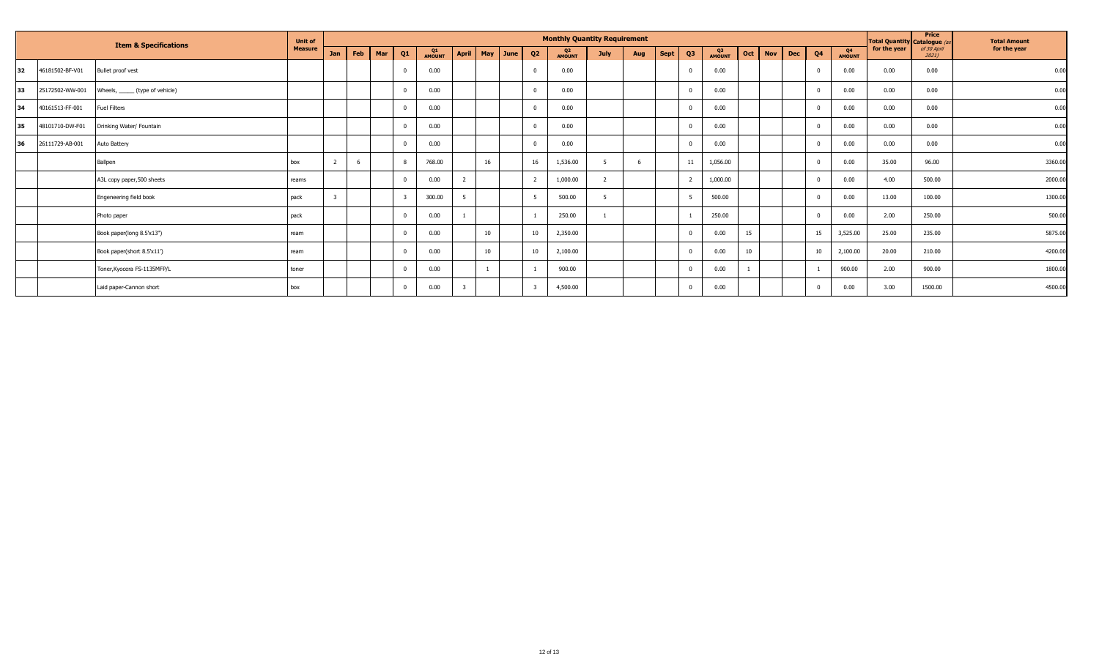|           |                 | <b>Item &amp; Specifications</b> | <b>Unit of</b> |     |     |     |    |                     |                    |    | <b>Monthly Quantity Requirement</b> |                |     |                   |              |     |            |                              |                     | <b>Total Quantity Catalogue (as</b> | Price                | <b>Total Amount</b> |
|-----------|-----------------|----------------------------------|----------------|-----|-----|-----|----|---------------------|--------------------|----|-------------------------------------|----------------|-----|-------------------|--------------|-----|------------|------------------------------|---------------------|-------------------------------------|----------------------|---------------------|
|           |                 |                                  | <b>Measure</b> | Jan | Feb | Mar | Q1 | Q1<br><b>AMOUNT</b> | April   May   June | Q2 | Q2<br><b>AMOUNT</b>                 | <b>July</b>    | Aug | Q3<br><b>Sept</b> | Q3<br>AMOUNT | Oct | <b>Nov</b> | <b>Dec</b><br>Q <sub>4</sub> | Q4<br><b>AMOUNT</b> | for the year                        | of 30 April<br>2021) | for the year        |
| 132       | 46181502-BF-V01 | Bullet proof vest                |                |     |     |     |    | 0.00                |                    |    | 0.00                                |                |     |                   | 0.00         |     |            |                              | 0.00                | 0.00                                | 0.00                 | 0.00                |
| 133       | 25172502-WW-001 | Wheels, ______ (type of vehicle) |                |     |     |     |    | 0.00                |                    |    | 0.00                                |                |     |                   | 0.00         |     |            |                              | 0.00                | 0.00                                | 0.00                 | 0.00                |
| 34        | 40161513-FF-001 | <b>Fuel Filters</b>              |                |     |     |     |    | 0.00                |                    |    | 0.00                                |                |     |                   | 0.00         |     |            |                              | 0.00                | 0.00                                | 0.00                 | 0.00                |
| 35        | 48101710-DW-F01 | Drinking Water/ Fountain         |                |     |     |     |    | 0.00                |                    |    | 0.00                                |                |     |                   | 0.00         |     |            |                              | 0.00                | 0.00                                | 0.00                 | 0.00                |
| <b>36</b> | 26111729-AB-001 | Auto Battery                     |                |     |     |     |    | 0.00                |                    |    | 0.00                                |                |     |                   | 0.00         |     |            |                              | 0.00                | 0.00                                | 0.00                 | 0.00                |
|           |                 | Ballpen                          | box            |     |     |     |    | 768.00              | 16                 | 16 | 1,536.00                            |                |     | 11                | 1,056.00     |     |            |                              | 0.00                | 35.00                               | 96.00                | 3360.00             |
|           |                 | A3L copy paper,500 sheets        | reams          |     |     |     |    | 0.00                |                    |    | 1,000.00                            | $\overline{z}$ |     |                   | 1,000.00     |     |            |                              | 0.00                | 4.00                                | 500.00               | 2000.00             |
|           |                 | Engeneering field book           | pack           |     |     |     |    | 300.00              |                    |    | 500.00                              |                |     |                   | 500.00       |     |            |                              | 0.00                | 13.00                               | 100.00               | 1300.00             |
|           |                 | Photo paper                      | pack           |     |     |     |    | 0.00                |                    |    | 250.00                              |                |     |                   | 250.00       |     |            |                              | 0.00                | 2.00                                | 250.00               | 500.00              |
|           |                 | Book paper(long 8.5'x13")        | ream           |     |     |     |    | 0.00                | 10                 | 10 | 2,350.00                            |                |     |                   | 0.00         | 15  |            | 15                           | 3,525.00            | 25.00                               | 235.00               | 5875.00             |
|           |                 | Book paper(short 8.5'x11')       | ream           |     |     |     |    | 0.00                | 10                 | 10 | 2,100.00                            |                |     |                   | 0.00         | 10  |            | 10                           | 2,100.00            | 20.00                               | 210.00               | 4200.00             |
|           |                 | Toner, Kyocera FS-1135MFP/L      | toner          |     |     |     |    | 0.00                |                    |    | 900.00                              |                |     |                   | 0.00         |     |            |                              | 900.00              | 2.00                                | 900.00               | 1800.00             |
|           |                 | Laid paper-Cannon short          | box            |     |     |     |    | 0.00                |                    |    | 4,500.00                            |                |     |                   | 0.00         |     |            |                              | 0.00                | 3.00                                | 1500.00              | 4500.00             |